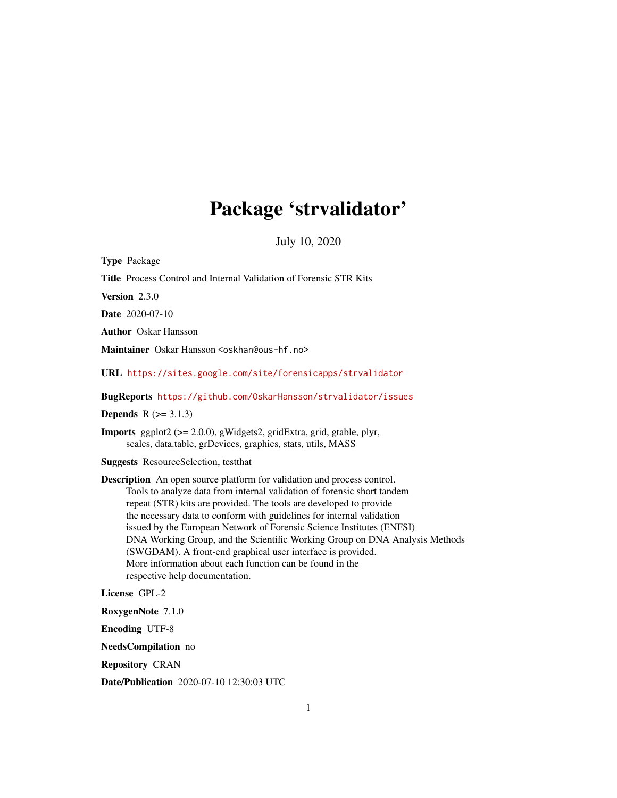# Package 'strvalidator'

July 10, 2020

Title Process Control and Internal Validation of Forensic STR Kits Version 2.3.0 Date 2020-07-10 Author Oskar Hansson Maintainer Oskar Hansson <oskhan@ous-hf.no> URL <https://sites.google.com/site/forensicapps/strvalidator>

BugReports <https://github.com/OskarHansson/strvalidator/issues>

**Depends**  $R$  ( $> = 3.1.3$ )

<span id="page-0-0"></span>Type Package

Imports ggplot2 (>= 2.0.0), gWidgets2, gridExtra, grid, gtable, plyr, scales, data.table, grDevices, graphics, stats, utils, MASS

Suggests ResourceSelection, testthat

Description An open source platform for validation and process control. Tools to analyze data from internal validation of forensic short tandem repeat (STR) kits are provided. The tools are developed to provide the necessary data to conform with guidelines for internal validation issued by the European Network of Forensic Science Institutes (ENFSI) DNA Working Group, and the Scientific Working Group on DNA Analysis Methods (SWGDAM). A front-end graphical user interface is provided. More information about each function can be found in the respective help documentation.

License GPL-2

RoxygenNote 7.1.0

Encoding UTF-8

NeedsCompilation no

Repository CRAN

Date/Publication 2020-07-10 12:30:03 UTC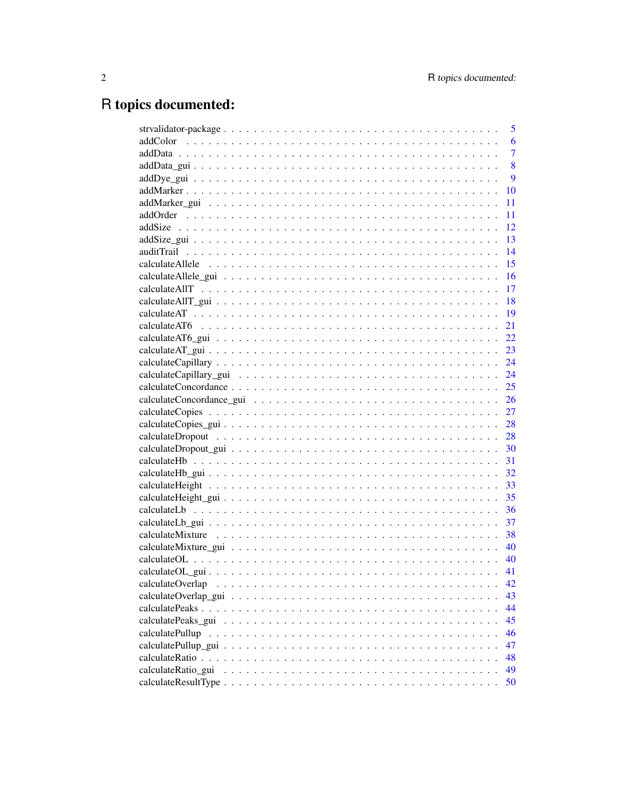# R topics documented:

|                    | 5              |
|--------------------|----------------|
|                    | 6              |
|                    | $\overline{7}$ |
|                    | 8              |
|                    | 9              |
|                    | 10             |
|                    | 11             |
|                    | 11             |
|                    | 12             |
|                    | 13             |
|                    | 14             |
|                    | 15             |
|                    | -16            |
|                    | 17             |
|                    | $-18$          |
|                    | $-19$          |
|                    | 21             |
|                    | 22             |
|                    | 23             |
|                    | 24             |
|                    | 24             |
|                    | 25             |
|                    | 26             |
|                    | 27             |
|                    | 28             |
|                    |                |
|                    | 30             |
|                    | 31             |
|                    | 32             |
|                    | 33             |
|                    | 35             |
|                    | 36             |
|                    | 37             |
|                    | 38             |
|                    | 40             |
|                    | -40            |
|                    | 41             |
| calculateOverlap   | 42             |
|                    | 43             |
|                    | 44             |
|                    | 45             |
|                    | 46             |
|                    | 47             |
|                    | 48             |
| calculateRatio_gui | 49             |
|                    | 50             |
|                    |                |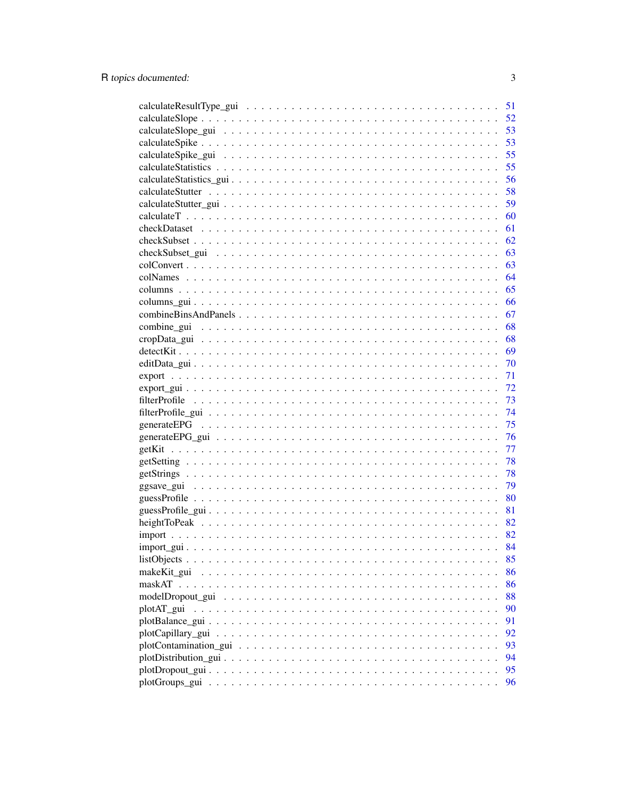|             |  |  |  |  |  |  |  |  |  |  |  | 51 |
|-------------|--|--|--|--|--|--|--|--|--|--|--|----|
|             |  |  |  |  |  |  |  |  |  |  |  | 52 |
|             |  |  |  |  |  |  |  |  |  |  |  | 53 |
|             |  |  |  |  |  |  |  |  |  |  |  | 53 |
|             |  |  |  |  |  |  |  |  |  |  |  | 55 |
|             |  |  |  |  |  |  |  |  |  |  |  | 55 |
|             |  |  |  |  |  |  |  |  |  |  |  | 56 |
|             |  |  |  |  |  |  |  |  |  |  |  | 58 |
|             |  |  |  |  |  |  |  |  |  |  |  | 59 |
|             |  |  |  |  |  |  |  |  |  |  |  | 60 |
|             |  |  |  |  |  |  |  |  |  |  |  | 61 |
|             |  |  |  |  |  |  |  |  |  |  |  | 62 |
|             |  |  |  |  |  |  |  |  |  |  |  | 63 |
|             |  |  |  |  |  |  |  |  |  |  |  | 63 |
|             |  |  |  |  |  |  |  |  |  |  |  | 64 |
|             |  |  |  |  |  |  |  |  |  |  |  | 65 |
|             |  |  |  |  |  |  |  |  |  |  |  | 66 |
|             |  |  |  |  |  |  |  |  |  |  |  | 67 |
|             |  |  |  |  |  |  |  |  |  |  |  | 68 |
|             |  |  |  |  |  |  |  |  |  |  |  | 68 |
|             |  |  |  |  |  |  |  |  |  |  |  | 69 |
|             |  |  |  |  |  |  |  |  |  |  |  | 70 |
|             |  |  |  |  |  |  |  |  |  |  |  | 71 |
|             |  |  |  |  |  |  |  |  |  |  |  | 72 |
|             |  |  |  |  |  |  |  |  |  |  |  | 73 |
|             |  |  |  |  |  |  |  |  |  |  |  | 74 |
|             |  |  |  |  |  |  |  |  |  |  |  | 75 |
|             |  |  |  |  |  |  |  |  |  |  |  | 76 |
|             |  |  |  |  |  |  |  |  |  |  |  | 77 |
|             |  |  |  |  |  |  |  |  |  |  |  | 78 |
|             |  |  |  |  |  |  |  |  |  |  |  | 78 |
|             |  |  |  |  |  |  |  |  |  |  |  | 79 |
|             |  |  |  |  |  |  |  |  |  |  |  | 80 |
|             |  |  |  |  |  |  |  |  |  |  |  | 81 |
|             |  |  |  |  |  |  |  |  |  |  |  | 82 |
|             |  |  |  |  |  |  |  |  |  |  |  | 82 |
|             |  |  |  |  |  |  |  |  |  |  |  | 84 |
|             |  |  |  |  |  |  |  |  |  |  |  | 85 |
| makeKit gui |  |  |  |  |  |  |  |  |  |  |  | 86 |
|             |  |  |  |  |  |  |  |  |  |  |  | 86 |
|             |  |  |  |  |  |  |  |  |  |  |  | 88 |
| plotAT gui  |  |  |  |  |  |  |  |  |  |  |  | 90 |
|             |  |  |  |  |  |  |  |  |  |  |  | 91 |
|             |  |  |  |  |  |  |  |  |  |  |  | 92 |
|             |  |  |  |  |  |  |  |  |  |  |  | 93 |
|             |  |  |  |  |  |  |  |  |  |  |  | 94 |
|             |  |  |  |  |  |  |  |  |  |  |  | 95 |
|             |  |  |  |  |  |  |  |  |  |  |  | 96 |

 $\overline{3}$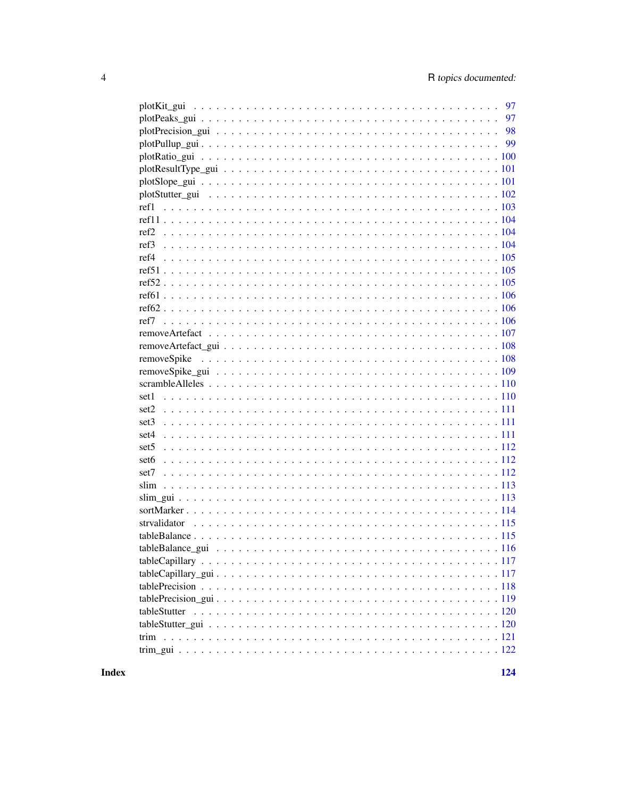| 97           |
|--------------|
|              |
|              |
|              |
|              |
|              |
|              |
|              |
|              |
|              |
|              |
|              |
|              |
|              |
|              |
|              |
|              |
|              |
|              |
|              |
|              |
|              |
| set1         |
|              |
|              |
|              |
|              |
|              |
|              |
|              |
|              |
|              |
|              |
|              |
|              |
|              |
|              |
|              |
|              |
| tableStutter |
|              |
|              |
|              |
|              |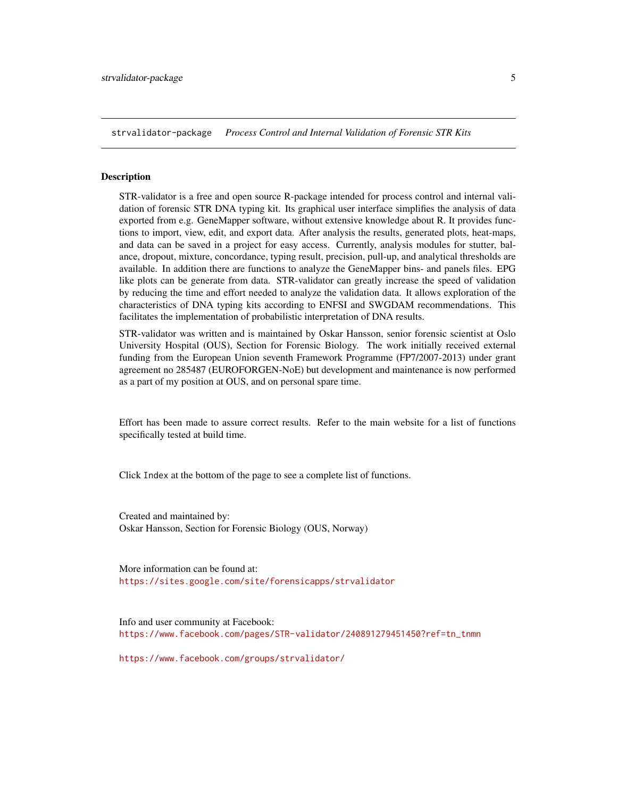<span id="page-4-0"></span>strvalidator-package *Process Control and Internal Validation of Forensic STR Kits*

#### Description

STR-validator is a free and open source R-package intended for process control and internal validation of forensic STR DNA typing kit. Its graphical user interface simplifies the analysis of data exported from e.g. GeneMapper software, without extensive knowledge about R. It provides functions to import, view, edit, and export data. After analysis the results, generated plots, heat-maps, and data can be saved in a project for easy access. Currently, analysis modules for stutter, balance, dropout, mixture, concordance, typing result, precision, pull-up, and analytical thresholds are available. In addition there are functions to analyze the GeneMapper bins- and panels files. EPG like plots can be generate from data. STR-validator can greatly increase the speed of validation by reducing the time and effort needed to analyze the validation data. It allows exploration of the characteristics of DNA typing kits according to ENFSI and SWGDAM recommendations. This facilitates the implementation of probabilistic interpretation of DNA results.

STR-validator was written and is maintained by Oskar Hansson, senior forensic scientist at Oslo University Hospital (OUS), Section for Forensic Biology. The work initially received external funding from the European Union seventh Framework Programme (FP7/2007-2013) under grant agreement no 285487 (EUROFORGEN-NoE) but development and maintenance is now performed as a part of my position at OUS, and on personal spare time.

Effort has been made to assure correct results. Refer to the main website for a list of functions specifically tested at build time.

Click Index at the bottom of the page to see a complete list of functions.

Created and maintained by: Oskar Hansson, Section for Forensic Biology (OUS, Norway)

More information can be found at: <https://sites.google.com/site/forensicapps/strvalidator>

Info and user community at Facebook: [https://www.facebook.com/pages/STR-validator/240891279451450?ref=tn\\_tnmn](https://www.facebook.com/pages/STR-validator/240891279451450?ref=tn_tnmn)

<https://www.facebook.com/groups/strvalidator/>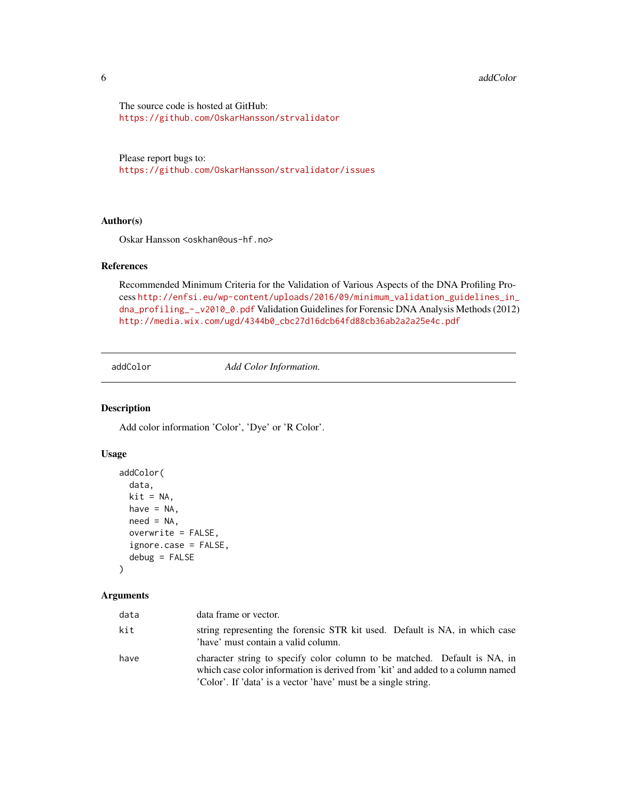#### <span id="page-5-0"></span>6 addColor

The source code is hosted at GitHub: <https://github.com/OskarHansson/strvalidator>

Please report bugs to: <https://github.com/OskarHansson/strvalidator/issues>

#### Author(s)

Oskar Hansson <oskhan@ous-hf.no>

#### References

Recommended Minimum Criteria for the Validation of Various Aspects of the DNA Profiling Process [http://enfsi.eu/wp-content/uploads/2016/09/minimum\\_validation\\_guidelines\\_in\\_](http://enfsi.eu/wp-content/uploads/2016/09/minimum_validation_guidelines_in_dna_profiling_-_v2010_0.pdf) [dna\\_profiling\\_-\\_v2010\\_0.pdf](http://enfsi.eu/wp-content/uploads/2016/09/minimum_validation_guidelines_in_dna_profiling_-_v2010_0.pdf) Validation Guidelines for Forensic DNA Analysis Methods (2012) [http://media.wix.com/ugd/4344b0\\_cbc27d16dcb64fd88cb36ab2a2a25e4c.pdf](http://media.wix.com/ugd/4344b0_cbc27d16dcb64fd88cb36ab2a2a25e4c.pdf)

<span id="page-5-1"></span>addColor *Add Color Information.*

#### Description

Add color information 'Color', 'Dye' or 'R Color'.

## Usage

```
addColor(
  data,
 kit = NA,
 have = NA,
  need = NA,
  overwrite = FALSE,
  ignore.case = FALSE,
  debug = FALSE
)
```
#### Arguments

| data | data frame or vector.                                                                                                                                                                                                         |
|------|-------------------------------------------------------------------------------------------------------------------------------------------------------------------------------------------------------------------------------|
| kit  | string representing the forensic STR kit used. Default is NA, in which case<br>'have' must contain a valid column.                                                                                                            |
| have | character string to specify color column to be matched. Default is NA, in<br>which case color information is derived from 'kit' and added to a column named<br>'Color'. If 'data' is a vector 'have' must be a single string. |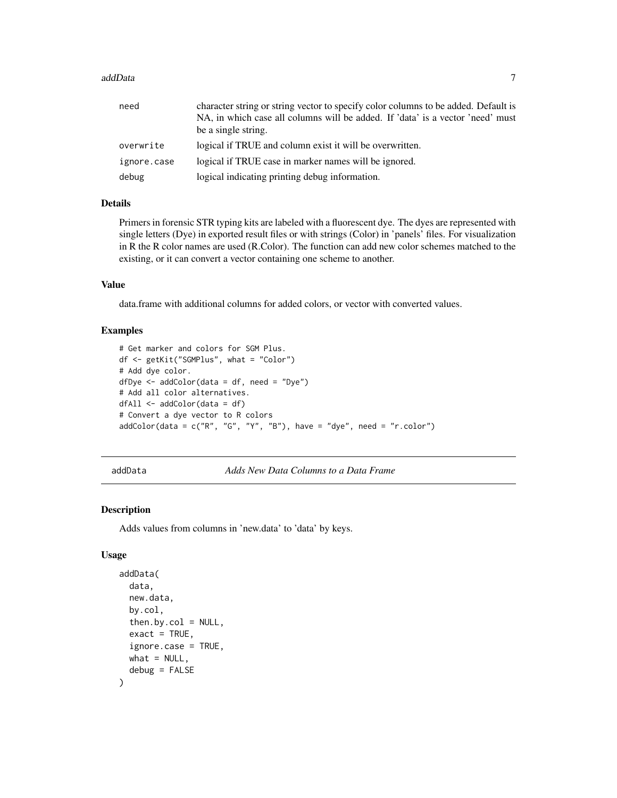#### <span id="page-6-0"></span>addData 7

| need        | character string or string vector to specify color columns to be added. Default is |
|-------------|------------------------------------------------------------------------------------|
|             | NA, in which case all columns will be added. If 'data' is a vector 'need' must     |
|             | be a single string.                                                                |
| overwrite   | logical if TRUE and column exist it will be overwritten.                           |
| ignore.case | logical if TRUE case in marker names will be ignored.                              |
| debug       | logical indicating printing debug information.                                     |

# Details

Primers in forensic STR typing kits are labeled with a fluorescent dye. The dyes are represented with single letters (Dye) in exported result files or with strings (Color) in 'panels' files. For visualization in R the R color names are used (R.Color). The function can add new color schemes matched to the existing, or it can convert a vector containing one scheme to another.

#### Value

data.frame with additional columns for added colors, or vector with converted values.

#### Examples

```
# Get marker and colors for SGM Plus.
df <- getKit("SGMPlus", what = "Color")
# Add dye color.
dfDye <- addColor(data = df, need = "Dye")
# Add all color alternatives.
dfAll <- addColor(data = df)
# Convert a dye vector to R colors
addColor(data = c("R", "G", "Y", "B"), have = "dye", need = "r.color")
```

```
addData Adds New Data Columns to a Data Frame
```
#### Description

Adds values from columns in 'new.data' to 'data' by keys.

```
addData(
  data,
  new.data,
 by.col,
  then.by.col = NULL,exact = TRUE,ignore.case = TRUE,
 what = NULL,debug = FALSE
)
```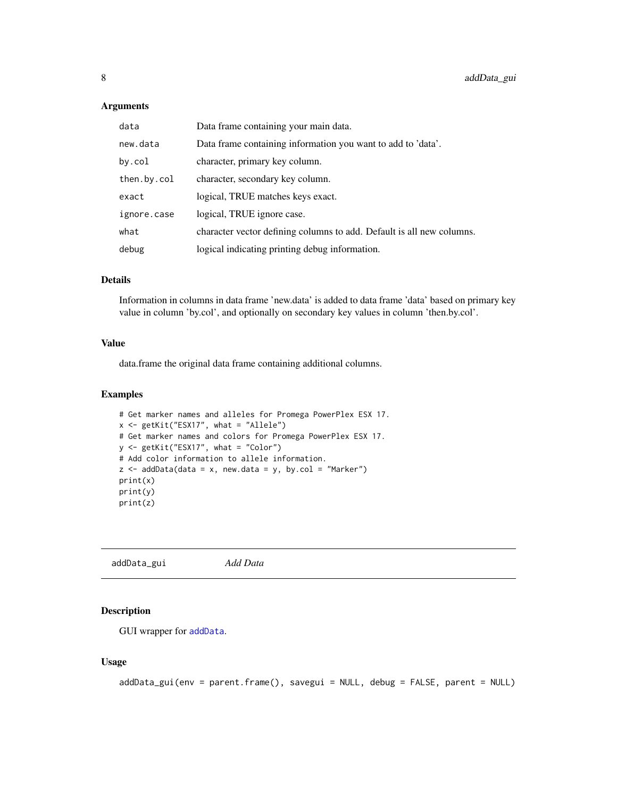#### <span id="page-7-0"></span>Arguments

| data        | Data frame containing your main data.                                 |
|-------------|-----------------------------------------------------------------------|
| new.data    | Data frame containing information you want to add to 'data'.          |
| by.col      | character, primary key column.                                        |
| then.by.col | character, secondary key column.                                      |
| exact       | logical, TRUE matches keys exact.                                     |
| ignore.case | logical, TRUE ignore case.                                            |
| what        | character vector defining columns to add. Default is all new columns. |
| debug       | logical indicating printing debug information.                        |

#### Details

Information in columns in data frame 'new.data' is added to data frame 'data' based on primary key value in column 'by.col', and optionally on secondary key values in column 'then.by.col'.

# Value

data.frame the original data frame containing additional columns.

#### Examples

```
# Get marker names and alleles for Promega PowerPlex ESX 17.
x <- getKit("ESX17", what = "Allele")
# Get marker names and colors for Promega PowerPlex ESX 17.
y <- getKit("ESX17", what = "Color")
# Add color information to allele information.
z \le - addData(data = x, new.data = y, by.col = "Marker")
print(x)
print(y)
print(z)
```
addData\_gui *Add Data*

#### Description

GUI wrapper for [addData](#page-6-1).

```
addData_gui(env = parent.frame(), savegui = NULL, debug = FALSE, parent = NULL)
```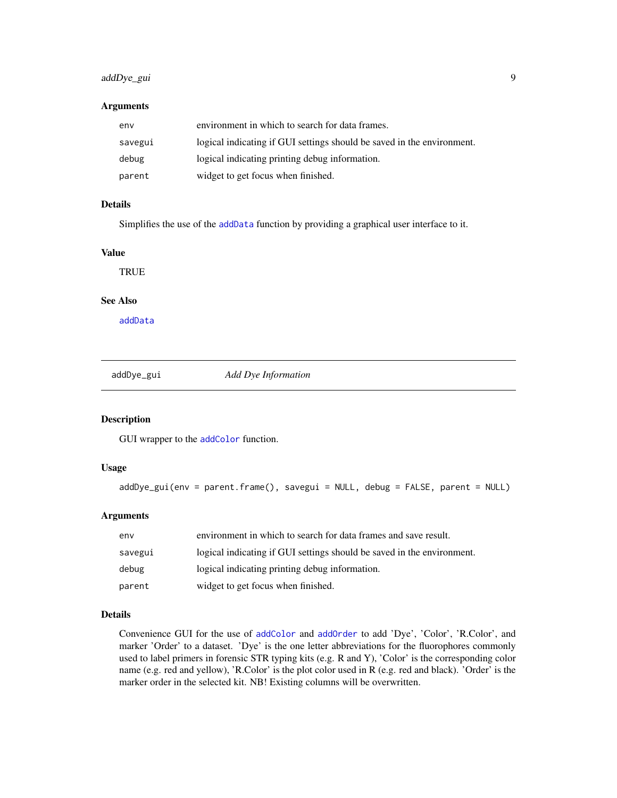# <span id="page-8-0"></span>addDye\_gui 9

#### Arguments

| env     | environment in which to search for data frames.                        |
|---------|------------------------------------------------------------------------|
| savegui | logical indicating if GUI settings should be saved in the environment. |
| debug   | logical indicating printing debug information.                         |
| parent  | widget to get focus when finished.                                     |

## Details

Simplifies the use of the [addData](#page-6-1) function by providing a graphical user interface to it.

#### Value

**TRUE** 

#### See Also

[addData](#page-6-1)

addDye\_gui *Add Dye Information*

#### Description

GUI wrapper to the [addColor](#page-5-1) function.

#### Usage

```
addDye_gui(env = parent.frame(), savegui = NULL, debug = FALSE, parent = NULL)
```
#### Arguments

| env     | environment in which to search for data frames and save result.        |
|---------|------------------------------------------------------------------------|
| savegui | logical indicating if GUI settings should be saved in the environment. |
| debug   | logical indicating printing debug information.                         |
| parent  | widget to get focus when finished.                                     |

#### Details

Convenience GUI for the use of [addColor](#page-5-1) and [addOrder](#page-10-1) to add 'Dye', 'Color', 'R.Color', and marker 'Order' to a dataset. 'Dye' is the one letter abbreviations for the fluorophores commonly used to label primers in forensic STR typing kits (e.g. R and Y), 'Color' is the corresponding color name (e.g. red and yellow), 'R.Color' is the plot color used in R (e.g. red and black). 'Order' is the marker order in the selected kit. NB! Existing columns will be overwritten.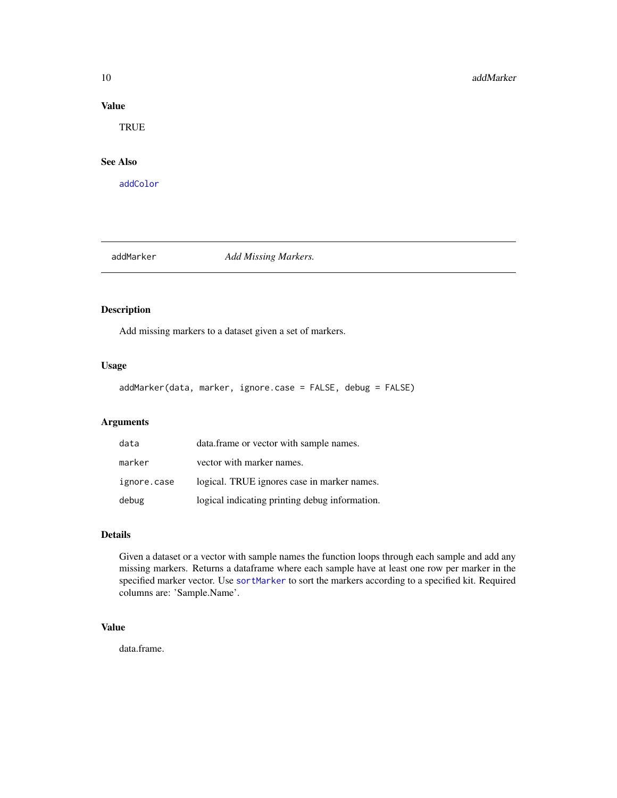#### Value

**TRUE** 

# See Also

[addColor](#page-5-1)

<span id="page-9-1"></span>

addMarker *Add Missing Markers.*

# Description

Add missing markers to a dataset given a set of markers.

# Usage

addMarker(data, marker, ignore.case = FALSE, debug = FALSE)

# Arguments

| data        | data. frame or vector with sample names.       |
|-------------|------------------------------------------------|
| marker      | vector with marker names.                      |
| ignore.case | logical. TRUE ignores case in marker names.    |
| debug       | logical indicating printing debug information. |

#### Details

Given a dataset or a vector with sample names the function loops through each sample and add any missing markers. Returns a dataframe where each sample have at least one row per marker in the specified marker vector. Use [sortMarker](#page-113-1) to sort the markers according to a specified kit. Required columns are: 'Sample.Name'.

# Value

data.frame.

<span id="page-9-0"></span>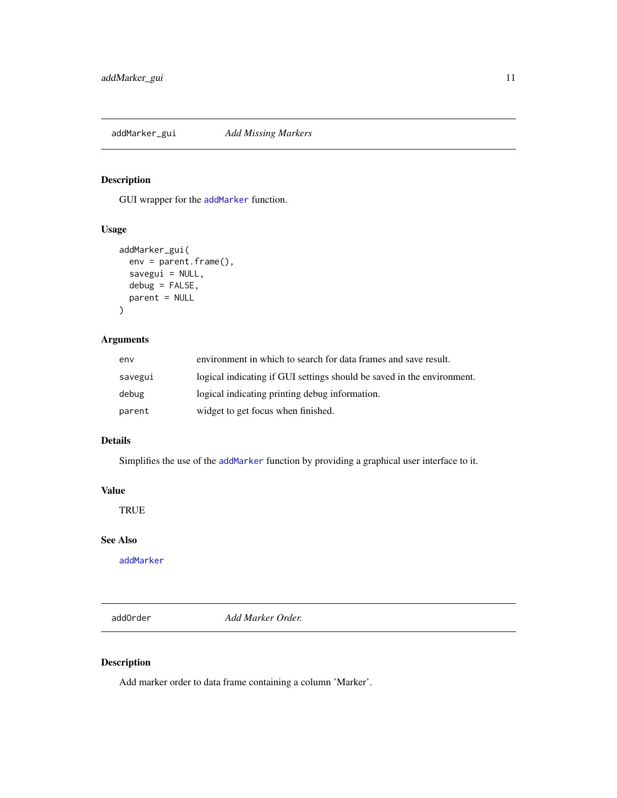<span id="page-10-0"></span>addMarker\_gui *Add Missing Markers*

# Description

GUI wrapper for the [addMarker](#page-9-1) function.

# Usage

```
addMarker_gui(
 env = parent.frame(),
  savegui = NULL,
 debug = FALSE,
 parent = NULL
)
```
#### Arguments

| env     | environment in which to search for data frames and save result.        |
|---------|------------------------------------------------------------------------|
| savegui | logical indicating if GUI settings should be saved in the environment. |
| debug   | logical indicating printing debug information.                         |
| parent  | widget to get focus when finished.                                     |

## Details

Simplifies the use of the [addMarker](#page-9-1) function by providing a graphical user interface to it.

# Value

**TRUE** 

## See Also

[addMarker](#page-9-1)

<span id="page-10-1"></span>addOrder *Add Marker Order.*

# Description

Add marker order to data frame containing a column 'Marker'.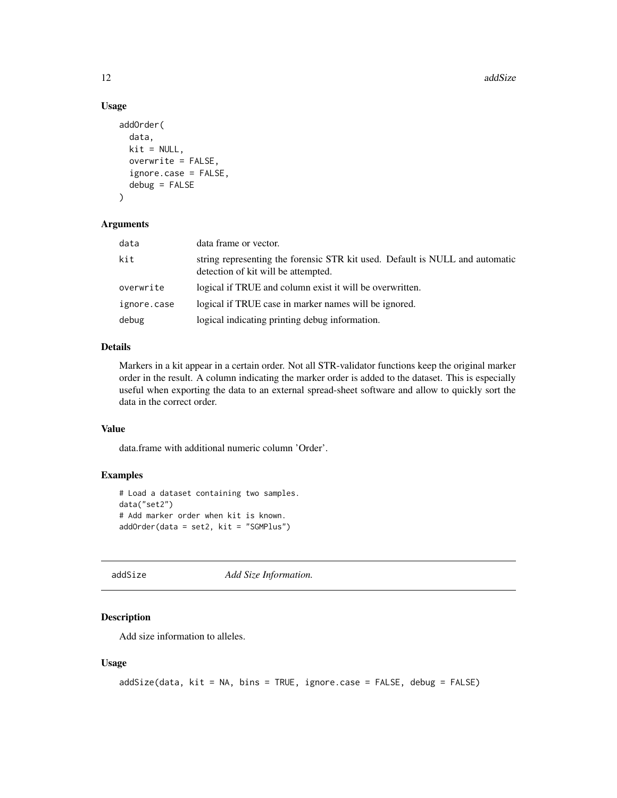#### <span id="page-11-0"></span>Usage

```
addOrder(
  data,
 kit = NULL,overwrite = FALSE,
  ignore.case = FALSE,
  debug = FALSE
)
```
# Arguments

| data        | data frame or vector.                                                                                               |
|-------------|---------------------------------------------------------------------------------------------------------------------|
| kit         | string representing the forensic STR kit used. Default is NULL and automatic<br>detection of kit will be attempted. |
| overwrite   | logical if TRUE and column exist it will be overwritten.                                                            |
| ignore.case | logical if TRUE case in marker names will be ignored.                                                               |
| debug       | logical indicating printing debug information.                                                                      |

## Details

Markers in a kit appear in a certain order. Not all STR-validator functions keep the original marker order in the result. A column indicating the marker order is added to the dataset. This is especially useful when exporting the data to an external spread-sheet software and allow to quickly sort the data in the correct order.

#### Value

data.frame with additional numeric column 'Order'.

#### Examples

```
# Load a dataset containing two samples.
data("set2")
# Add marker order when kit is known.
addOrder(data = set2, kit = "SGMPlus")
```
<span id="page-11-1"></span>addSize *Add Size Information.*

# Description

Add size information to alleles.

```
addSize(data, kit = NA, bins = TRUE, ignore.case = FALSE, debug = FALSE)
```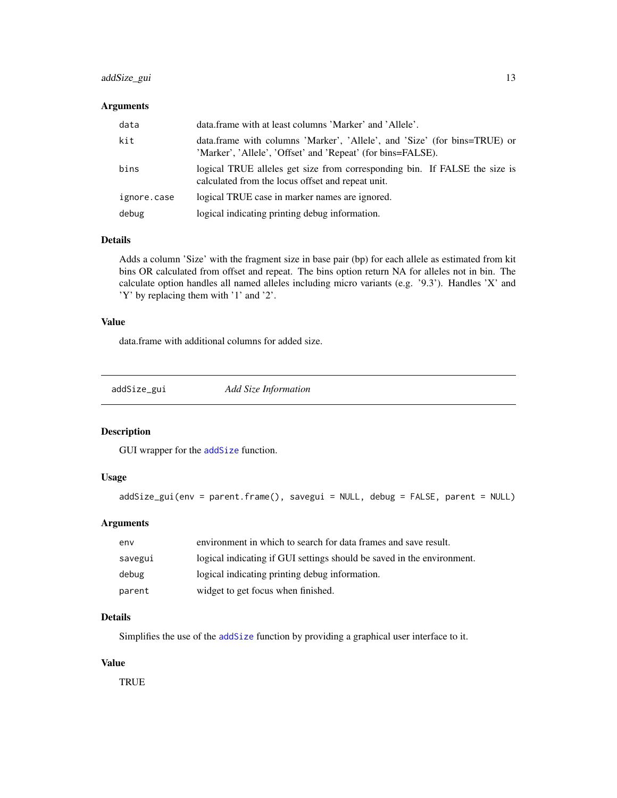# <span id="page-12-0"></span>addSize\_gui 13

#### Arguments

| data        | data.frame with at least columns 'Marker' and 'Allele'.                                                                                  |
|-------------|------------------------------------------------------------------------------------------------------------------------------------------|
| kit         | data.frame with columns 'Marker', 'Allele', and 'Size' (for bins=TRUE) or<br>'Marker', 'Allele', 'Offset' and 'Repeat' (for bins=FALSE). |
| bins        | logical TRUE alleles get size from corresponding bin. If FALSE the size is<br>calculated from the locus offset and repeat unit.          |
| ignore.case | logical TRUE case in marker names are ignored.                                                                                           |
| debug       | logical indicating printing debug information.                                                                                           |

#### Details

Adds a column 'Size' with the fragment size in base pair (bp) for each allele as estimated from kit bins OR calculated from offset and repeat. The bins option return NA for alleles not in bin. The calculate option handles all named alleles including micro variants (e.g. '9.3'). Handles 'X' and 'Y' by replacing them with '1' and '2'.

## Value

data.frame with additional columns for added size.

addSize\_gui *Add Size Information*

# Description

GUI wrapper for the [addSize](#page-11-1) function.

### Usage

```
addSize_gui(env = parent.frame(), savegui = NULL, debug = FALSE, parent = NULL)
```
# Arguments

| env     | environment in which to search for data frames and save result.        |
|---------|------------------------------------------------------------------------|
| savegui | logical indicating if GUI settings should be saved in the environment. |
| debug   | logical indicating printing debug information.                         |
| parent  | widget to get focus when finished.                                     |

#### Details

Simplifies the use of the [addSize](#page-11-1) function by providing a graphical user interface to it.

#### Value

**TRUE**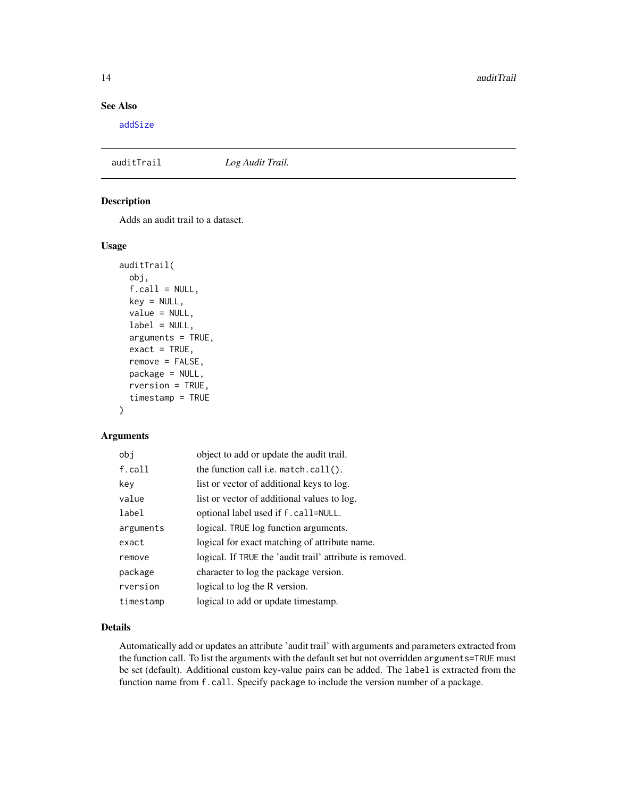# See Also

[addSize](#page-11-1)

## auditTrail *Log Audit Trail.*

#### Description

Adds an audit trail to a dataset.

#### Usage

```
auditTrail(
 obj,
  f.call = NULL,key = NULL,value = NULL,label = NULL,arguments = TRUE,
  exact = TRUE,remove = FALSE,
 package = NULL,
  rversion = TRUE,
  timestamp = TRUE
)
```
#### Arguments

| obi       | object to add or update the audit trail.                 |
|-----------|----------------------------------------------------------|
| f.call    | the function call i.e. $match.call()$ .                  |
| key       | list or vector of additional keys to log.                |
| value     | list or vector of additional values to log.              |
| label     | optional label used if f. call=NULL.                     |
| arguments | logical. TRUE log function arguments.                    |
| exact     | logical for exact matching of attribute name.            |
| remove    | logical. If TRUE the 'audit trail' attribute is removed. |
| package   | character to log the package version.                    |
| rversion  | logical to log the R version.                            |
| timestamp | logical to add or update timestamp.                      |

#### Details

Automatically add or updates an attribute 'audit trail' with arguments and parameters extracted from the function call. To list the arguments with the default set but not overridden arguments=TRUE must be set (default). Additional custom key-value pairs can be added. The label is extracted from the function name from f.call. Specify package to include the version number of a package.

<span id="page-13-0"></span>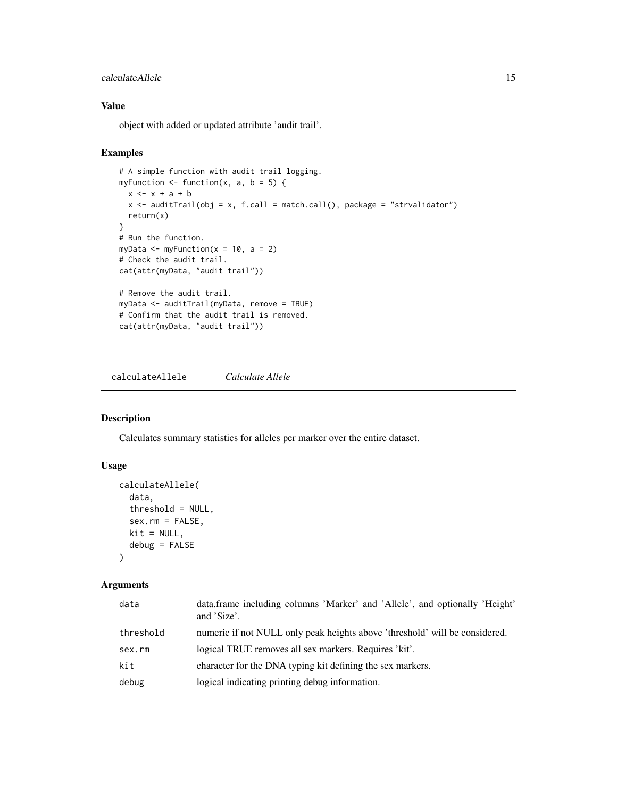#### <span id="page-14-0"></span>calculateAllele 15

# Value

object with added or updated attribute 'audit trail'.

#### Examples

```
# A simple function with audit trail logging.
myFunction \le function(x, a, b = 5) {
  x \leftarrow x + a + bx <- auditTrail(obj = x, f.call = match.call(), package = "strvalidator")
  return(x)
}
# Run the function.
myData \leq myFunction(x = 10, a = 2)
# Check the audit trail.
cat(attr(myData, "audit trail"))
# Remove the audit trail.
myData <- auditTrail(myData, remove = TRUE)
# Confirm that the audit trail is removed.
cat(attr(myData, "audit trail"))
```
<span id="page-14-1"></span>calculateAllele *Calculate Allele*

#### Description

Calculates summary statistics for alleles per marker over the entire dataset.

## Usage

```
calculateAllele(
  data,
  threshold = NULL,
  sex.rm = FALSE,
 kit = NULL,debug = FALSE
)
```
#### Arguments

| data      | data.frame including columns 'Marker' and 'Allele', and optionally 'Height'<br>and 'Size'. |
|-----------|--------------------------------------------------------------------------------------------|
| threshold | numeric if not NULL only peak heights above 'threshold' will be considered.                |
| sex.rm    | logical TRUE removes all sex markers. Requires 'kit'.                                      |
| kit       | character for the DNA typing kit defining the sex markers.                                 |
| debug     | logical indicating printing debug information.                                             |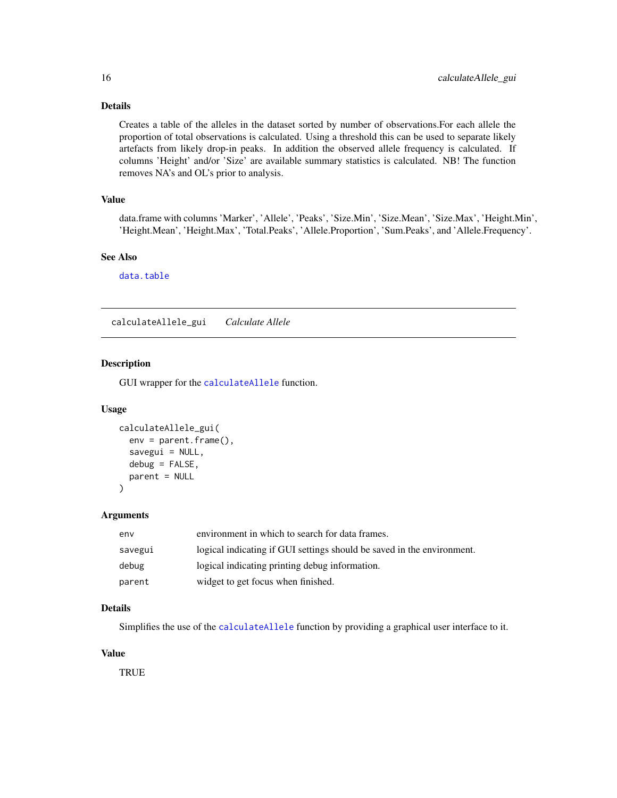# Details

Creates a table of the alleles in the dataset sorted by number of observations.For each allele the proportion of total observations is calculated. Using a threshold this can be used to separate likely artefacts from likely drop-in peaks. In addition the observed allele frequency is calculated. If columns 'Height' and/or 'Size' are available summary statistics is calculated. NB! The function removes NA's and OL's prior to analysis.

# Value

data.frame with columns 'Marker', 'Allele', 'Peaks', 'Size.Min', 'Size.Mean', 'Size.Max', 'Height.Min', 'Height.Mean', 'Height.Max', 'Total.Peaks', 'Allele.Proportion', 'Sum.Peaks', and 'Allele.Frequency'.

#### See Also

[data.table](#page-0-0)

calculateAllele\_gui *Calculate Allele*

#### Description

GUI wrapper for the [calculateAllele](#page-14-1) function.

#### Usage

```
calculateAllele_gui(
  env = parent.frame(),
  savegui = NULL,debug = FALSE,
  parent = NULL
\mathcal{L}
```
#### Arguments

| env     | environment in which to search for data frames.                        |
|---------|------------------------------------------------------------------------|
| savegui | logical indicating if GUI settings should be saved in the environment. |
| debug   | logical indicating printing debug information.                         |
| parent  | widget to get focus when finished.                                     |

#### Details

Simplifies the use of the [calculateAllele](#page-14-1) function by providing a graphical user interface to it.

## Value

**TRUE** 

<span id="page-15-0"></span>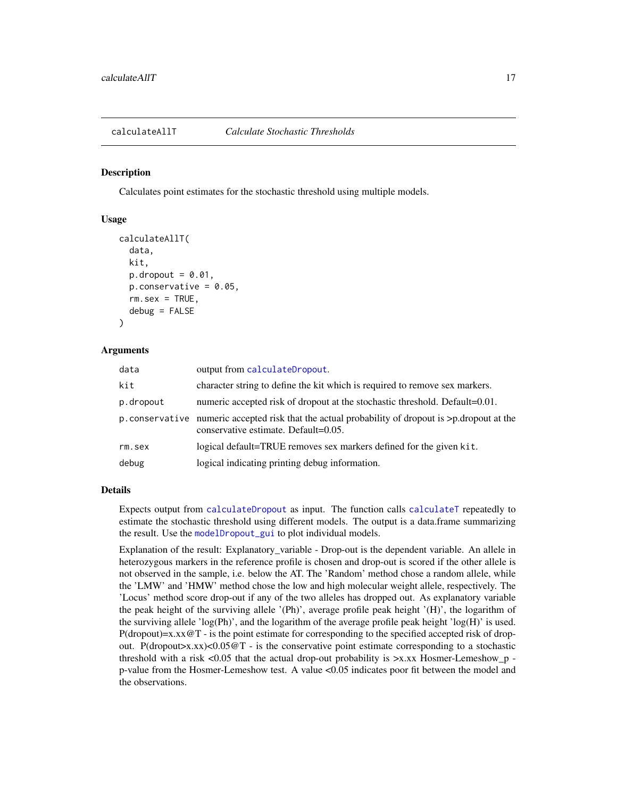<span id="page-16-1"></span><span id="page-16-0"></span>

#### **Description**

Calculates point estimates for the stochastic threshold using multiple models.

#### Usage

```
calculateAllT(
  data,
  kit,
 p.dropout = 0.01,
  p.\nconservative = 0.05,rm. sex = TRUE,debug = FALSE
)
```
#### Arguments

| data      | output from calculateDropout.                                                                                                                   |
|-----------|-------------------------------------------------------------------------------------------------------------------------------------------------|
| kit       | character string to define the kit which is required to remove sex markers.                                                                     |
| p.dropout | numeric accepted risk of dropout at the stochastic threshold. Default=0.01.                                                                     |
|           | p. conservative numeric accepted risk that the actual probability of dropout is $\gt$ p. dropout at the<br>conservative estimate. Default=0.05. |
| rm.sex    | logical default=TRUE removes sex markers defined for the given kit.                                                                             |
| debug     | logical indicating printing debug information.                                                                                                  |

#### **Details**

Expects output from [calculateDropout](#page-27-1) as input. The function calls [calculateT](#page-59-1) repeatedly to estimate the stochastic threshold using different models. The output is a data.frame summarizing the result. Use the [modelDropout\\_gui](#page-87-1) to plot individual models.

Explanation of the result: Explanatory variable - Drop-out is the dependent variable. An allele in heterozygous markers in the reference profile is chosen and drop-out is scored if the other allele is not observed in the sample, i.e. below the AT. The 'Random' method chose a random allele, while the 'LMW' and 'HMW' method chose the low and high molecular weight allele, respectively. The 'Locus' method score drop-out if any of the two alleles has dropped out. As explanatory variable the peak height of the surviving allele '(Ph)', average profile peak height '(H)', the logarithm of the surviving allele 'log(Ph)', and the logarithm of the average profile peak height 'log(H)' is used.  $P(dropout)=x.xx@T - is the point estimate for corresponding to the specified accepted risk of drop$ out. P(dropout>x.xx)<0.05 $@T - is$  the conservative point estimate corresponding to a stochastic threshold with a risk  $\langle 0.05 \rangle$  that the actual drop-out probability is  $\langle x, x \rangle$  Hosmer-Lemeshow\_p p-value from the Hosmer-Lemeshow test. A value <0.05 indicates poor fit between the model and the observations.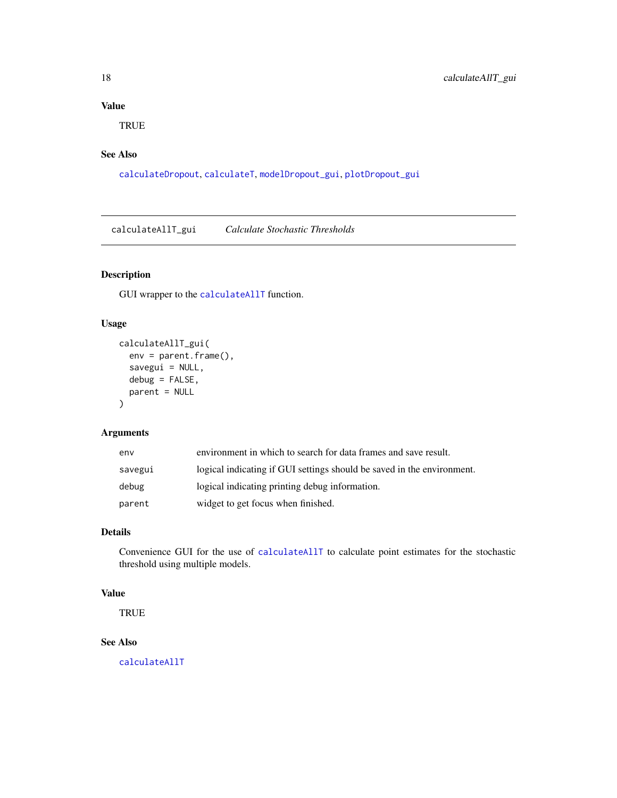# <span id="page-17-0"></span>Value

**TRUE** 

# See Also

[calculateDropout](#page-27-1), [calculateT](#page-59-1), [modelDropout\\_gui](#page-87-1), [plotDropout\\_gui](#page-94-1)

calculateAllT\_gui *Calculate Stochastic Thresholds*

# Description

GUI wrapper to the [calculateAllT](#page-16-1) function.

#### Usage

```
calculateAllT_gui(
  env = parent.frame(),
  savegui = NULL,
  debug = FALSE,parent = NULL
\mathcal{L}
```
# Arguments

| env     | environment in which to search for data frames and save result.        |
|---------|------------------------------------------------------------------------|
| savegui | logical indicating if GUI settings should be saved in the environment. |
| debug   | logical indicating printing debug information.                         |
| parent  | widget to get focus when finished.                                     |

# Details

Convenience GUI for the use of [calculateAllT](#page-16-1) to calculate point estimates for the stochastic threshold using multiple models.

# Value

**TRUE** 

# See Also

[calculateAllT](#page-16-1)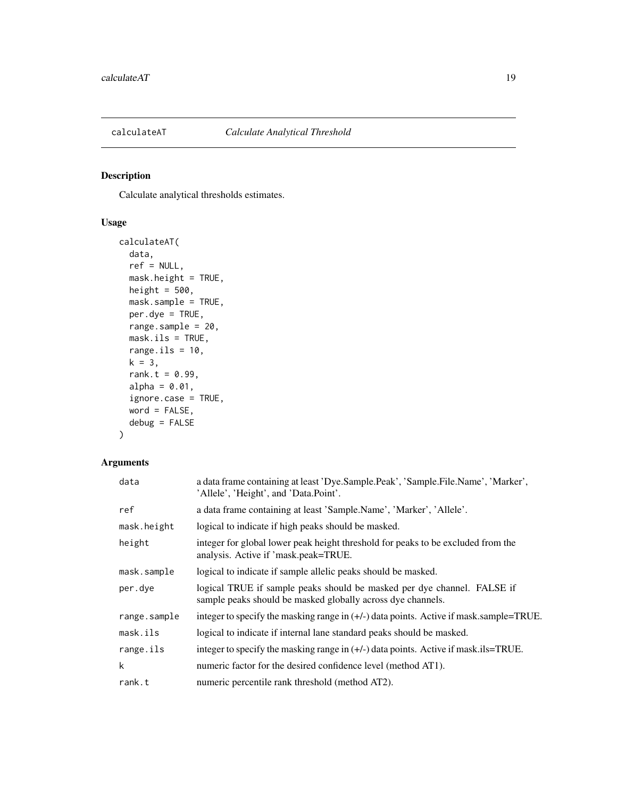<span id="page-18-1"></span><span id="page-18-0"></span>

# Description

Calculate analytical thresholds estimates.

# Usage

```
calculateAT(
  data,
  ref = NULL,
  mask.height = TRUE,
  height = 500,
  mask.sample = TRUE,
  per.dye = TRUE,
  range.sample = 20,
  mask.ils = TRUE,range.ils = 10,
  k = 3,rank.t = 0.99,
  alpha = 0.01,
  ignore.case = TRUE,
  word = FALSE,
  debug = FALSE
\mathcal{L}
```
# Arguments

| data         | a data frame containing at least 'Dye.Sample.Peak', 'Sample.File.Name', 'Marker',<br>'Allele', 'Height', and 'Data.Point'.             |
|--------------|----------------------------------------------------------------------------------------------------------------------------------------|
| ref          | a data frame containing at least 'Sample.Name', 'Marker', 'Allele'.                                                                    |
| mask.height  | logical to indicate if high peaks should be masked.                                                                                    |
| height       | integer for global lower peak height threshold for peaks to be excluded from the<br>analysis. Active if 'mask.peak=TRUE.               |
| mask.sample  | logical to indicate if sample allelic peaks should be masked.                                                                          |
| per.dye      | logical TRUE if sample peaks should be masked per dye channel. FALSE if<br>sample peaks should be masked globally across dye channels. |
| range.sample | integer to specify the masking range in $(+/-)$ data points. Active if mask, sample=TRUE.                                              |
| mask.ils     | logical to indicate if internal lane standard peaks should be masked.                                                                  |
| range.ils    | integer to specify the masking range in $(+/-)$ data points. Active if mask ils=TRUE.                                                  |
| k            | numeric factor for the desired confidence level (method AT1).                                                                          |
| rank.t       | numeric percentile rank threshold (method AT2).                                                                                        |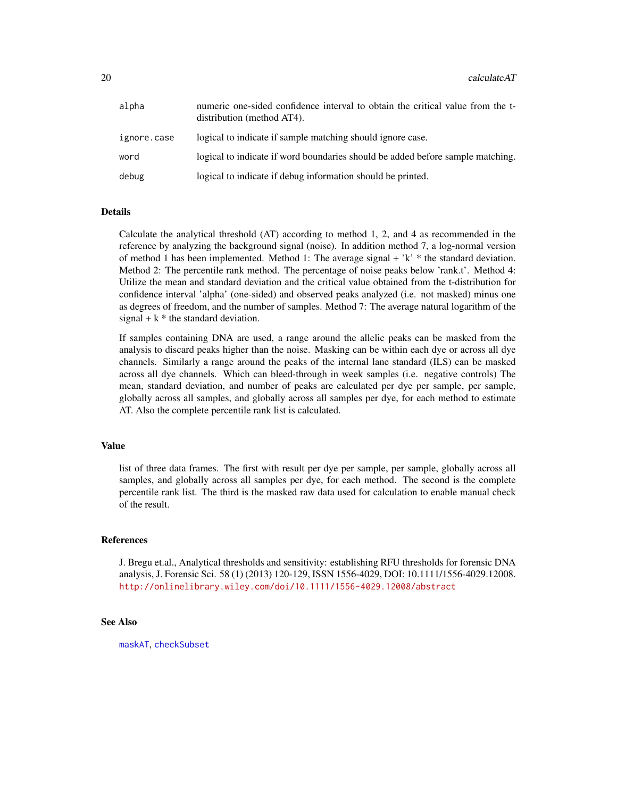| alpha       | numeric one-sided confidence interval to obtain the critical value from the t-<br>distribution (method AT4). |
|-------------|--------------------------------------------------------------------------------------------------------------|
| ignore.case | logical to indicate if sample matching should ignore case.                                                   |
| word        | logical to indicate if word boundaries should be added before sample matching.                               |
| debug       | logical to indicate if debug information should be printed.                                                  |

#### Details

Calculate the analytical threshold (AT) according to method 1, 2, and 4 as recommended in the reference by analyzing the background signal (noise). In addition method 7, a log-normal version of method 1 has been implemented. Method 1: The average signal  $+$  'k'  $*$  the standard deviation. Method 2: The percentile rank method. The percentage of noise peaks below 'rank.t'. Method 4: Utilize the mean and standard deviation and the critical value obtained from the t-distribution for confidence interval 'alpha' (one-sided) and observed peaks analyzed (i.e. not masked) minus one as degrees of freedom, and the number of samples. Method 7: The average natural logarithm of the signal  $+ k *$  the standard deviation.

If samples containing DNA are used, a range around the allelic peaks can be masked from the analysis to discard peaks higher than the noise. Masking can be within each dye or across all dye channels. Similarly a range around the peaks of the internal lane standard (ILS) can be masked across all dye channels. Which can bleed-through in week samples (i.e. negative controls) The mean, standard deviation, and number of peaks are calculated per dye per sample, per sample, globally across all samples, and globally across all samples per dye, for each method to estimate AT. Also the complete percentile rank list is calculated.

#### Value

list of three data frames. The first with result per dye per sample, per sample, globally across all samples, and globally across all samples per dye, for each method. The second is the complete percentile rank list. The third is the masked raw data used for calculation to enable manual check of the result.

#### References

J. Bregu et.al., Analytical thresholds and sensitivity: establishing RFU thresholds for forensic DNA analysis, J. Forensic Sci. 58 (1) (2013) 120-129, ISSN 1556-4029, DOI: 10.1111/1556-4029.12008. <http://onlinelibrary.wiley.com/doi/10.1111/1556-4029.12008/abstract>

#### See Also

[maskAT](#page-85-1), [checkSubset](#page-61-1)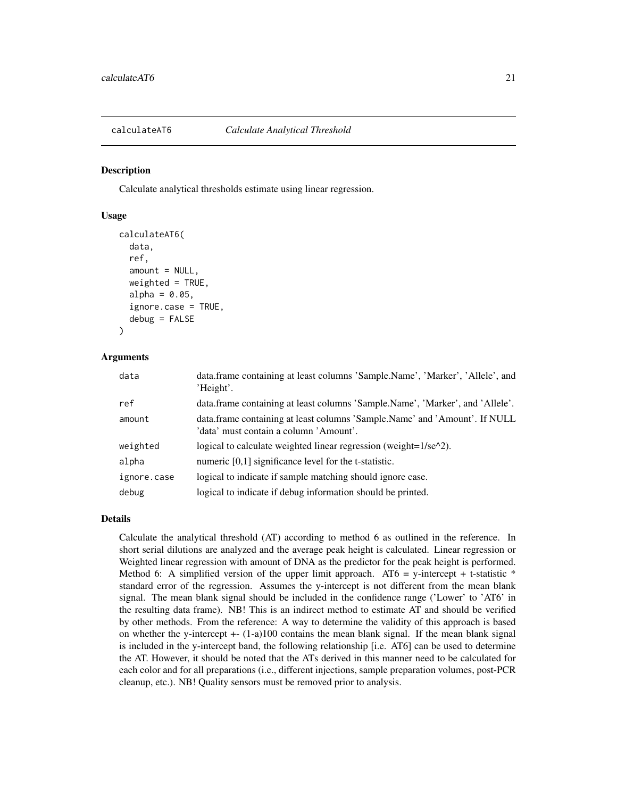<span id="page-20-1"></span><span id="page-20-0"></span>

#### Description

Calculate analytical thresholds estimate using linear regression.

#### Usage

```
calculateAT6(
  data,
  ref,
  amount = NULL,weighted = TRUE,
  alpha = 0.05,
  ignore.case = TRUE,
  debug = FALSE)
```
#### Arguments

| data        | data.frame containing at least columns 'Sample.Name', 'Marker', 'Allele', and<br>'Height'.                           |
|-------------|----------------------------------------------------------------------------------------------------------------------|
| ref         | data.frame containing at least columns 'Sample.Name', 'Marker', and 'Allele'.                                        |
| amount      | data.frame containing at least columns 'Sample.Name' and 'Amount'. If NULL<br>'data' must contain a column 'Amount'. |
| weighted    | logical to calculate weighted linear regression (weight= $1/\text{se}^{\wedge}2$ ).                                  |
| alpha       | numeric $[0,1]$ significance level for the t-statistic.                                                              |
| ignore.case | logical to indicate if sample matching should ignore case.                                                           |
| debug       | logical to indicate if debug information should be printed.                                                          |

#### Details

Calculate the analytical threshold (AT) according to method 6 as outlined in the reference. In short serial dilutions are analyzed and the average peak height is calculated. Linear regression or Weighted linear regression with amount of DNA as the predictor for the peak height is performed. Method 6: A simplified version of the upper limit approach. AT6 = y-intercept + t-statistic  $*$ standard error of the regression. Assumes the y-intercept is not different from the mean blank signal. The mean blank signal should be included in the confidence range ('Lower' to 'AT6' in the resulting data frame). NB! This is an indirect method to estimate AT and should be verified by other methods. From the reference: A way to determine the validity of this approach is based on whether the y-intercept  $+(-1)$ -a)100 contains the mean blank signal. If the mean blank signal is included in the y-intercept band, the following relationship [i.e. AT6] can be used to determine the AT. However, it should be noted that the ATs derived in this manner need to be calculated for each color and for all preparations (i.e., different injections, sample preparation volumes, post-PCR cleanup, etc.). NB! Quality sensors must be removed prior to analysis.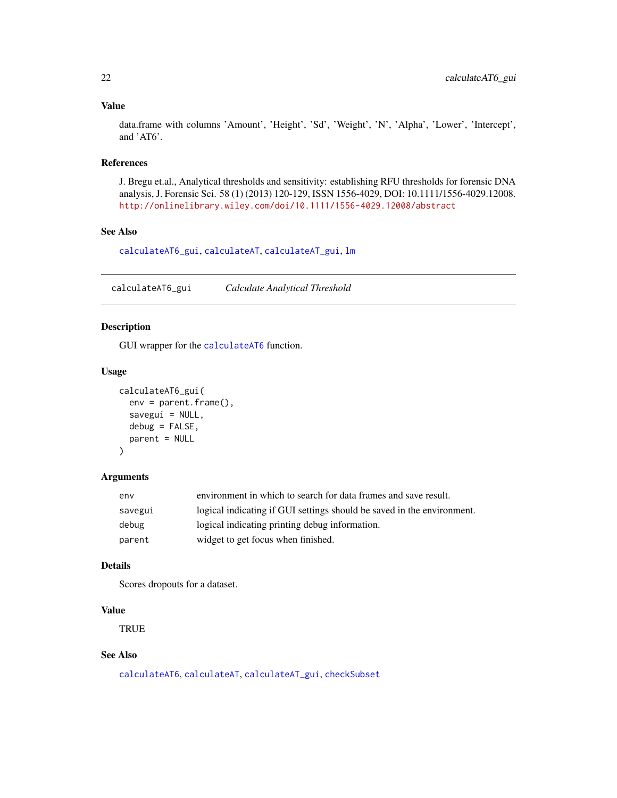#### Value

data.frame with columns 'Amount', 'Height', 'Sd', 'Weight', 'N', 'Alpha', 'Lower', 'Intercept', and 'AT6'.

#### References

J. Bregu et.al., Analytical thresholds and sensitivity: establishing RFU thresholds for forensic DNA analysis, J. Forensic Sci. 58 (1) (2013) 120-129, ISSN 1556-4029, DOI: 10.1111/1556-4029.12008. <http://onlinelibrary.wiley.com/doi/10.1111/1556-4029.12008/abstract>

# See Also

[calculateAT6\\_gui](#page-21-1), [calculateAT](#page-18-1), [calculateAT\\_gui](#page-22-1), [lm](#page-0-0)

<span id="page-21-1"></span>calculateAT6\_gui *Calculate Analytical Threshold*

# Description

GUI wrapper for the [calculateAT6](#page-20-1) function.

#### Usage

```
calculateAT6_gui(
  env = parent.frame(),
  savegui = NULL,
  debug = FALSE,
  parent = NULL
)
```
# Arguments

| env     | environment in which to search for data frames and save result.        |
|---------|------------------------------------------------------------------------|
| savegui | logical indicating if GUI settings should be saved in the environment. |
| debug   | logical indicating printing debug information.                         |
| parent  | widget to get focus when finished.                                     |

#### Details

Scores dropouts for a dataset.

#### Value

**TRUE** 

# See Also

[calculateAT6](#page-20-1), [calculateAT](#page-18-1), [calculateAT\\_gui](#page-22-1), [checkSubset](#page-61-1)

<span id="page-21-0"></span>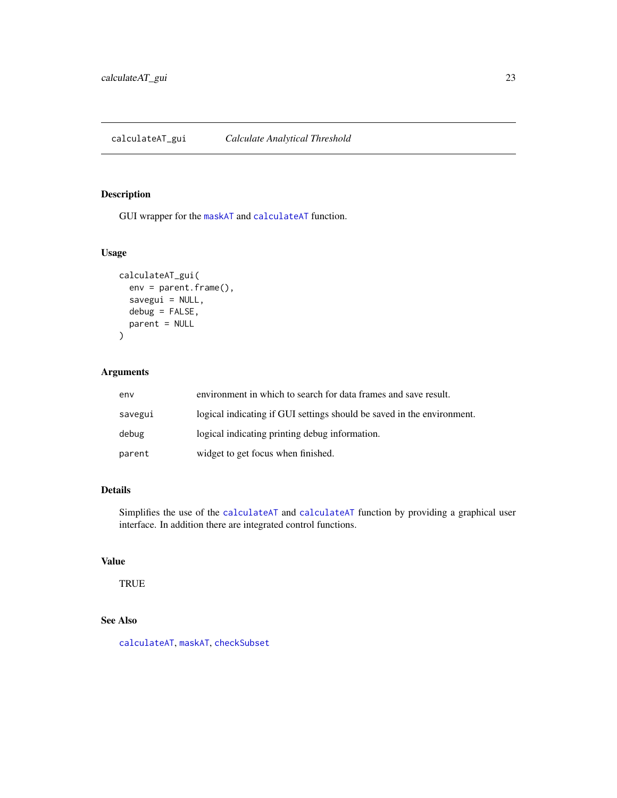## <span id="page-22-1"></span><span id="page-22-0"></span>Description

GUI wrapper for the [maskAT](#page-85-1) and [calculateAT](#page-18-1) function.

# Usage

```
calculateAT_gui(
  env = parent.frame(),
  savegui = NULL,
  debug = FALSE,
  parent = NULL
\mathcal{L}
```
# Arguments

| env     | environment in which to search for data frames and save result.        |
|---------|------------------------------------------------------------------------|
| savegui | logical indicating if GUI settings should be saved in the environment. |
| debug   | logical indicating printing debug information.                         |
| parent  | widget to get focus when finished.                                     |

## Details

Simplifies the use of the [calculateAT](#page-18-1) and [calculateAT](#page-18-1) function by providing a graphical user interface. In addition there are integrated control functions.

# Value

**TRUE** 

# See Also

[calculateAT](#page-18-1), [maskAT](#page-85-1), [checkSubset](#page-61-1)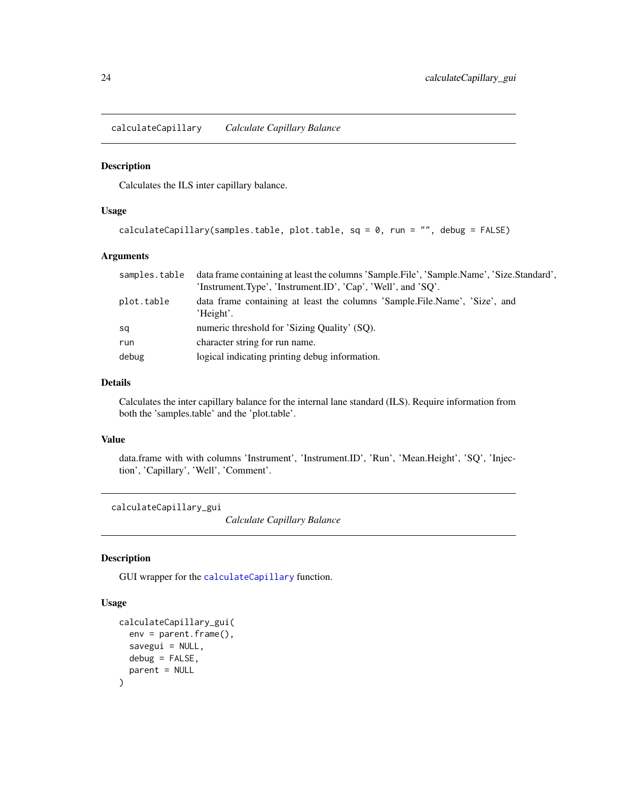<span id="page-23-1"></span><span id="page-23-0"></span>calculateCapillary *Calculate Capillary Balance*

#### Description

Calculates the ILS inter capillary balance.

# Usage

```
calculateCapillary(samples.table, plot.table, sq = 0, run = "", debug = FALSE)
```
#### Arguments

|            | samples. table data frame containing at least the columns 'Sample. File', 'Sample. Name', 'Size. Standard', |
|------------|-------------------------------------------------------------------------------------------------------------|
|            | 'Instrument.Type', 'Instrument.ID', 'Cap', 'Well', and 'SO'.                                                |
| plot.table | data frame containing at least the columns 'Sample.File.Name', 'Size', and<br>'Height'.                     |
| sq         | numeric threshold for 'Sizing Quality' (SO).                                                                |
| run        | character string for run name.                                                                              |
| debug      | logical indicating printing debug information.                                                              |

#### Details

Calculates the inter capillary balance for the internal lane standard (ILS). Require information from both the 'samples.table' and the 'plot.table'.

#### Value

data.frame with with columns 'Instrument', 'Instrument.ID', 'Run', 'Mean.Height', 'SQ', 'Injection', 'Capillary', 'Well', 'Comment'.

calculateCapillary\_gui

*Calculate Capillary Balance*

#### Description

GUI wrapper for the [calculateCapillary](#page-23-1) function.

```
calculateCapillary_gui(
  env = parent.frame(),
  savegui = NULL,
 debug = FALSE,
  parent = NULL
)
```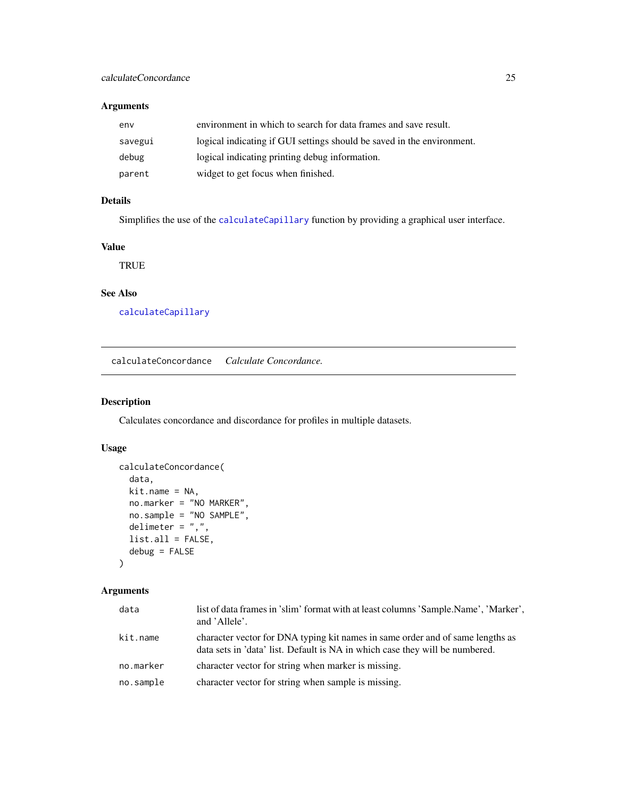# <span id="page-24-0"></span>Arguments

| env     | environment in which to search for data frames and save result.        |
|---------|------------------------------------------------------------------------|
| savegui | logical indicating if GUI settings should be saved in the environment. |
| debug   | logical indicating printing debug information.                         |
| parent  | widget to get focus when finished.                                     |

# Details

Simplifies the use of the [calculateCapillary](#page-23-1) function by providing a graphical user interface.

# Value

**TRUE** 

# See Also

[calculateCapillary](#page-23-1)

<span id="page-24-1"></span>calculateConcordance *Calculate Concordance.*

#### Description

Calculates concordance and discordance for profiles in multiple datasets.

# Usage

```
calculateConcordance(
  data,
 kit.name = NA,
 no.marker = "NO MARKER",
 no.sample = "NO SAMPLE",
 delimeter = ",",list.all = FALSE,
  debug = FALSE
)
```
# Arguments

| data      | list of data frames in 'slim' format with at least columns 'Sample.Name', 'Marker',<br>and 'Allele'.                                                           |
|-----------|----------------------------------------------------------------------------------------------------------------------------------------------------------------|
| kit.name  | character vector for DNA typing kit names in same order and of same lengths as<br>data sets in 'data' list. Default is NA in which case they will be numbered. |
| no.marker | character vector for string when marker is missing.                                                                                                            |
| no.sample | character vector for string when sample is missing.                                                                                                            |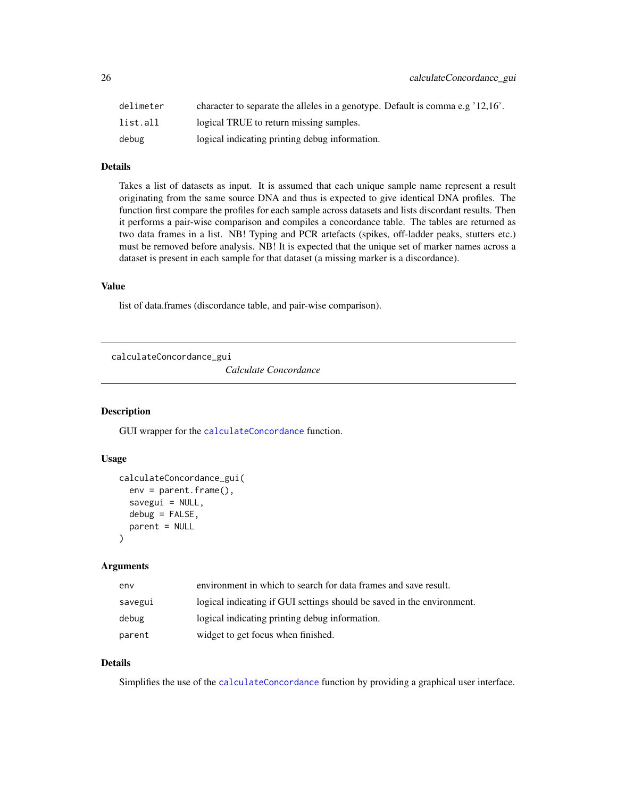<span id="page-25-0"></span>

| delimeter | character to separate the alleles in a genotype. Default is comma e.g '12,16'. |
|-----------|--------------------------------------------------------------------------------|
| list.all  | logical TRUE to return missing samples.                                        |
| debug     | logical indicating printing debug information.                                 |

## Details

Takes a list of datasets as input. It is assumed that each unique sample name represent a result originating from the same source DNA and thus is expected to give identical DNA profiles. The function first compare the profiles for each sample across datasets and lists discordant results. Then it performs a pair-wise comparison and compiles a concordance table. The tables are returned as two data frames in a list. NB! Typing and PCR artefacts (spikes, off-ladder peaks, stutters etc.) must be removed before analysis. NB! It is expected that the unique set of marker names across a dataset is present in each sample for that dataset (a missing marker is a discordance).

#### Value

list of data.frames (discordance table, and pair-wise comparison).

calculateConcordance\_gui

*Calculate Concordance*

#### **Description**

GUI wrapper for the [calculateConcordance](#page-24-1) function.

#### Usage

```
calculateConcordance_gui(
  env = parent.frame(),
  savegui = NULL,debug = FALSE,
  parent = NULL
)
```
#### Arguments

| env     | environment in which to search for data frames and save result.        |
|---------|------------------------------------------------------------------------|
| savegui | logical indicating if GUI settings should be saved in the environment. |
| debug   | logical indicating printing debug information.                         |
| parent  | widget to get focus when finished.                                     |

#### Details

Simplifies the use of the [calculateConcordance](#page-24-1) function by providing a graphical user interface.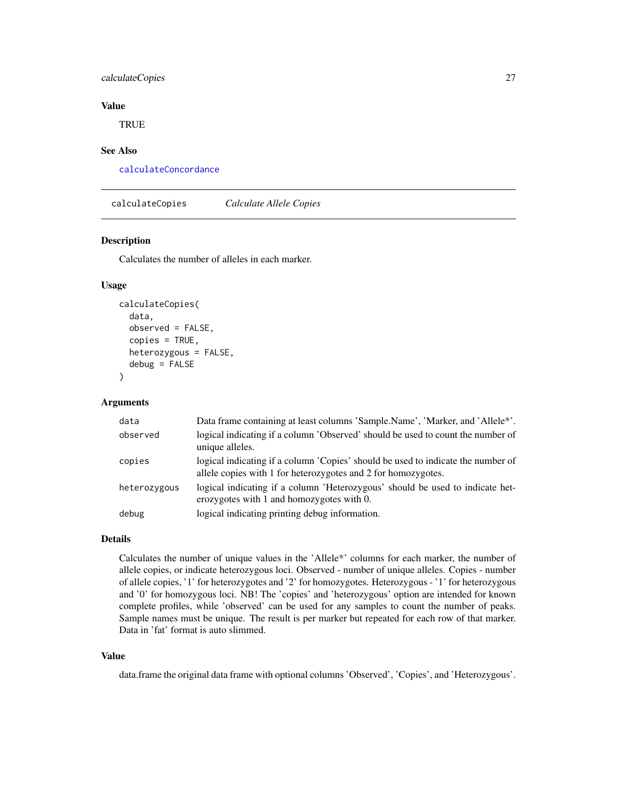# <span id="page-26-0"></span>calculateCopies 27

#### Value

**TRUE** 

#### See Also

[calculateConcordance](#page-24-1)

<span id="page-26-1"></span>calculateCopies *Calculate Allele Copies*

## Description

Calculates the number of alleles in each marker.

#### Usage

```
calculateCopies(
  data,
  observed = FALSE,
  copies = TRUE,
  heterozygous = FALSE,
  debug = FALSE\mathcal{L}
```
#### Arguments

| data         | Data frame containing at least columns 'Sample.Name', 'Marker, and 'Allele*'.                                                                     |
|--------------|---------------------------------------------------------------------------------------------------------------------------------------------------|
| observed     | logical indicating if a column 'Observed' should be used to count the number of<br>unique alleles.                                                |
| copies       | logical indicating if a column 'Copies' should be used to indicate the number of<br>allele copies with 1 for heterozygotes and 2 for homozygotes. |
| heterozygous | logical indicating if a column 'Heterozygous' should be used to indicate het-<br>erozygotes with 1 and homozygotes with 0.                        |
| debug        | logical indicating printing debug information.                                                                                                    |

#### Details

Calculates the number of unique values in the 'Allele\*' columns for each marker, the number of allele copies, or indicate heterozygous loci. Observed - number of unique alleles. Copies - number of allele copies, '1' for heterozygotes and '2' for homozygotes. Heterozygous - '1' for heterozygous and '0' for homozygous loci. NB! The 'copies' and 'heterozygous' option are intended for known complete profiles, while 'observed' can be used for any samples to count the number of peaks. Sample names must be unique. The result is per marker but repeated for each row of that marker. Data in 'fat' format is auto slimmed.

#### Value

data.frame the original data frame with optional columns 'Observed', 'Copies', and 'Heterozygous'.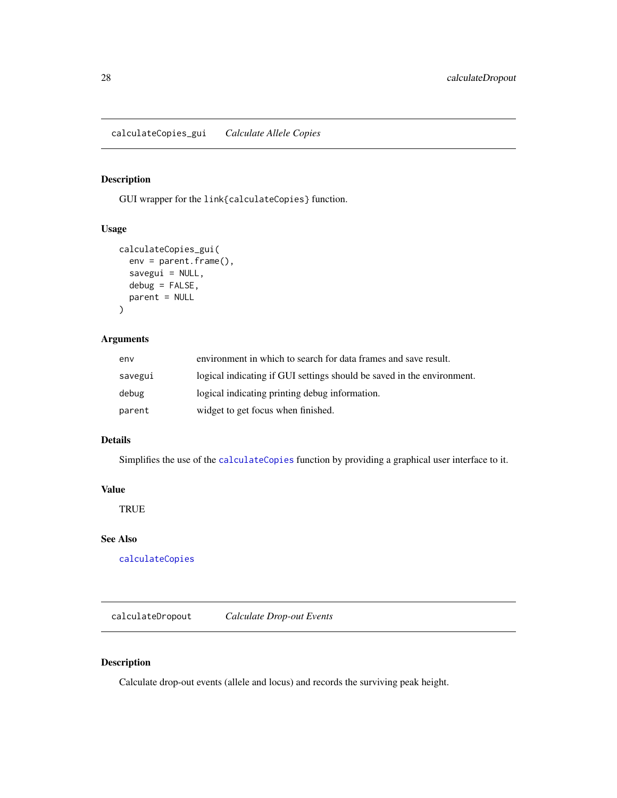<span id="page-27-0"></span>calculateCopies\_gui *Calculate Allele Copies*

#### Description

GUI wrapper for the link{calculateCopies} function.

## Usage

```
calculateCopies_gui(
  env = parent.frame(),
  savegui = NULL,
 debug = FALSE,
  parent = NULL
)
```
#### Arguments

| env     | environment in which to search for data frames and save result.        |
|---------|------------------------------------------------------------------------|
| savegui | logical indicating if GUI settings should be saved in the environment. |
| debug   | logical indicating printing debug information.                         |
| parent  | widget to get focus when finished.                                     |

## Details

Simplifies the use of the [calculateCopies](#page-26-1) function by providing a graphical user interface to it.

#### Value

**TRUE** 

# See Also

[calculateCopies](#page-26-1)

<span id="page-27-1"></span>calculateDropout *Calculate Drop-out Events*

# Description

Calculate drop-out events (allele and locus) and records the surviving peak height.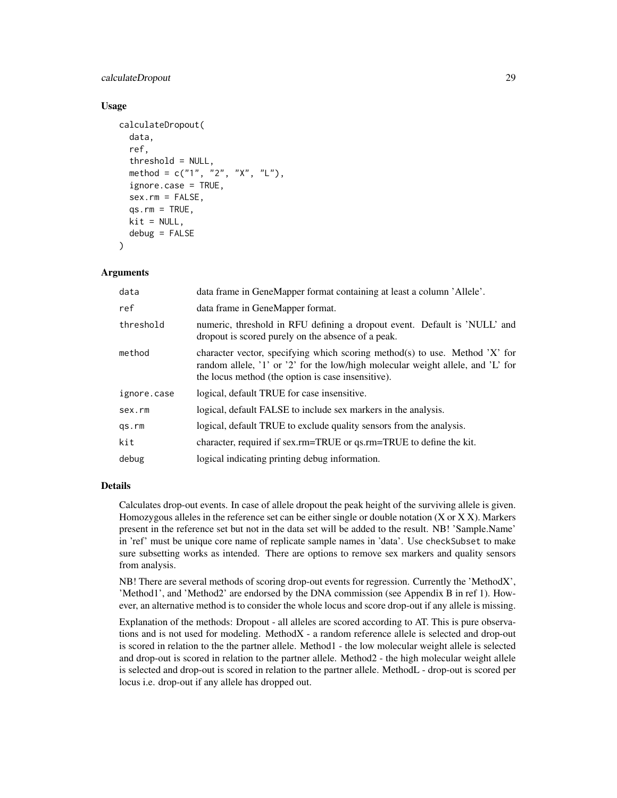## calculateDropout 29

#### Usage

```
calculateDropout(
  data,
  ref,
  threshold = NULL,
  method = c("1", "2", "X", "L"),ignore.case = TRUE,
  sex.rm = FALSE,
  qs.rm = TRUE,kit = NULL,debug = FALSE
)
```
#### Arguments

| data        | data frame in GeneMapper format containing at least a column 'Allele'.                                                                                                                                               |
|-------------|----------------------------------------------------------------------------------------------------------------------------------------------------------------------------------------------------------------------|
| ref         | data frame in GeneMapper format.                                                                                                                                                                                     |
| threshold   | numeric, threshold in RFU defining a dropout event. Default is 'NULL' and<br>dropout is scored purely on the absence of a peak.                                                                                      |
| method      | character vector, specifying which scoring method(s) to use. Method 'X' for<br>random allele, '1' or '2' for the low/high molecular weight allele, and 'L' for<br>the locus method (the option is case insensitive). |
| ignore.case | logical, default TRUE for case insensitive.                                                                                                                                                                          |
| sex.rm      | logical, default FALSE to include sex markers in the analysis.                                                                                                                                                       |
| qs.rm       | logical, default TRUE to exclude quality sensors from the analysis.                                                                                                                                                  |
| kit         | character, required if sex.rm=TRUE or qs.rm=TRUE to define the kit.                                                                                                                                                  |
| debug       | logical indicating printing debug information.                                                                                                                                                                       |

#### Details

Calculates drop-out events. In case of allele dropout the peak height of the surviving allele is given. Homozygous alleles in the reference set can be either single or double notation (X or X X). Markers present in the reference set but not in the data set will be added to the result. NB! 'Sample.Name' in 'ref' must be unique core name of replicate sample names in 'data'. Use checkSubset to make sure subsetting works as intended. There are options to remove sex markers and quality sensors from analysis.

NB! There are several methods of scoring drop-out events for regression. Currently the 'MethodX', 'Method1', and 'Method2' are endorsed by the DNA commission (see Appendix B in ref 1). However, an alternative method is to consider the whole locus and score drop-out if any allele is missing.

Explanation of the methods: Dropout - all alleles are scored according to AT. This is pure observations and is not used for modeling. MethodX - a random reference allele is selected and drop-out is scored in relation to the the partner allele. Method1 - the low molecular weight allele is selected and drop-out is scored in relation to the partner allele. Method2 - the high molecular weight allele is selected and drop-out is scored in relation to the partner allele. MethodL - drop-out is scored per locus i.e. drop-out if any allele has dropped out.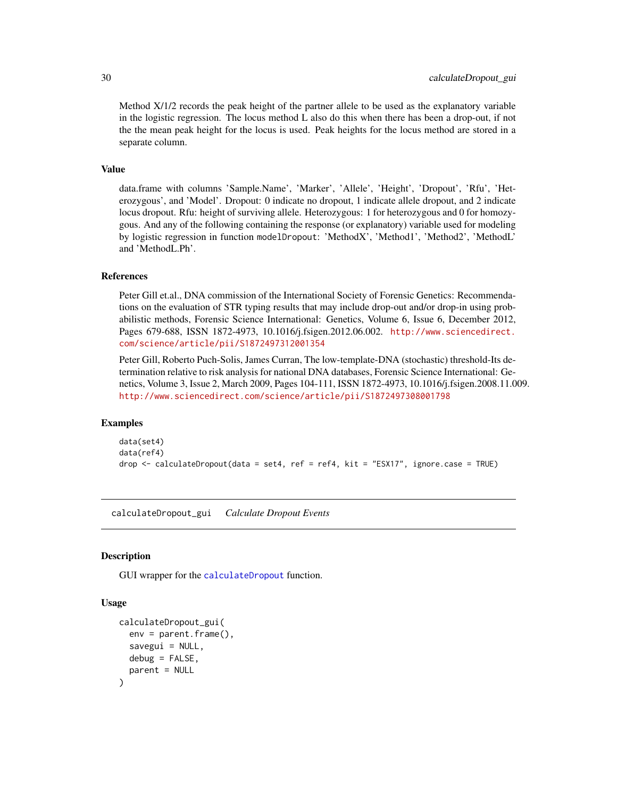<span id="page-29-0"></span>Method X/1/2 records the peak height of the partner allele to be used as the explanatory variable in the logistic regression. The locus method L also do this when there has been a drop-out, if not the the mean peak height for the locus is used. Peak heights for the locus method are stored in a separate column.

#### Value

data.frame with columns 'Sample.Name', 'Marker', 'Allele', 'Height', 'Dropout', 'Rfu', 'Heterozygous', and 'Model'. Dropout: 0 indicate no dropout, 1 indicate allele dropout, and 2 indicate locus dropout. Rfu: height of surviving allele. Heterozygous: 1 for heterozygous and 0 for homozygous. And any of the following containing the response (or explanatory) variable used for modeling by logistic regression in function modelDropout: 'MethodX', 'Method1', 'Method2', 'MethodL' and 'MethodL.Ph'.

#### References

Peter Gill et.al., DNA commission of the International Society of Forensic Genetics: Recommendations on the evaluation of STR typing results that may include drop-out and/or drop-in using probabilistic methods, Forensic Science International: Genetics, Volume 6, Issue 6, December 2012, Pages 679-688, ISSN 1872-4973, 10.1016/j.fsigen.2012.06.002. [http://www.sciencedirect.](http://www.sciencedirect.com/science/article/pii/S1872497312001354) [com/science/article/pii/S1872497312001354](http://www.sciencedirect.com/science/article/pii/S1872497312001354)

Peter Gill, Roberto Puch-Solis, James Curran, The low-template-DNA (stochastic) threshold-Its determination relative to risk analysis for national DNA databases, Forensic Science International: Genetics, Volume 3, Issue 2, March 2009, Pages 104-111, ISSN 1872-4973, 10.1016/j.fsigen.2008.11.009. <http://www.sciencedirect.com/science/article/pii/S1872497308001798>

#### Examples

```
data(set4)
data(ref4)
drop <- calculateDropout(data = set4, ref = ref4, kit = "ESX17", ignore.case = TRUE)
```
calculateDropout\_gui *Calculate Dropout Events*

#### Description

GUI wrapper for the [calculateDropout](#page-27-1) function.

```
calculateDropout_gui(
 env = parent.frame(),
  savegui = NULL,debug = FALSE,parent = NULL
)
```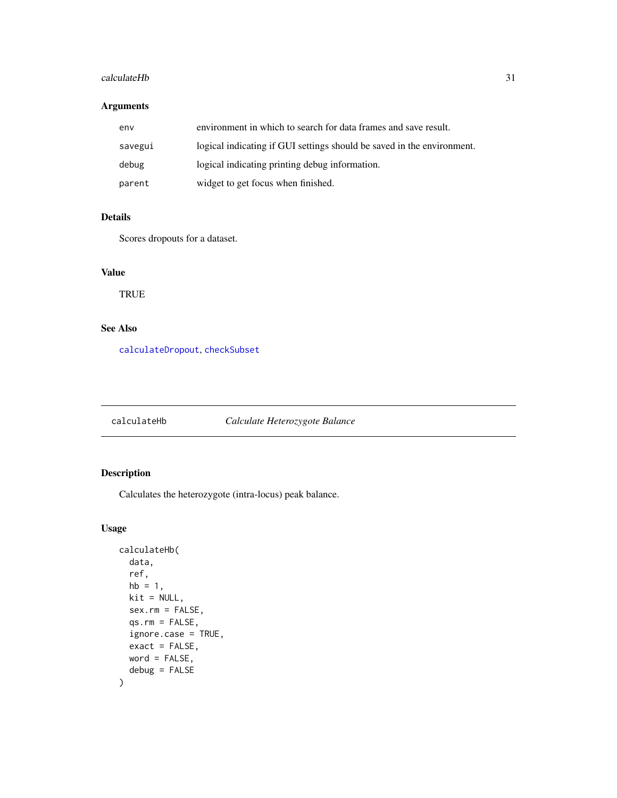#### <span id="page-30-0"></span>calculateHb 31

# Arguments

| env     | environment in which to search for data frames and save result.        |
|---------|------------------------------------------------------------------------|
| savegui | logical indicating if GUI settings should be saved in the environment. |
| debug   | logical indicating printing debug information.                         |
| parent  | widget to get focus when finished.                                     |

# Details

Scores dropouts for a dataset.

# Value

TRUE

# See Also

[calculateDropout](#page-27-1), [checkSubset](#page-61-1)

<span id="page-30-1"></span>

| calculateHb | Calculate Heterozygote Balance |
|-------------|--------------------------------|
|-------------|--------------------------------|

# Description

Calculates the heterozygote (intra-locus) peak balance.

```
calculateHb(
 data,
  ref,
 hb = 1,kit = NULL,sex.rm = FALSE,
  qs.rm = FALSE,ignore.case = TRUE,
 exact = FALSE,word = FALSE,
  debug = FALSE
)
```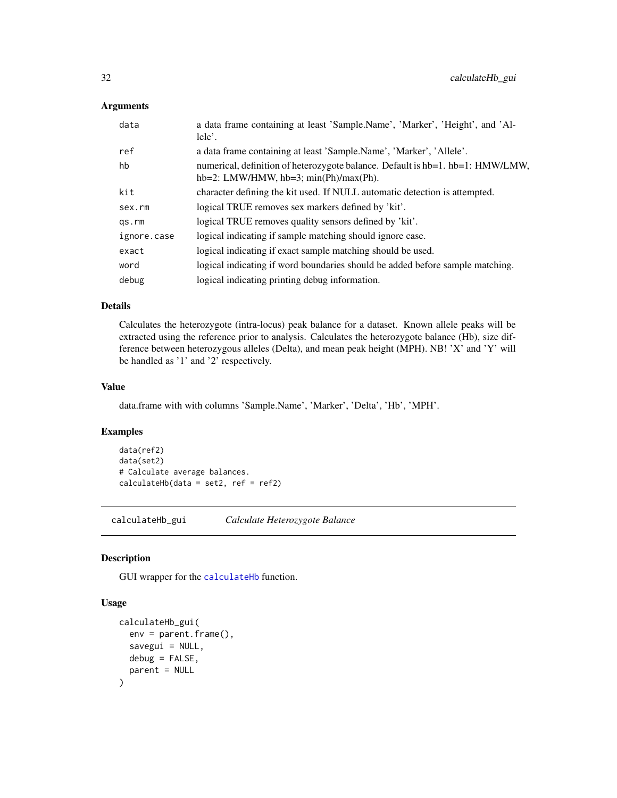#### <span id="page-31-0"></span>Arguments

| data        | a data frame containing at least 'Sample.Name', 'Marker', 'Height', and 'Al-<br>lele'.                                        |
|-------------|-------------------------------------------------------------------------------------------------------------------------------|
| ref         | a data frame containing at least 'Sample.Name', 'Marker', 'Allele'.                                                           |
| hb          | numerical, definition of heterozygote balance. Default is hb=1. hb=1: HMW/LMW,<br>$hb=2$ : LMW/HMW, $hb=3$ ; min(Ph)/max(Ph). |
| kit         | character defining the kit used. If NULL automatic detection is attempted.                                                    |
| sex.rm      | logical TRUE removes sex markers defined by 'kit'.                                                                            |
| qs.rm       | logical TRUE removes quality sensors defined by 'kit'.                                                                        |
| ignore.case | logical indicating if sample matching should ignore case.                                                                     |
| exact       | logical indicating if exact sample matching should be used.                                                                   |
| word        | logical indicating if word boundaries should be added before sample matching.                                                 |
| debug       | logical indicating printing debug information.                                                                                |

# Details

Calculates the heterozygote (intra-locus) peak balance for a dataset. Known allele peaks will be extracted using the reference prior to analysis. Calculates the heterozygote balance (Hb), size difference between heterozygous alleles (Delta), and mean peak height (MPH). NB! 'X' and 'Y' will be handled as '1' and '2' respectively.

#### Value

data.frame with with columns 'Sample.Name', 'Marker', 'Delta', 'Hb', 'MPH'.

# Examples

```
data(ref2)
data(set2)
# Calculate average balances.
calculatedHb(data = set2, ref = ref2)
```
calculateHb\_gui *Calculate Heterozygote Balance*

#### Description

GUI wrapper for the [calculateHb](#page-30-1) function.

```
calculateHb_gui(
  env = parent.frame(),
  savegui = NULL,
  debug = FALSE,
  parent = NULL
\mathcal{E}
```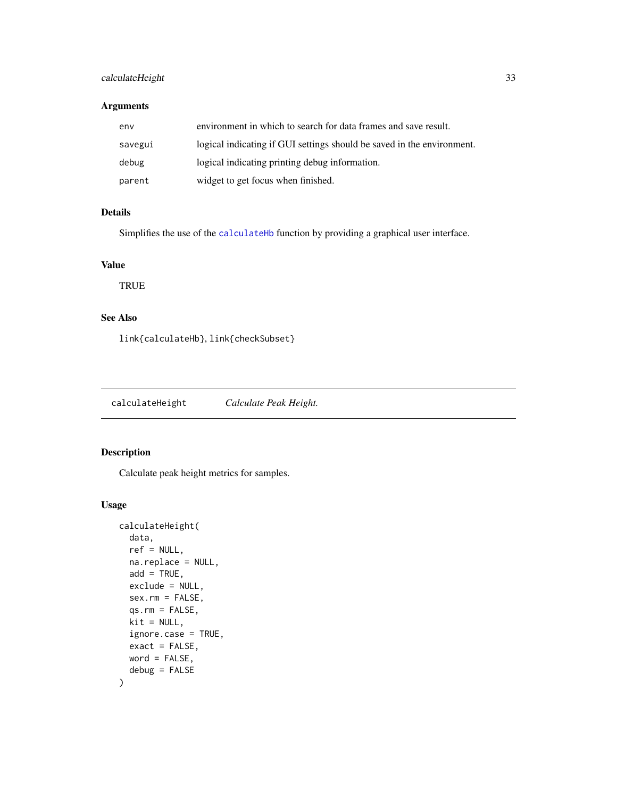# <span id="page-32-0"></span>calculateHeight 33

#### Arguments

| env     | environment in which to search for data frames and save result.        |
|---------|------------------------------------------------------------------------|
| savegui | logical indicating if GUI settings should be saved in the environment. |
| debug   | logical indicating printing debug information.                         |
| parent  | widget to get focus when finished.                                     |

# Details

Simplifies the use of the [calculateHb](#page-30-1) function by providing a graphical user interface.

# Value

**TRUE** 

# See Also

link{calculateHb}, link{checkSubset}

<span id="page-32-1"></span>calculateHeight *Calculate Peak Height.*

# Description

Calculate peak height metrics for samples.

```
calculateHeight(
  data,
  ref = NULL,na.replace = NULL,
  add = TRUE,exclude = NULL,
  sex.rm = FALSE,
  qs.rm = FALSE,
 kit = NULL,ignore.case = TRUE,
 exact = FALSE,word = FALSE,
  debug = FALSE
\mathcal{E}
```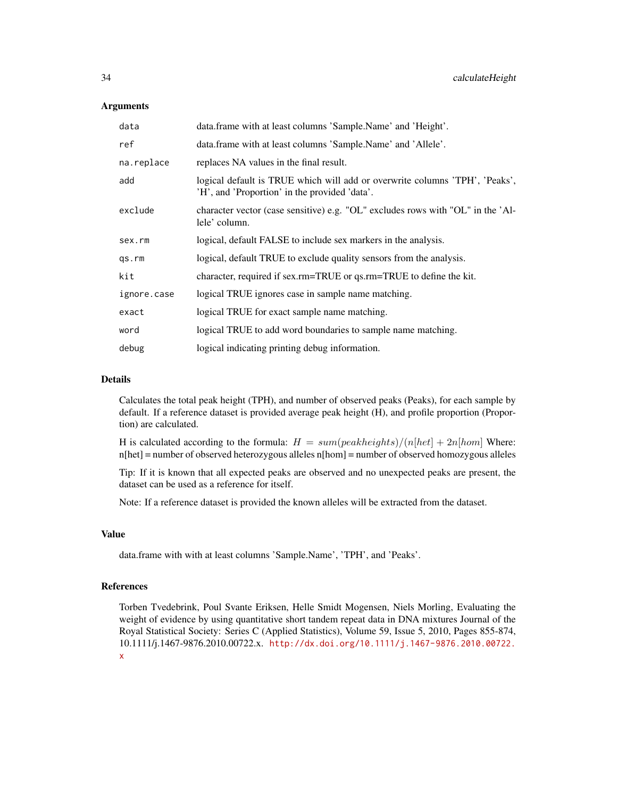#### Arguments

| data        | data.frame with at least columns 'Sample.Name' and 'Height'.                                                                 |
|-------------|------------------------------------------------------------------------------------------------------------------------------|
| ref         | data.frame with at least columns 'Sample.Name' and 'Allele'.                                                                 |
| na.replace  | replaces NA values in the final result.                                                                                      |
| add         | logical default is TRUE which will add or overwrite columns 'TPH', 'Peaks',<br>'H', and 'Proportion' in the provided 'data'. |
| exclude     | character vector (case sensitive) e.g. "OL" excludes rows with "OL" in the 'Al-<br>lele' column.                             |
| sex.rm      | logical, default FALSE to include sex markers in the analysis.                                                               |
| qs.rm       | logical, default TRUE to exclude quality sensors from the analysis.                                                          |
| kit         | character, required if sex.rm=TRUE or qs.rm=TRUE to define the kit.                                                          |
| ignore.case | logical TRUE ignores case in sample name matching.                                                                           |
| exact       | logical TRUE for exact sample name matching.                                                                                 |
| word        | logical TRUE to add word boundaries to sample name matching.                                                                 |
| debug       | logical indicating printing debug information.                                                                               |

#### Details

Calculates the total peak height (TPH), and number of observed peaks (Peaks), for each sample by default. If a reference dataset is provided average peak height (H), and profile proportion (Proportion) are calculated.

H is calculated according to the formula:  $H = sum(\text{peakheights})/(n[\text{het}] + 2n[\text{hom}]$  Where: n[het] = number of observed heterozygous alleles n[hom] = number of observed homozygous alleles

Tip: If it is known that all expected peaks are observed and no unexpected peaks are present, the dataset can be used as a reference for itself.

Note: If a reference dataset is provided the known alleles will be extracted from the dataset.

#### Value

data.frame with with at least columns 'Sample.Name', 'TPH', and 'Peaks'.

#### References

Torben Tvedebrink, Poul Svante Eriksen, Helle Smidt Mogensen, Niels Morling, Evaluating the weight of evidence by using quantitative short tandem repeat data in DNA mixtures Journal of the Royal Statistical Society: Series C (Applied Statistics), Volume 59, Issue 5, 2010, Pages 855-874, 10.1111/j.1467-9876.2010.00722.x. [http://dx.doi.org/10.1111/j.1467-9876.2010.00722.](http://dx.doi.org/10.1111/j.1467-9876.2010.00722.x) [x](http://dx.doi.org/10.1111/j.1467-9876.2010.00722.x)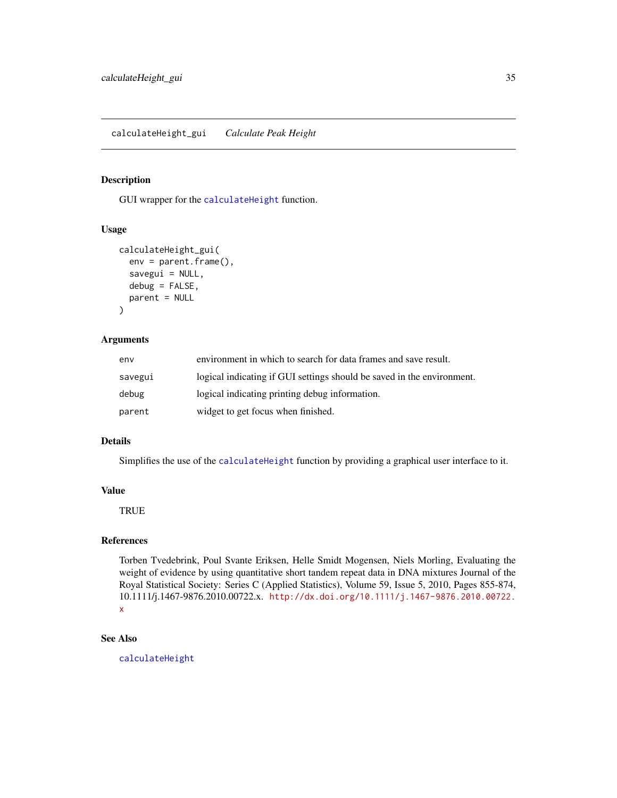#### <span id="page-34-0"></span>Description

GUI wrapper for the [calculateHeight](#page-32-1) function.

#### Usage

```
calculateHeight_gui(
  env = parent.frame(),
  savegui = NULL,
  debug = FALSE,
  parent = NULL
\mathcal{E}
```
#### Arguments

| env     | environment in which to search for data frames and save result.        |
|---------|------------------------------------------------------------------------|
| savegui | logical indicating if GUI settings should be saved in the environment. |
| debug   | logical indicating printing debug information.                         |
| parent  | widget to get focus when finished.                                     |

#### Details

Simplifies the use of the [calculateHeight](#page-32-1) function by providing a graphical user interface to it.

## Value

**TRUE** 

# References

Torben Tvedebrink, Poul Svante Eriksen, Helle Smidt Mogensen, Niels Morling, Evaluating the weight of evidence by using quantitative short tandem repeat data in DNA mixtures Journal of the Royal Statistical Society: Series C (Applied Statistics), Volume 59, Issue 5, 2010, Pages 855-874, 10.1111/j.1467-9876.2010.00722.x. [http://dx.doi.org/10.1111/j.1467-9876.2010.00722.](http://dx.doi.org/10.1111/j.1467-9876.2010.00722.x) [x](http://dx.doi.org/10.1111/j.1467-9876.2010.00722.x)

#### See Also

[calculateHeight](#page-32-1)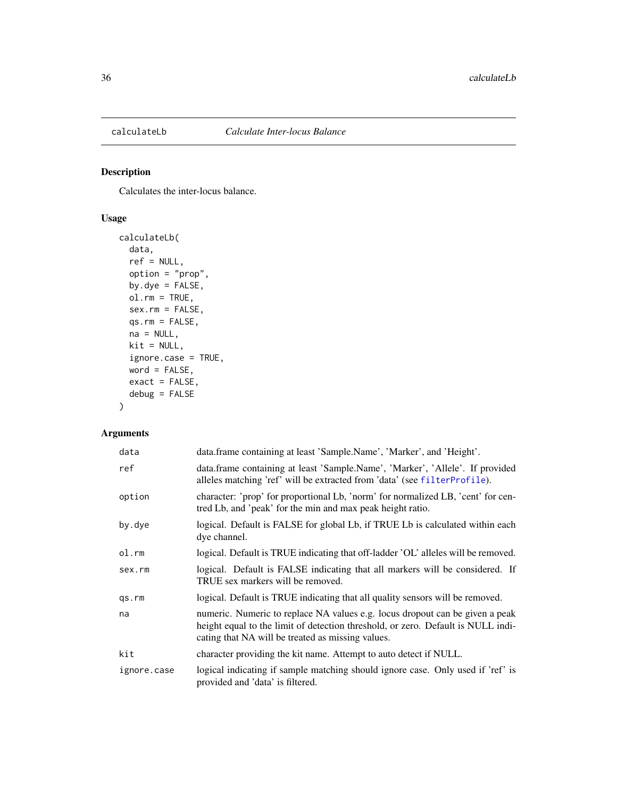<span id="page-35-0"></span>

# Description

Calculates the inter-locus balance.

# Usage

```
calculateLb(
  data,
  ref = NULL,
  option = "prop",
  by.dye = FALSE,
  ol.rm = TRUE,
  sex.rm = FALSE,
  qs.rm = FALSE,
  na = NULL,kit = NULL,ignore.case = TRUE,
  word = FALSE,
  exact = FALSE,debug = FALSE
\mathcal{L}
```
# Arguments

| data        | data.frame containing at least 'Sample.Name', 'Marker', and 'Height'.                                                                                                                                                 |
|-------------|-----------------------------------------------------------------------------------------------------------------------------------------------------------------------------------------------------------------------|
| ref         | data.frame containing at least 'Sample.Name', 'Marker', 'Allele'. If provided<br>alleles matching 'ref' will be extracted from 'data' (see filterProfile).                                                            |
| option      | character: 'prop' for proportional Lb, 'norm' for normalized LB, 'cent' for cen-<br>tred Lb, and 'peak' for the min and max peak height ratio.                                                                        |
| by.dye      | logical. Default is FALSE for global Lb, if TRUE Lb is calculated within each<br>dye channel.                                                                                                                         |
| ol.rm       | logical. Default is TRUE indicating that off-ladder 'OL' alleles will be removed.                                                                                                                                     |
| sex.rm      | logical. Default is FALSE indicating that all markers will be considered. If<br>TRUE sex markers will be removed.                                                                                                     |
| qs.rm       | logical. Default is TRUE indicating that all quality sensors will be removed.                                                                                                                                         |
| na          | numeric. Numeric to replace NA values e.g. locus dropout can be given a peak<br>height equal to the limit of detection threshold, or zero. Default is NULL indi-<br>cating that NA will be treated as missing values. |
| kit         | character providing the kit name. Attempt to auto detect if NULL.                                                                                                                                                     |
| ignore.case | logical indicating if sample matching should ignore case. Only used if 'ref' is<br>provided and 'data' is filtered.                                                                                                   |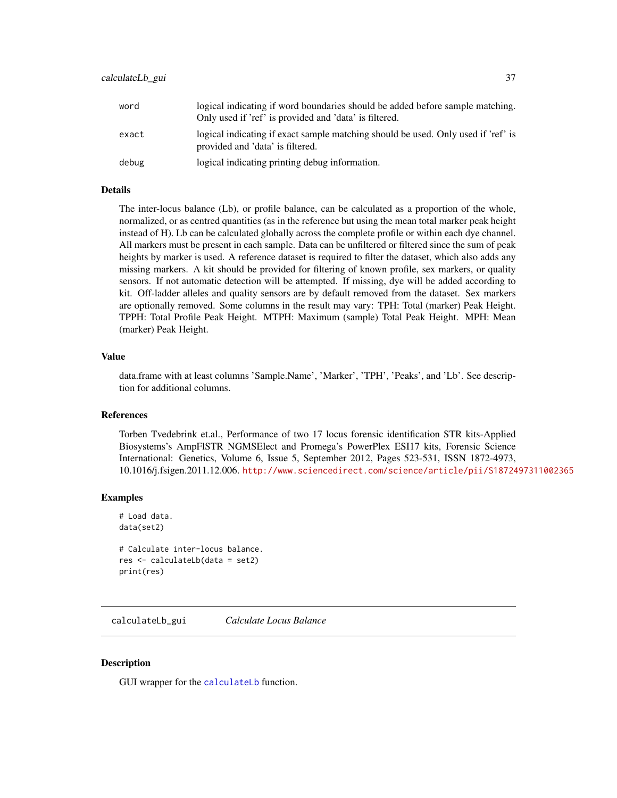| word  | logical indicating if word boundaries should be added before sample matching.<br>Only used if 'ref' is provided and 'data' is filtered. |
|-------|-----------------------------------------------------------------------------------------------------------------------------------------|
| exact | logical indicating if exact sample matching should be used. Only used if 'ref' is<br>provided and 'data' is filtered.                   |
| debug | logical indicating printing debug information.                                                                                          |

## Details

The inter-locus balance (Lb), or profile balance, can be calculated as a proportion of the whole, normalized, or as centred quantities (as in the reference but using the mean total marker peak height instead of H). Lb can be calculated globally across the complete profile or within each dye channel. All markers must be present in each sample. Data can be unfiltered or filtered since the sum of peak heights by marker is used. A reference dataset is required to filter the dataset, which also adds any missing markers. A kit should be provided for filtering of known profile, sex markers, or quality sensors. If not automatic detection will be attempted. If missing, dye will be added according to kit. Off-ladder alleles and quality sensors are by default removed from the dataset. Sex markers are optionally removed. Some columns in the result may vary: TPH: Total (marker) Peak Height. TPPH: Total Profile Peak Height. MTPH: Maximum (sample) Total Peak Height. MPH: Mean (marker) Peak Height.

#### Value

data.frame with at least columns 'Sample.Name', 'Marker', 'TPH', 'Peaks', and 'Lb'. See description for additional columns.

## References

Torben Tvedebrink et.al., Performance of two 17 locus forensic identification STR kits-Applied Biosystems's AmpFlSTR NGMSElect and Promega's PowerPlex ESI17 kits, Forensic Science International: Genetics, Volume 6, Issue 5, September 2012, Pages 523-531, ISSN 1872-4973, 10.1016/j.fsigen.2011.12.006. <http://www.sciencedirect.com/science/article/pii/S1872497311002365>

## **Examples**

```
# Load data.
data(set2)
# Calculate inter-locus balance.
res <- calculateLb(data = set2)
print(res)
```
calculateLb\_gui *Calculate Locus Balance*

## **Description**

GUI wrapper for the [calculateLb](#page-35-0) function.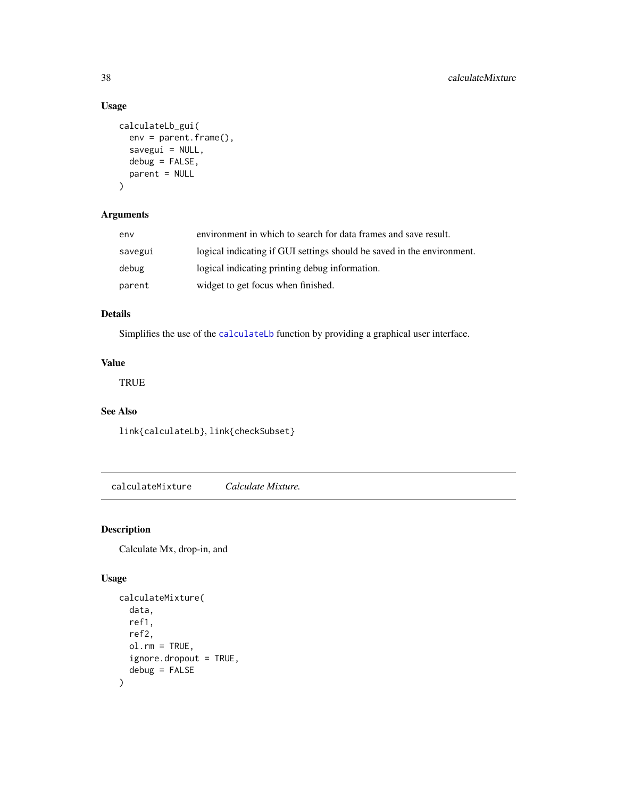# Usage

```
calculateLb_gui(
  env = parent.frame(),
  savegui = NULL,
  debug = FALSE,
  parent = NULL
\mathcal{L}
```
# Arguments

| env     | environment in which to search for data frames and save result.        |
|---------|------------------------------------------------------------------------|
| savegui | logical indicating if GUI settings should be saved in the environment. |
| debug   | logical indicating printing debug information.                         |
| parent  | widget to get focus when finished.                                     |

# Details

Simplifies the use of the [calculateLb](#page-35-0) function by providing a graphical user interface.

# Value

TRUE

# See Also

link{calculateLb}, link{checkSubset}

<span id="page-37-0"></span>calculateMixture *Calculate Mixture.*

# Description

Calculate Mx, drop-in, and

# Usage

```
calculateMixture(
  data,
  ref1,
  ref2,
  ol.rm = TRUE,
  ignore.dropout = TRUE,
  debug = FALSE
\mathcal{L}
```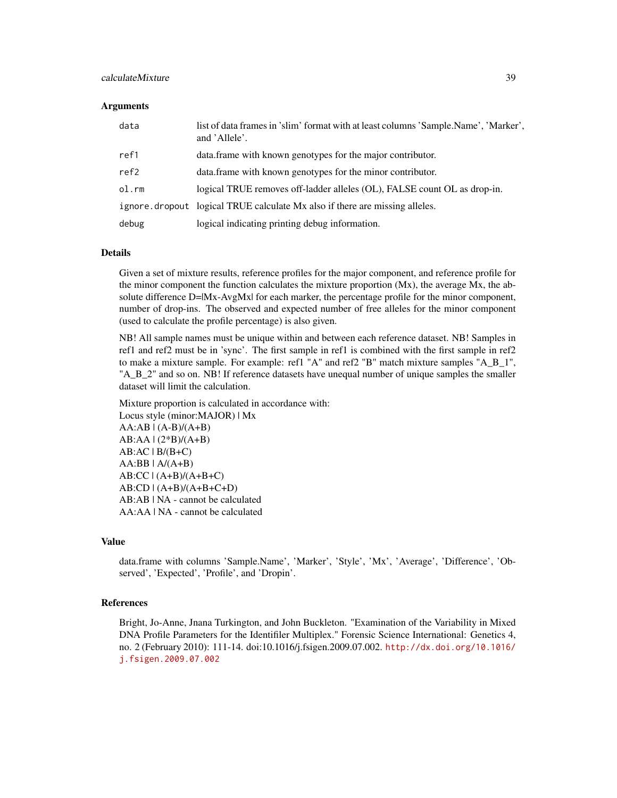## calculateMixture 39

#### **Arguments**

| data  | list of data frames in 'slim' format with at least columns 'Sample.Name', 'Marker',<br>and 'Allele'. |
|-------|------------------------------------------------------------------------------------------------------|
| ref1  | data. frame with known genotypes for the major contributor.                                          |
| ref2  | data. frame with known genotypes for the minor contributor.                                          |
| ol.rm | logical TRUE removes off-ladder alleles (OL), FALSE count OL as drop-in.                             |
|       | ignore.dropout logical TRUE calculate Mx also if there are missing alleles.                          |
| debug | logical indicating printing debug information.                                                       |

#### Details

Given a set of mixture results, reference profiles for the major component, and reference profile for the minor component the function calculates the mixture proportion  $(Mx)$ , the average  $Mx$ , the absolute difference D= $Mx$ -AvgMx| for each marker, the percentage profile for the minor component, number of drop-ins. The observed and expected number of free alleles for the minor component (used to calculate the profile percentage) is also given.

NB! All sample names must be unique within and between each reference dataset. NB! Samples in ref1 and ref2 must be in 'sync'. The first sample in ref1 is combined with the first sample in ref2 to make a mixture sample. For example: ref1 "A" and ref2 "B" match mixture samples "A\_B\_1", "A\_B\_2" and so on. NB! If reference datasets have unequal number of unique samples the smaller dataset will limit the calculation.

Mixture proportion is calculated in accordance with: Locus style (minor:MAJOR) | Mx  $AA:AB \mid (A-B)/(A+B)$ AB:AA | (2\*B)/(A+B)  $AB:AC \mid B/(B+C)$  $AA:BB$  |  $A/(A+B)$  $AB:CC$   $(A+B)/(A+B+C)$ AB:CD | (A+B)/(A+B+C+D) AB:AB | NA - cannot be calculated AA:AA | NA - cannot be calculated

#### Value

data.frame with columns 'Sample.Name', 'Marker', 'Style', 'Mx', 'Average', 'Difference', 'Observed', 'Expected', 'Profile', and 'Dropin'.

#### References

Bright, Jo-Anne, Jnana Turkington, and John Buckleton. "Examination of the Variability in Mixed DNA Profile Parameters for the Identifiler Multiplex." Forensic Science International: Genetics 4, no. 2 (February 2010): 111-14. doi:10.1016/j.fsigen.2009.07.002. [http://dx.doi.org/10.1016/](http://dx.doi.org/10.1016/j.fsigen.2009.07.002) [j.fsigen.2009.07.002](http://dx.doi.org/10.1016/j.fsigen.2009.07.002)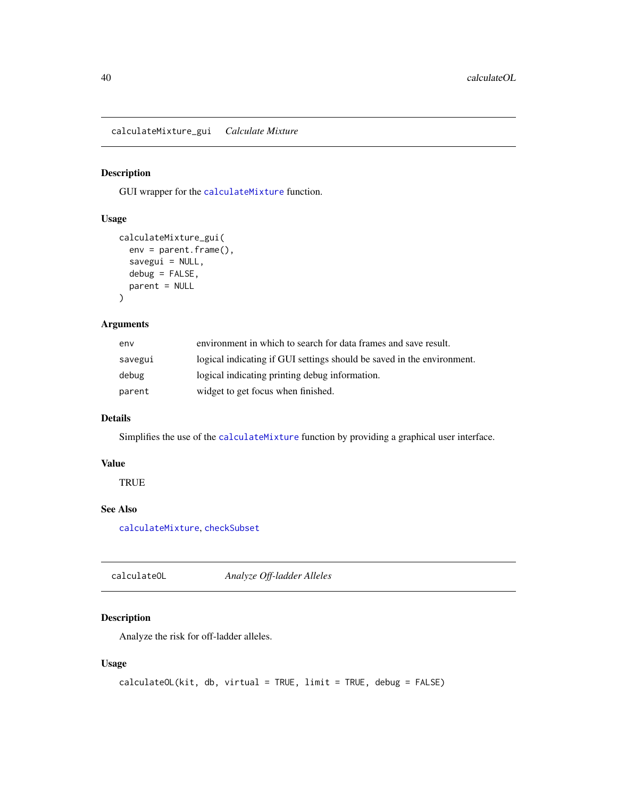calculateMixture\_gui *Calculate Mixture*

# Description

GUI wrapper for the [calculateMixture](#page-37-0) function.

# Usage

```
calculateMixture_gui(
 env = parent.frame(),
 savegui = NULL,
 debug = FALSE,parent = NULL
)
```
## Arguments

| env     | environment in which to search for data frames and save result.        |
|---------|------------------------------------------------------------------------|
| savegui | logical indicating if GUI settings should be saved in the environment. |
| debug   | logical indicating printing debug information.                         |
| parent  | widget to get focus when finished.                                     |

# Details

Simplifies the use of the [calculateMixture](#page-37-0) function by providing a graphical user interface.

# Value

**TRUE** 

# See Also

[calculateMixture](#page-37-0), [checkSubset](#page-61-0)

<span id="page-39-0"></span>calculateOL *Analyze Off-ladder Alleles*

# Description

Analyze the risk for off-ladder alleles.

# Usage

```
calculateOL(kit, db, virtual = TRUE, limit = TRUE, debug = FALSE)
```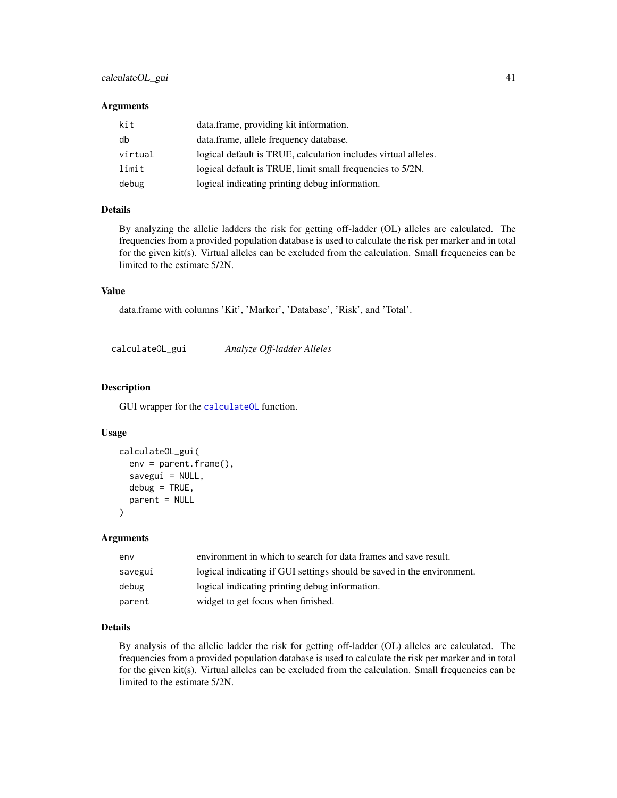### **Arguments**

| kit     | data.frame, providing kit information.                         |
|---------|----------------------------------------------------------------|
| db      | data.frame, allele frequency database.                         |
| virtual | logical default is TRUE, calculation includes virtual alleles. |
| limit   | logical default is TRUE, limit small frequencies to 5/2N.      |
| debug   | logical indicating printing debug information.                 |

## Details

By analyzing the allelic ladders the risk for getting off-ladder (OL) alleles are calculated. The frequencies from a provided population database is used to calculate the risk per marker and in total for the given kit(s). Virtual alleles can be excluded from the calculation. Small frequencies can be limited to the estimate 5/2N.

## Value

data.frame with columns 'Kit', 'Marker', 'Database', 'Risk', and 'Total'.

calculateOL\_gui *Analyze Off-ladder Alleles*

#### Description

GUI wrapper for the [calculateOL](#page-39-0) function.

#### Usage

```
calculateOL_gui(
  env = parent.frame(),
  savegui = NULL,
  debug = TRUE,parent = NULL
)
```
# Arguments

| env     | environment in which to search for data frames and save result.        |
|---------|------------------------------------------------------------------------|
| savegui | logical indicating if GUI settings should be saved in the environment. |
| debug   | logical indicating printing debug information.                         |
| parent  | widget to get focus when finished.                                     |

# Details

By analysis of the allelic ladder the risk for getting off-ladder (OL) alleles are calculated. The frequencies from a provided population database is used to calculate the risk per marker and in total for the given kit(s). Virtual alleles can be excluded from the calculation. Small frequencies can be limited to the estimate 5/2N.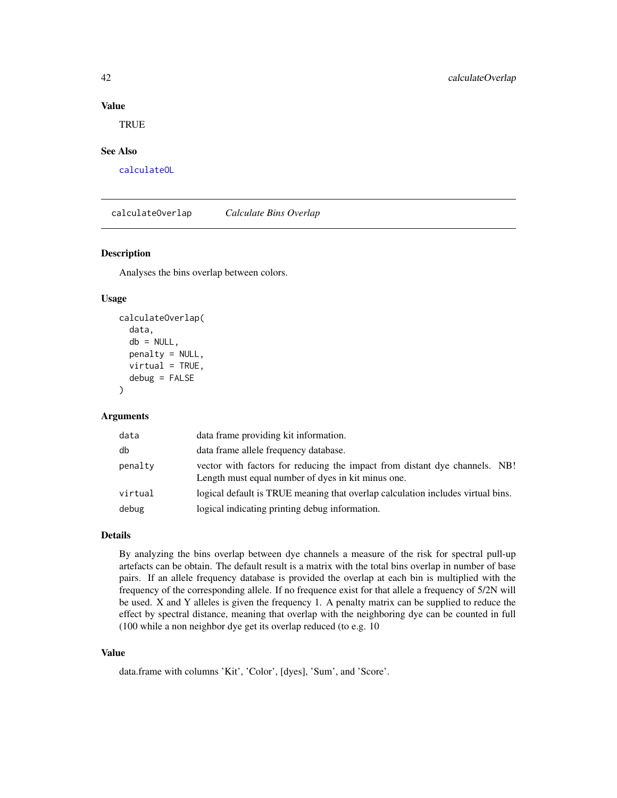## Value

**TRUE** 

## See Also

[calculateOL](#page-39-0)

<span id="page-41-0"></span>calculateOverlap *Calculate Bins Overlap*

#### Description

Analyses the bins overlap between colors.

## Usage

```
calculateOverlap(
  data,
  db = NULL,penalty = NULL,
 virtual = TRUE,
  debug = FALSE
)
```
#### Arguments

| data    | data frame providing kit information.                                                                                            |
|---------|----------------------------------------------------------------------------------------------------------------------------------|
| db      | data frame allele frequency database.                                                                                            |
| penalty | vector with factors for reducing the impact from distant dye channels. NB!<br>Length must equal number of dyes in kit minus one. |
| virtual | logical default is TRUE meaning that overlap calculation includes virtual bins.                                                  |
| debug   | logical indicating printing debug information.                                                                                   |

# Details

By analyzing the bins overlap between dye channels a measure of the risk for spectral pull-up artefacts can be obtain. The default result is a matrix with the total bins overlap in number of base pairs. If an allele frequency database is provided the overlap at each bin is multiplied with the frequency of the corresponding allele. If no frequence exist for that allele a frequency of 5/2N will be used. X and Y alleles is given the frequency 1. A penalty matrix can be supplied to reduce the effect by spectral distance, meaning that overlap with the neighboring dye can be counted in full (100 while a non neighbor dye get its overlap reduced (to e.g. 10

## Value

data.frame with columns 'Kit', 'Color', [dyes], 'Sum', and 'Score'.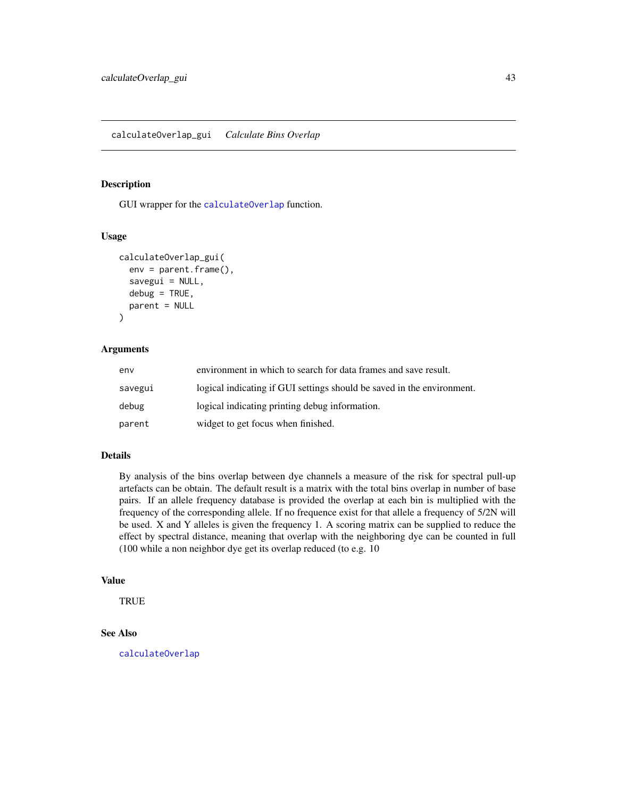GUI wrapper for the [calculateOverlap](#page-41-0) function.

## Usage

```
calculateOverlap_gui(
  env = parent.frame(),
  savegui = NULL,
  debug = TRUE,
  parent = NULL
\lambda
```
# Arguments

| env     | environment in which to search for data frames and save result.        |
|---------|------------------------------------------------------------------------|
| savegui | logical indicating if GUI settings should be saved in the environment. |
| debug   | logical indicating printing debug information.                         |
| parent  | widget to get focus when finished.                                     |

# Details

By analysis of the bins overlap between dye channels a measure of the risk for spectral pull-up artefacts can be obtain. The default result is a matrix with the total bins overlap in number of base pairs. If an allele frequency database is provided the overlap at each bin is multiplied with the frequency of the corresponding allele. If no frequence exist for that allele a frequency of 5/2N will be used. X and Y alleles is given the frequency 1. A scoring matrix can be supplied to reduce the effect by spectral distance, meaning that overlap with the neighboring dye can be counted in full (100 while a non neighbor dye get its overlap reduced (to e.g. 10

## Value

**TRUE** 

# See Also

[calculateOverlap](#page-41-0)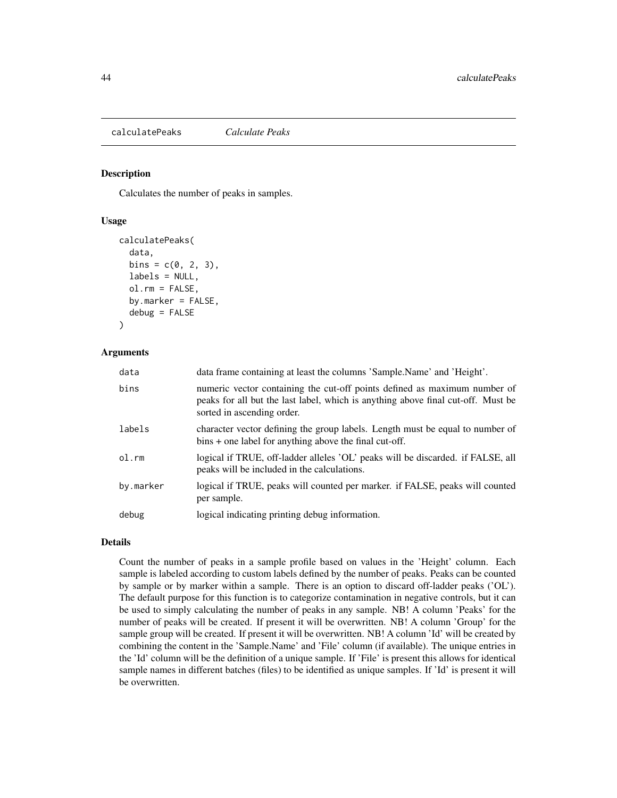<span id="page-43-0"></span>calculatePeaks *Calculate Peaks*

#### Description

Calculates the number of peaks in samples.

# Usage

```
calculatePeaks(
  data,
  bins = c(0, 2, 3),
  labels = NULL,ol.rm = FALSE,
  by.marker = FALSE,
  debug = FALSE
)
```
## Arguments

| data      | data frame containing at least the columns 'Sample.Name' and 'Height'.                                                                                                                      |
|-----------|---------------------------------------------------------------------------------------------------------------------------------------------------------------------------------------------|
| bins      | numeric vector containing the cut-off points defined as maximum number of<br>peaks for all but the last label, which is anything above final cut-off. Must be<br>sorted in ascending order. |
| labels    | character vector defining the group labels. Length must be equal to number of<br>$bins + one label for anything above the final cut-off.$                                                   |
| ol.rm     | logical if TRUE, off-ladder alleles 'OL' peaks will be discarded. if FALSE, all<br>peaks will be included in the calculations.                                                              |
| by.marker | logical if TRUE, peaks will counted per marker. if FALSE, peaks will counted<br>per sample.                                                                                                 |
| debug     | logical indicating printing debug information.                                                                                                                                              |

# Details

Count the number of peaks in a sample profile based on values in the 'Height' column. Each sample is labeled according to custom labels defined by the number of peaks. Peaks can be counted by sample or by marker within a sample. There is an option to discard off-ladder peaks ('OL'). The default purpose for this function is to categorize contamination in negative controls, but it can be used to simply calculating the number of peaks in any sample. NB! A column 'Peaks' for the number of peaks will be created. If present it will be overwritten. NB! A column 'Group' for the sample group will be created. If present it will be overwritten. NB! A column 'Id' will be created by combining the content in the 'Sample.Name' and 'File' column (if available). The unique entries in the 'Id' column will be the definition of a unique sample. If 'File' is present this allows for identical sample names in different batches (files) to be identified as unique samples. If 'Id' is present it will be overwritten.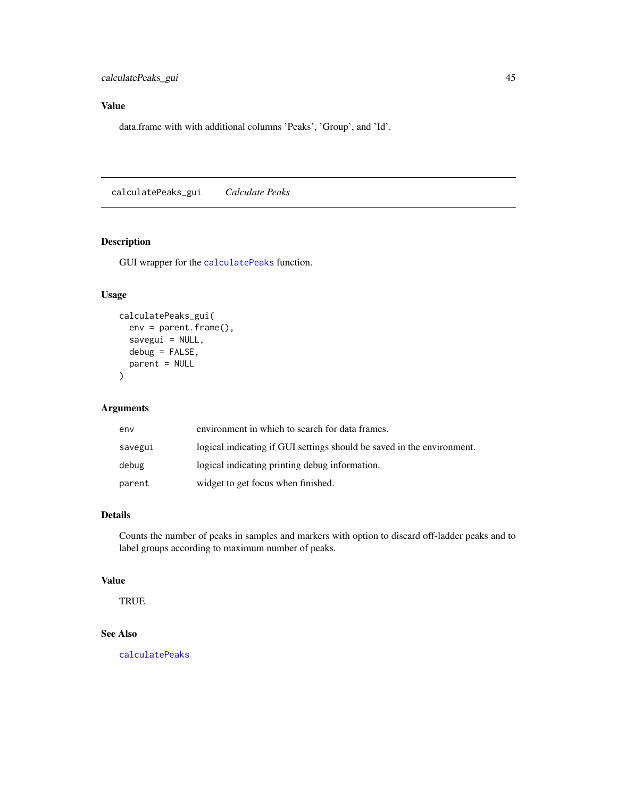# Value

data.frame with with additional columns 'Peaks', 'Group', and 'Id'.

calculatePeaks\_gui *Calculate Peaks*

# Description

GUI wrapper for the [calculatePeaks](#page-43-0) function.

# Usage

```
calculatePeaks_gui(
  env = parent.frame(),
  savegui = NULL,
 debug = FALSE,
 parent = NULL
)
```
# Arguments

| env     | environment in which to search for data frames.                        |
|---------|------------------------------------------------------------------------|
| savegui | logical indicating if GUI settings should be saved in the environment. |
| debug   | logical indicating printing debug information.                         |
| parent  | widget to get focus when finished.                                     |

# Details

Counts the number of peaks in samples and markers with option to discard off-ladder peaks and to label groups according to maximum number of peaks.

## Value

**TRUE** 

## See Also

[calculatePeaks](#page-43-0)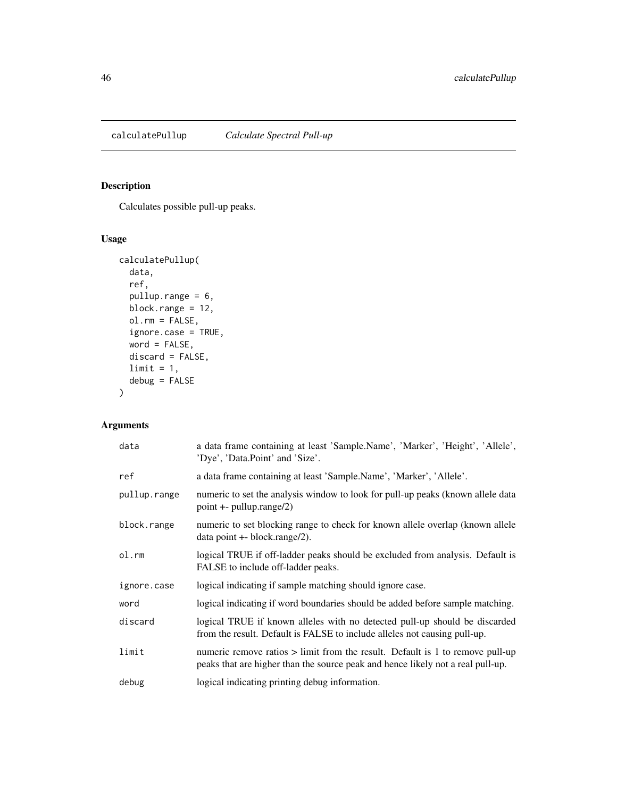<span id="page-45-0"></span>

Calculates possible pull-up peaks.

# Usage

```
calculatePullup(
 data,
 ref,
 pullup.range = 6,
 block.range = 12,
 ol.rm = FALSE,
 ignore.case = TRUE,
 word = FALSE,
 discard = FALSE,
 limit = 1,debug = FALSE
)
```
# Arguments

| data         | a data frame containing at least 'Sample.Name', 'Marker', 'Height', 'Allele',<br>'Dye', 'Data.Point' and 'Size'.                                                   |
|--------------|--------------------------------------------------------------------------------------------------------------------------------------------------------------------|
| ref          | a data frame containing at least 'Sample.Name', 'Marker', 'Allele'.                                                                                                |
| pullup.range | numeric to set the analysis window to look for pull-up peaks (known allele data<br>$point + - pullup.random(2)$                                                    |
| block.range  | numeric to set blocking range to check for known allele overlap (known allele<br>$data$ point $+$ - block.range/2).                                                |
| ol.rm        | logical TRUE if off-ladder peaks should be excluded from analysis. Default is<br>FALSE to include off-ladder peaks.                                                |
| ignore.case  | logical indicating if sample matching should ignore case.                                                                                                          |
| word         | logical indicating if word boundaries should be added before sample matching.                                                                                      |
| discard      | logical TRUE if known alleles with no detected pull-up should be discarded<br>from the result. Default is FALSE to include alleles not causing pull-up.            |
| limit        | numeric remove ratios $>$ limit from the result. Default is 1 to remove pull-up<br>peaks that are higher than the source peak and hence likely not a real pull-up. |
| debug        | logical indicating printing debug information.                                                                                                                     |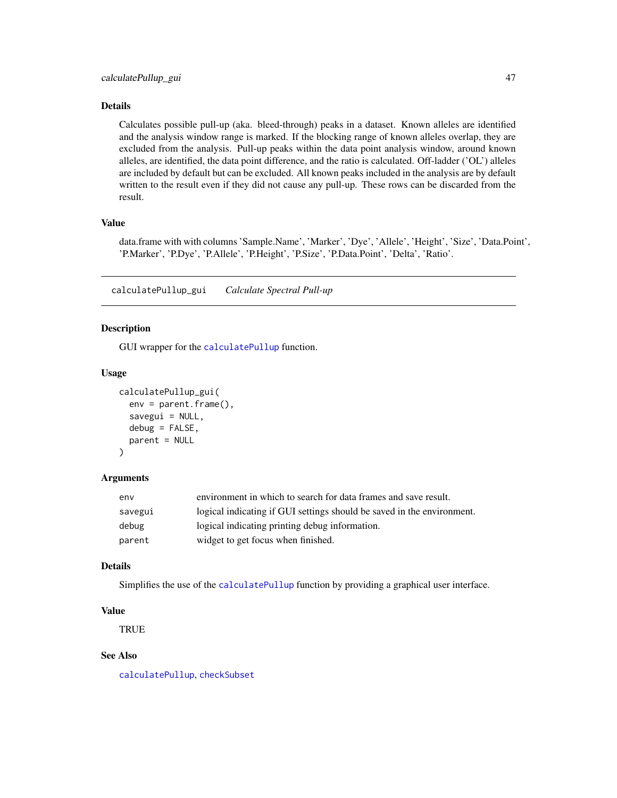## Details

Calculates possible pull-up (aka. bleed-through) peaks in a dataset. Known alleles are identified and the analysis window range is marked. If the blocking range of known alleles overlap, they are excluded from the analysis. Pull-up peaks within the data point analysis window, around known alleles, are identified, the data point difference, and the ratio is calculated. Off-ladder ('OL') alleles are included by default but can be excluded. All known peaks included in the analysis are by default written to the result even if they did not cause any pull-up. These rows can be discarded from the result.

# Value

data.frame with with columns 'Sample.Name', 'Marker', 'Dye', 'Allele', 'Height', 'Size', 'Data.Point', 'P.Marker', 'P.Dye', 'P.Allele', 'P.Height', 'P.Size', 'P.Data.Point', 'Delta', 'Ratio'.

calculatePullup\_gui *Calculate Spectral Pull-up*

# Description

GUI wrapper for the [calculatePullup](#page-45-0) function.

#### Usage

```
calculatePullup_gui(
  env = parent.frame(),
  savegui = NULL,
  debug = FALSE,parent = NULL
)
```
## Arguments

| env     | environment in which to search for data frames and save result.        |
|---------|------------------------------------------------------------------------|
| savegui | logical indicating if GUI settings should be saved in the environment. |
| debug   | logical indicating printing debug information.                         |
| parent  | widget to get focus when finished.                                     |

#### Details

Simplifies the use of the [calculatePullup](#page-45-0) function by providing a graphical user interface.

#### Value

TRUE

# See Also

[calculatePullup](#page-45-0), [checkSubset](#page-61-0)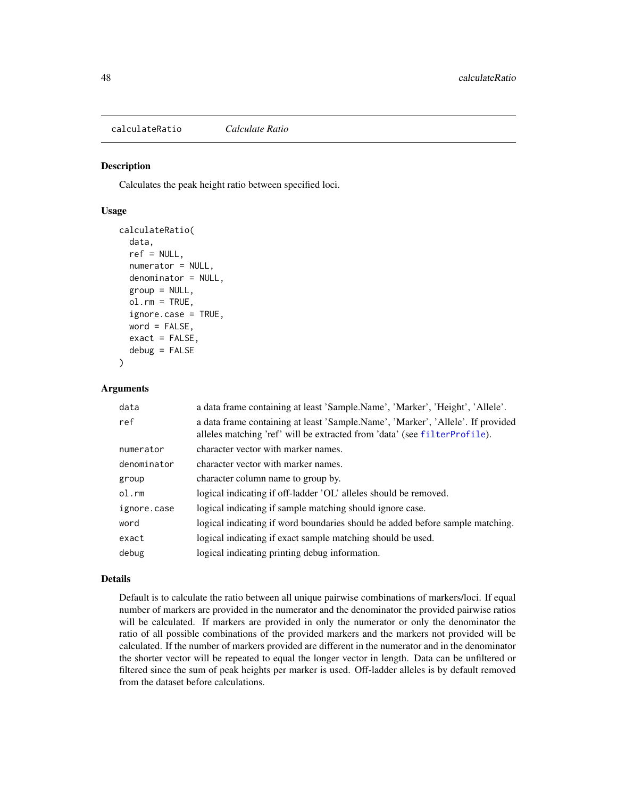<span id="page-47-0"></span>calculateRatio *Calculate Ratio*

## Description

Calculates the peak height ratio between specified loci.

# Usage

```
calculateRatio(
  data,
  ref = NULL,numerator = NULL,
  denominator = NULL,
  group = NULL,
  ol.rm = TRUE,
  ignore.case = TRUE,
  word = FALSE,exact = FALSE,debug = FALSE)
```
#### **Arguments**

| data        | a data frame containing at least 'Sample.Name', 'Marker', 'Height', 'Allele'.                                                                                |
|-------------|--------------------------------------------------------------------------------------------------------------------------------------------------------------|
| ref         | a data frame containing at least 'Sample.Name', 'Marker', 'Allele'. If provided<br>alleles matching 'ref' will be extracted from 'data' (see filterProfile). |
| numerator   | character vector with marker names.                                                                                                                          |
| denominator | character vector with marker names.                                                                                                                          |
| group       | character column name to group by.                                                                                                                           |
| $ol$ . $rm$ | logical indicating if off-ladder 'OL' alleles should be removed.                                                                                             |
| ignore.case | logical indicating if sample matching should ignore case.                                                                                                    |
| word        | logical indicating if word boundaries should be added before sample matching.                                                                                |
| exact       | logical indicating if exact sample matching should be used.                                                                                                  |
| debug       | logical indicating printing debug information.                                                                                                               |

#### Details

Default is to calculate the ratio between all unique pairwise combinations of markers/loci. If equal number of markers are provided in the numerator and the denominator the provided pairwise ratios will be calculated. If markers are provided in only the numerator or only the denominator the ratio of all possible combinations of the provided markers and the markers not provided will be calculated. If the number of markers provided are different in the numerator and in the denominator the shorter vector will be repeated to equal the longer vector in length. Data can be unfiltered or filtered since the sum of peak heights per marker is used. Off-ladder alleles is by default removed from the dataset before calculations.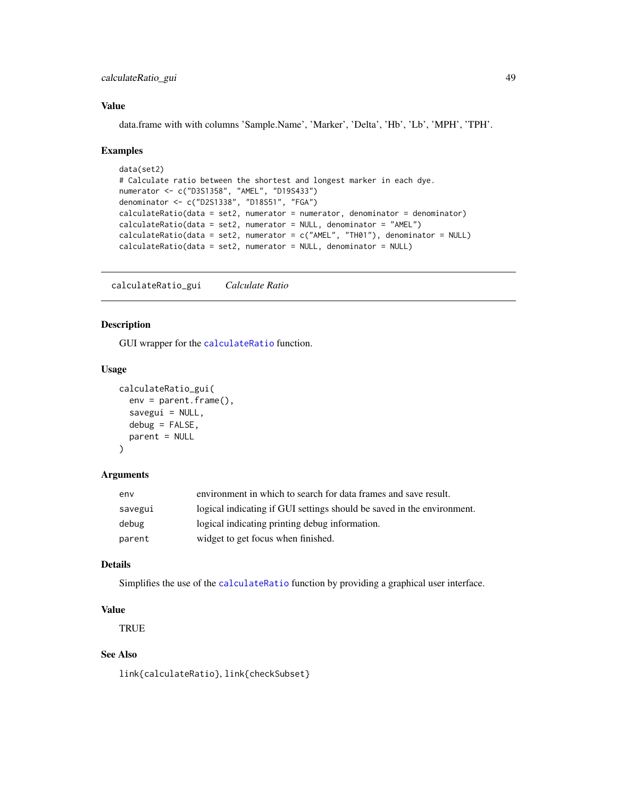# calculateRatio\_gui 49

## Value

data.frame with with columns 'Sample.Name', 'Marker', 'Delta', 'Hb', 'Lb', 'MPH', 'TPH'.

## Examples

```
data(set2)
# Calculate ratio between the shortest and longest marker in each dye.
numerator <- c("D3S1358", "AMEL", "D19S433")
denominator <- c("D2S1338", "D18S51", "FGA")
calculateRatio(data = set2, numerator = numerator, denominator = denominator)
calculateRatio(data = set2, numerator = NULL, denominator = "AMEL")
calculateRatio(data = set2, numerator = c("AMEL", "TH01"), denominator = NULL)
calculateRatio(data = set2, numerator = NULL, denominator = NULL)
```
calculateRatio\_gui *Calculate Ratio*

## Description

GUI wrapper for the [calculateRatio](#page-47-0) function.

## Usage

```
calculateRatio_gui(
  env = parent.frame(),
  savegui = NULL,
  debug = FALSE,parent = NULL
)
```
## Arguments

| env     | environment in which to search for data frames and save result.        |
|---------|------------------------------------------------------------------------|
| savegui | logical indicating if GUI settings should be saved in the environment. |
| debug   | logical indicating printing debug information.                         |
| parent  | widget to get focus when finished.                                     |

# Details

Simplifies the use of the [calculateRatio](#page-47-0) function by providing a graphical user interface.

# Value

**TRUE** 

# See Also

link{calculateRatio}, link{checkSubset}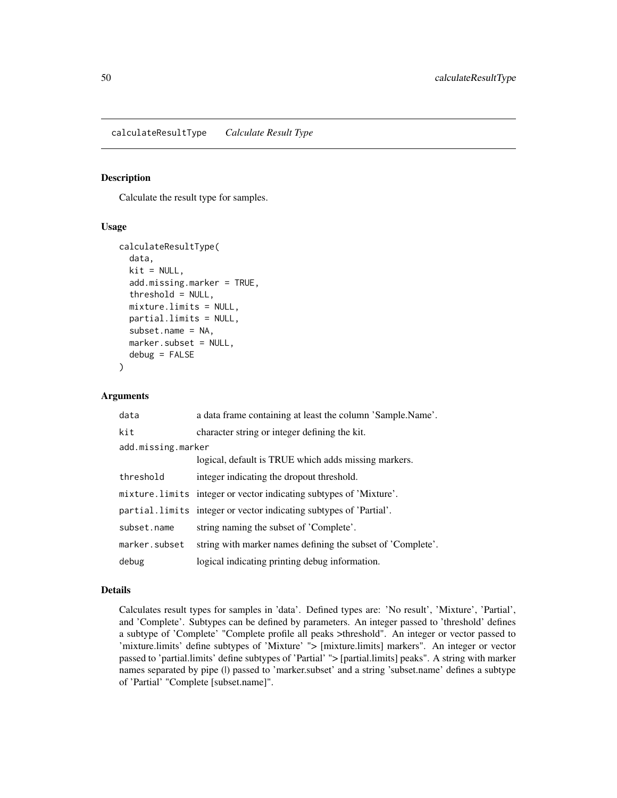<span id="page-49-0"></span>calculateResultType *Calculate Result Type*

#### Description

Calculate the result type for samples.

## Usage

```
calculateResultType(
  data,
  kit = NULL,add.missing.marker = TRUE,
  threshold = NULL,
  mixture.limits = NULL,
  partial.limits = NULL,
  subset.name = NA,
  marker.subset = NULL,
  debug = FALSE
)
```
#### Arguments

| data               | a data frame containing at least the column 'Sample.Name'.          |  |
|--------------------|---------------------------------------------------------------------|--|
| kit                | character string or integer defining the kit.                       |  |
| add.missing.marker |                                                                     |  |
|                    | logical, default is TRUE which adds missing markers.                |  |
| threshold          | integer indicating the dropout threshold.                           |  |
|                    | mixture. limits integer or vector indicating subtypes of 'Mixture'. |  |
|                    | partial. limits integer or vector indicating subtypes of 'Partial'. |  |
| subset.name        | string naming the subset of 'Complete'.                             |  |
| marker.subset      | string with marker names defining the subset of 'Complete'.         |  |
| debug              | logical indicating printing debug information.                      |  |

#### Details

Calculates result types for samples in 'data'. Defined types are: 'No result', 'Mixture', 'Partial', and 'Complete'. Subtypes can be defined by parameters. An integer passed to 'threshold' defines a subtype of 'Complete' "Complete profile all peaks >threshold". An integer or vector passed to 'mixture.limits' define subtypes of 'Mixture' "> [mixture.limits] markers". An integer or vector passed to 'partial.limits' define subtypes of 'Partial' "> [partial.limits] peaks". A string with marker names separated by pipe (I) passed to 'marker.subset' and a string 'subset.name' defines a subtype of 'Partial' "Complete [subset.name]".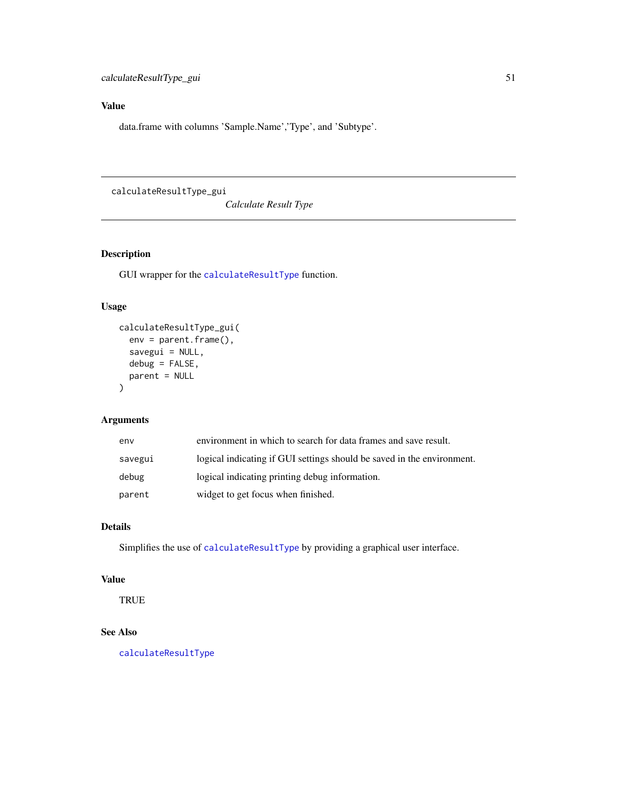# Value

data.frame with columns 'Sample.Name','Type', and 'Subtype'.

calculateResultType\_gui

*Calculate Result Type*

# Description

GUI wrapper for the [calculateResultType](#page-49-0) function.

# Usage

```
calculateResultType_gui(
  env = parent.frame(),
  savegui = NULL,
  debug = FALSE,parent = NULL
\mathcal{L}
```
## Arguments

| env     | environment in which to search for data frames and save result.        |
|---------|------------------------------------------------------------------------|
| savegui | logical indicating if GUI settings should be saved in the environment. |
| debug   | logical indicating printing debug information.                         |
| parent  | widget to get focus when finished.                                     |

# Details

Simplifies the use of [calculateResultType](#page-49-0) by providing a graphical user interface.

# Value

**TRUE** 

# See Also

[calculateResultType](#page-49-0)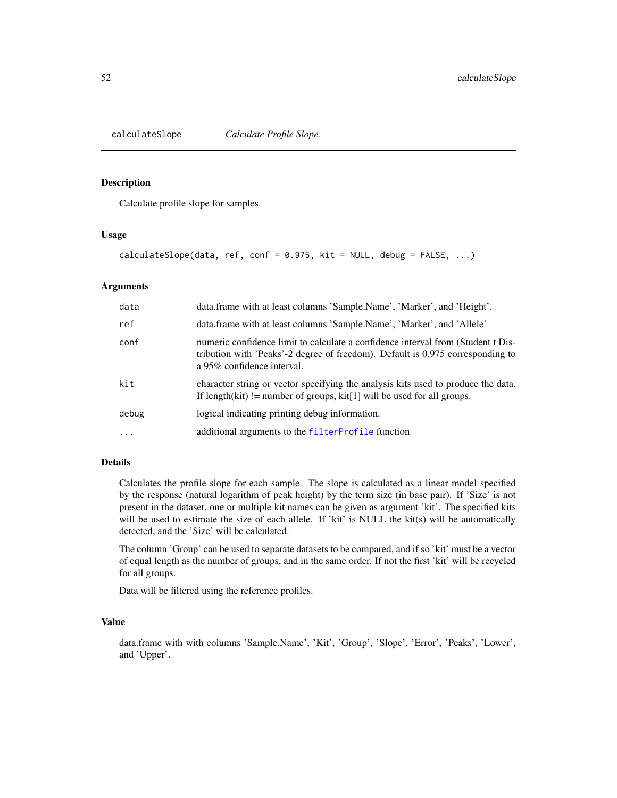<span id="page-51-0"></span>

Calculate profile slope for samples.

## Usage

```
calculateSlope(data, ref, conf = 0.975, kit = NULL, debug = FALSE, ...)
```
## Arguments

| data     | data.frame with at least columns 'Sample.Name', 'Marker', and 'Height'.                                                                                                                          |
|----------|--------------------------------------------------------------------------------------------------------------------------------------------------------------------------------------------------|
| ref      | data.frame with at least columns 'Sample.Name', 'Marker', and 'Allele'                                                                                                                           |
| conf     | numeric confidence limit to calculate a confidence interval from (Student t Dis-<br>tribution with 'Peaks'-2 degree of freedom). Default is 0.975 corresponding to<br>a 95% confidence interval. |
| kit      | character string or vector specifying the analysis kits used to produce the data.<br>If length(kit) != number of groups, kit[1] will be used for all groups.                                     |
| debug    | logical indicating printing debug information.                                                                                                                                                   |
| $\cdots$ | additional arguments to the filterProfile function                                                                                                                                               |

## Details

Calculates the profile slope for each sample. The slope is calculated as a linear model specified by the response (natural logarithm of peak height) by the term size (in base pair). If 'Size' is not present in the dataset, one or multiple kit names can be given as argument 'kit'. The specified kits will be used to estimate the size of each allele. If 'kit' is NULL the kit(s) will be automatically detected, and the 'Size' will be calculated.

The column 'Group' can be used to separate datasets to be compared, and if so 'kit' must be a vector of equal length as the number of groups, and in the same order. If not the first 'kit' will be recycled for all groups.

Data will be filtered using the reference profiles.

## Value

data.frame with with columns 'Sample.Name', 'Kit', 'Group', 'Slope', 'Error', 'Peaks', 'Lower', and 'Upper'.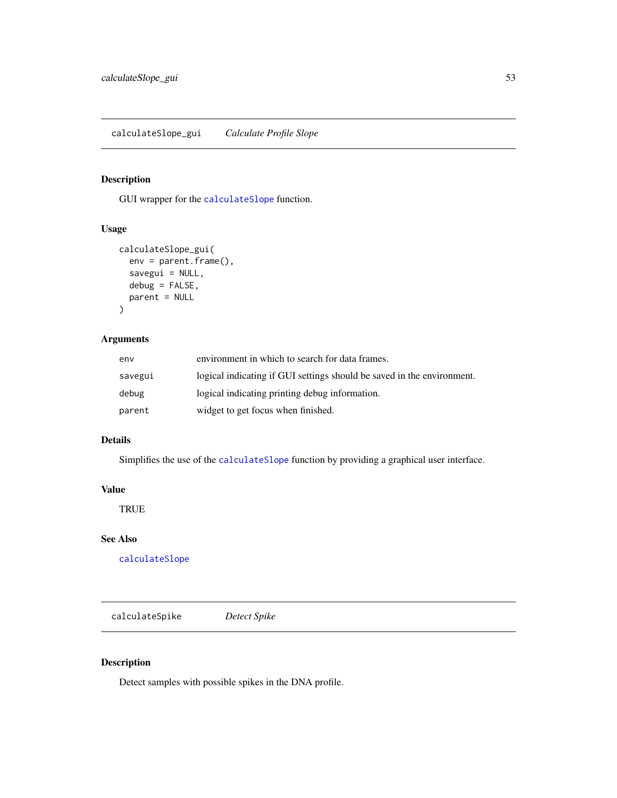GUI wrapper for the [calculateSlope](#page-51-0) function.

# Usage

```
calculateSlope_gui(
  env = parent.frame(),
  savegui = NULL,
  debug = FALSE,
  parent = NULL
)
```
# Arguments

| env     | environment in which to search for data frames.                        |
|---------|------------------------------------------------------------------------|
| savegui | logical indicating if GUI settings should be saved in the environment. |
| debug   | logical indicating printing debug information.                         |
| parent  | widget to get focus when finished.                                     |

# Details

Simplifies the use of the [calculateSlope](#page-51-0) function by providing a graphical user interface.

## Value

TRUE

# See Also

[calculateSlope](#page-51-0)

<span id="page-52-0"></span>calculateSpike *Detect Spike*

# Description

Detect samples with possible spikes in the DNA profile.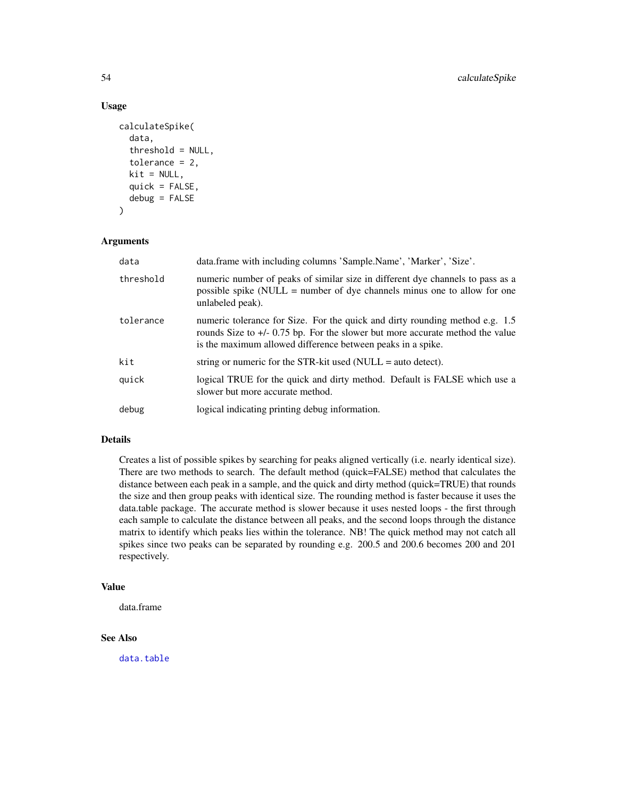# Usage

```
calculateSpike(
  data,
  threshold = NULL,
  tolerance = 2,
  kit = NULL,quick = FALSE,
  debug = FALSE
)
```
## **Arguments**

| data      | data.frame with including columns 'Sample.Name', 'Marker', 'Size'.                                                                                                                                                             |
|-----------|--------------------------------------------------------------------------------------------------------------------------------------------------------------------------------------------------------------------------------|
| threshold | numeric number of peaks of similar size in different dye channels to pass as a<br>possible spike (NULL = number of dye channels minus one to allow for one<br>unlabeled peak).                                                 |
| tolerance | numeric tolerance for Size. For the quick and dirty rounding method e.g. 1.5<br>rounds Size to $+/- 0.75$ bp. For the slower but more accurate method the value<br>is the maximum allowed difference between peaks in a spike. |
| kit       | string or numeric for the STR-kit used (NULL = auto detect).                                                                                                                                                                   |
| quick     | logical TRUE for the quick and dirty method. Default is FALSE which use a<br>slower but more accurate method.                                                                                                                  |
| debug     | logical indicating printing debug information.                                                                                                                                                                                 |

# Details

Creates a list of possible spikes by searching for peaks aligned vertically (i.e. nearly identical size). There are two methods to search. The default method (quick=FALSE) method that calculates the distance between each peak in a sample, and the quick and dirty method (quick=TRUE) that rounds the size and then group peaks with identical size. The rounding method is faster because it uses the data.table package. The accurate method is slower because it uses nested loops - the first through each sample to calculate the distance between all peaks, and the second loops through the distance matrix to identify which peaks lies within the tolerance. NB! The quick method may not catch all spikes since two peaks can be separated by rounding e.g. 200.5 and 200.6 becomes 200 and 201 respectively.

# Value

data.frame

# See Also

[data.table](#page-0-0)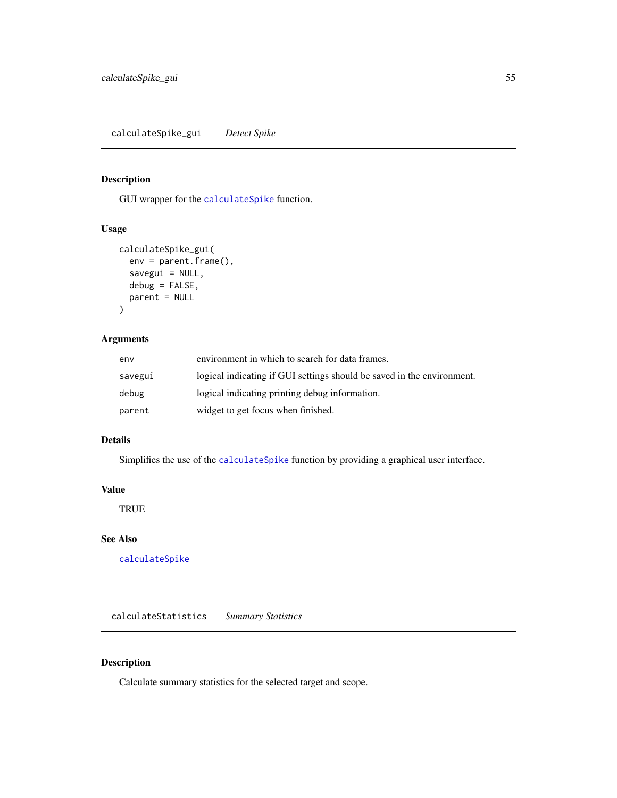calculateSpike\_gui *Detect Spike*

# Description

GUI wrapper for the [calculateSpike](#page-52-0) function.

# Usage

```
calculateSpike_gui(
  env = parent.frame(),
  savegui = NULL,
 debug = FALSE,
 parent = NULL
)
```
# Arguments

| env     | environment in which to search for data frames.                        |
|---------|------------------------------------------------------------------------|
| savegui | logical indicating if GUI settings should be saved in the environment. |
| debug   | logical indicating printing debug information.                         |
| parent  | widget to get focus when finished.                                     |

# Details

Simplifies the use of the [calculateSpike](#page-52-0) function by providing a graphical user interface.

## Value

**TRUE** 

# See Also

[calculateSpike](#page-52-0)

<span id="page-54-0"></span>calculateStatistics *Summary Statistics*

# Description

Calculate summary statistics for the selected target and scope.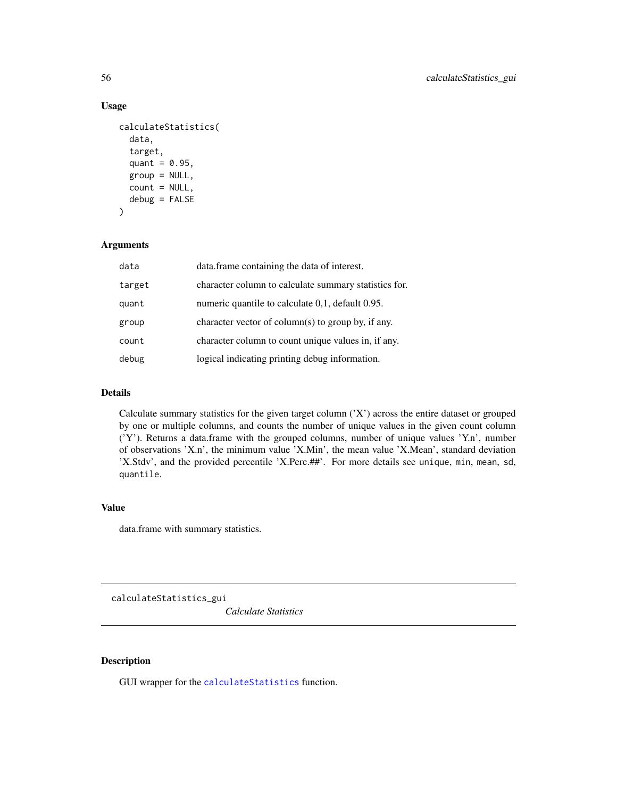# Usage

```
calculateStatistics(
  data,
  target,
  quant = 0.95,
  group = NULL,count = NULL,debug = FALSE
\mathcal{L}
```
# Arguments

| data   | data.frame containing the data of interest.           |
|--------|-------------------------------------------------------|
| target | character column to calculate summary statistics for. |
| quant  | numeric quantile to calculate 0.1, default 0.95.      |
| group  | character vector of column(s) to group by, if any.    |
| count  | character column to count unique values in, if any.   |
| debug  | logical indicating printing debug information.        |

## Details

Calculate summary statistics for the given target column ('X') across the entire dataset or grouped by one or multiple columns, and counts the number of unique values in the given count column ('Y'). Returns a data.frame with the grouped columns, number of unique values 'Y.n', number of observations 'X.n', the minimum value 'X.Min', the mean value 'X.Mean', standard deviation 'X.Stdv', and the provided percentile 'X.Perc.##'. For more details see unique, min, mean, sd, quantile.

## Value

data.frame with summary statistics.

calculateStatistics\_gui

*Calculate Statistics*

# Description

GUI wrapper for the [calculateStatistics](#page-54-0) function.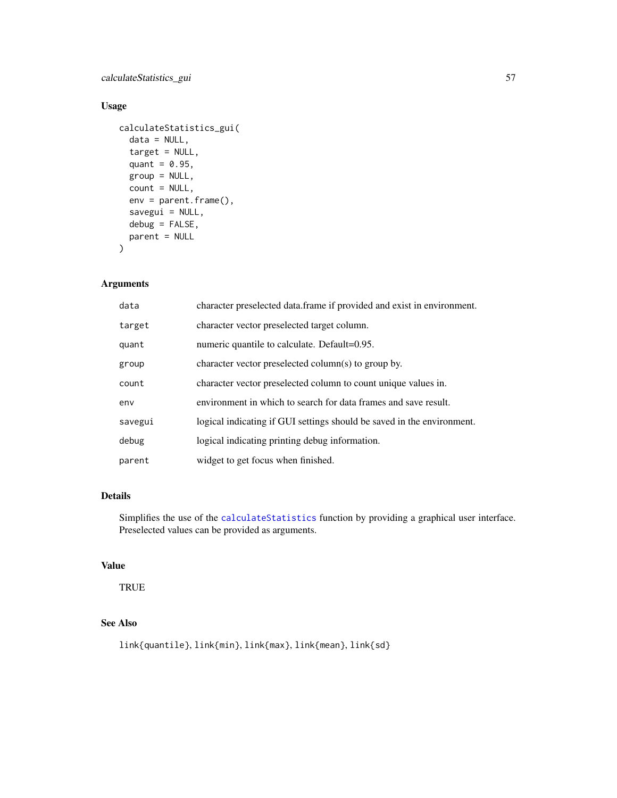# calculateStatistics\_gui 57

# Usage

```
calculateStatistics_gui(
  data = NULL,target = NULL,
  quant = 0.95,
  group = NULL,
  count = NULL,
  env = parent.frame(),
  savegui = NULL,
  debug = FALSE,
  parent = NULL
\mathcal{L}
```
## Arguments

| data    | character preselected data.frame if provided and exist in environment. |
|---------|------------------------------------------------------------------------|
| target  | character vector preselected target column.                            |
| quant   | numeric quantile to calculate. Default=0.95.                           |
| group   | character vector preselected column(s) to group by.                    |
| count   | character vector preselected column to count unique values in.         |
| env     | environment in which to search for data frames and save result.        |
| savegui | logical indicating if GUI settings should be saved in the environment. |
| debug   | logical indicating printing debug information.                         |
| parent  | widget to get focus when finished.                                     |

# Details

Simplifies the use of the [calculateStatistics](#page-54-0) function by providing a graphical user interface. Preselected values can be provided as arguments.

# Value

TRUE

# See Also

link{quantile}, link{min}, link{max}, link{mean}, link{sd}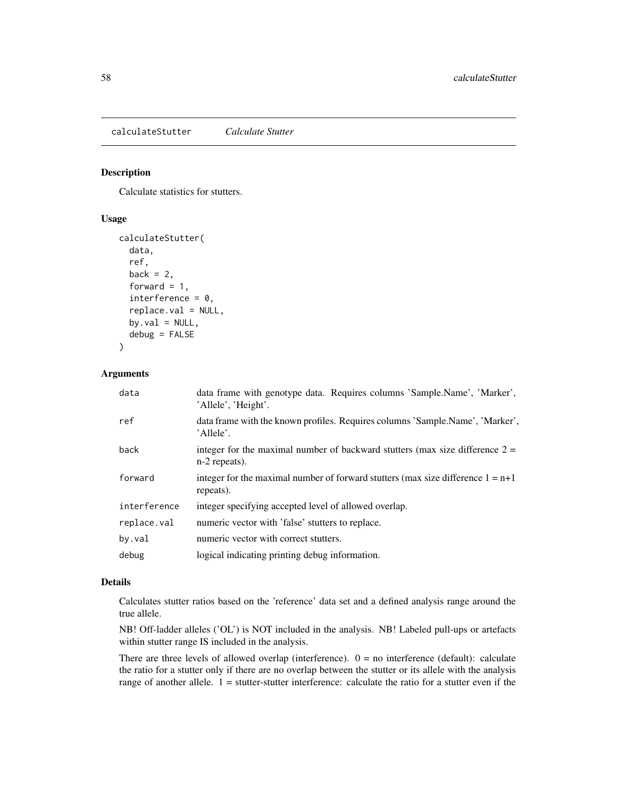<span id="page-57-0"></span>calculateStutter *Calculate Stutter*

# Description

Calculate statistics for stutters.

## Usage

```
calculateStutter(
  data,
  ref,
  back = 2,
  forward = 1,
  interference = 0,replace.val = NULL,
  by.val = NULL,
  debug = FALSE)
```
# Arguments

| data frame with genotype data. Requires columns 'Sample.Name', 'Marker',<br>'Allele', 'Height'.   |
|---------------------------------------------------------------------------------------------------|
| data frame with the known profiles. Requires columns 'Sample.Name', 'Marker',<br>'Allele'.        |
| integer for the maximal number of backward stutters (max size difference $2 =$<br>$n-2$ repeats). |
| integer for the maximal number of forward stutters (max size difference $1 = n+1$<br>repeats).    |
| integer specifying accepted level of allowed overlap.                                             |
| numeric vector with 'false' stutters to replace.                                                  |
| numeric vector with correct stutters.                                                             |
| logical indicating printing debug information.                                                    |
|                                                                                                   |

## Details

Calculates stutter ratios based on the 'reference' data set and a defined analysis range around the true allele.

NB! Off-ladder alleles ('OL') is NOT included in the analysis. NB! Labeled pull-ups or artefacts within stutter range IS included in the analysis.

There are three levels of allowed overlap (interference).  $0 =$  no interference (default): calculate the ratio for a stutter only if there are no overlap between the stutter or its allele with the analysis range of another allele.  $1 =$  stutter-stutter interference: calculate the ratio for a stutter even if the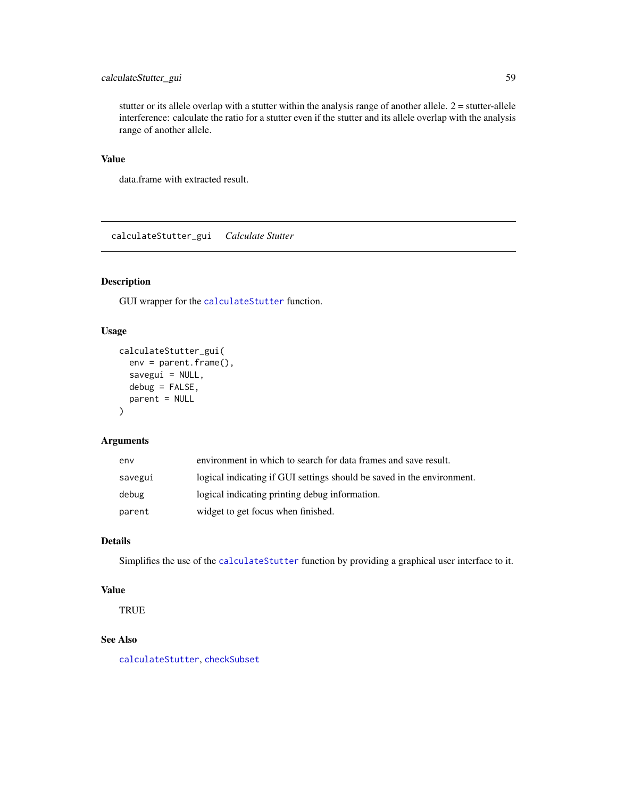# calculateStutter\_gui 59

stutter or its allele overlap with a stutter within the analysis range of another allele.  $2 =$  stutter-allele interference: calculate the ratio for a stutter even if the stutter and its allele overlap with the analysis range of another allele.

## Value

data.frame with extracted result.

calculateStutter\_gui *Calculate Stutter*

# Description

GUI wrapper for the [calculateStutter](#page-57-0) function.

## Usage

```
calculateStutter_gui(
  env = parent.frame(),
  savegui = NULL,
  debug = FALSE,
  parent = NULL
\mathcal{E}
```
# Arguments

| env     | environment in which to search for data frames and save result.        |
|---------|------------------------------------------------------------------------|
| savegui | logical indicating if GUI settings should be saved in the environment. |
| debug   | logical indicating printing debug information.                         |
| parent  | widget to get focus when finished.                                     |

# Details

Simplifies the use of the [calculateStutter](#page-57-0) function by providing a graphical user interface to it.

## Value

**TRUE** 

# See Also

[calculateStutter](#page-57-0), [checkSubset](#page-61-0)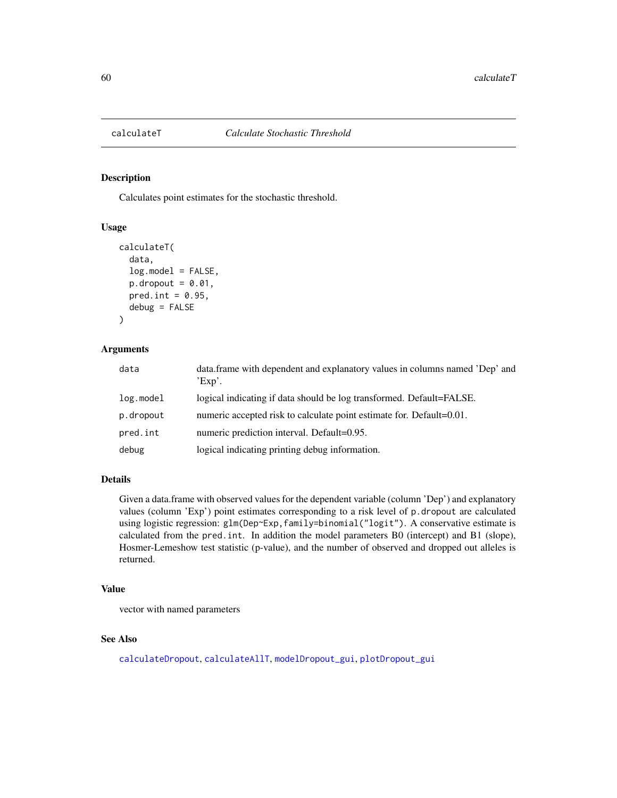Calculates point estimates for the stochastic threshold.

## Usage

```
calculateT(
  data,
  log.model = FALSE,p.dropout = 0.01,
 pred.int = 0.95,
  debug = FALSE
)
```
# Arguments

| data      | data.frame with dependent and explanatory values in columns named 'Dep' and<br>$Exp$ . |
|-----------|----------------------------------------------------------------------------------------|
| log.model | logical indicating if data should be log transformed. Default=FALSE.                   |
| p.dropout | numeric accepted risk to calculate point estimate for. Default=0.01.                   |
| pred.int  | numeric prediction interval. Default=0.95.                                             |
| debug     | logical indicating printing debug information.                                         |

# Details

Given a data.frame with observed values for the dependent variable (column 'Dep') and explanatory values (column 'Exp') point estimates corresponding to a risk level of p.dropout are calculated using logistic regression: glm(Dep~Exp,family=binomial("logit"). A conservative estimate is calculated from the pred.int. In addition the model parameters B0 (intercept) and B1 (slope), Hosmer-Lemeshow test statistic (p-value), and the number of observed and dropped out alleles is returned.

# Value

vector with named parameters

# See Also

[calculateDropout](#page-27-0), [calculateAllT](#page-16-0), [modelDropout\\_gui](#page-87-0), [plotDropout\\_gui](#page-94-0)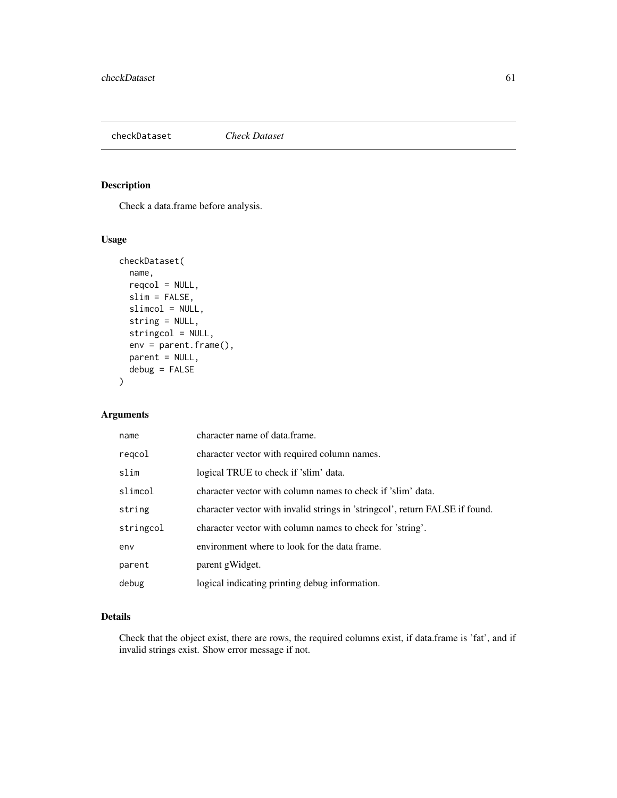## checkDataset *Check Dataset*

# Description

Check a data.frame before analysis.

# Usage

```
checkDataset(
  name,
  reqcol = NULL,slim = FALSE,
  slimcol = NULL,
  string = NULL,
  stringcol = NULL,
  env = parent.frame(),
 parent = NULL,
  debug = FALSE
)
```
# Arguments

| name      | character name of data.frame.                                                |
|-----------|------------------------------------------------------------------------------|
| regcol    | character vector with required column names.                                 |
| slim      | logical TRUE to check if 'slim' data.                                        |
| slimcol   | character vector with column names to check if 'slim' data.                  |
| string    | character vector with invalid strings in 'stringcol', return FALSE if found. |
| stringcol | character vector with column names to check for 'string'.                    |
| env       | environment where to look for the data frame.                                |
| parent    | parent gWidget.                                                              |
| debug     | logical indicating printing debug information.                               |

# Details

Check that the object exist, there are rows, the required columns exist, if data.frame is 'fat', and if invalid strings exist. Show error message if not.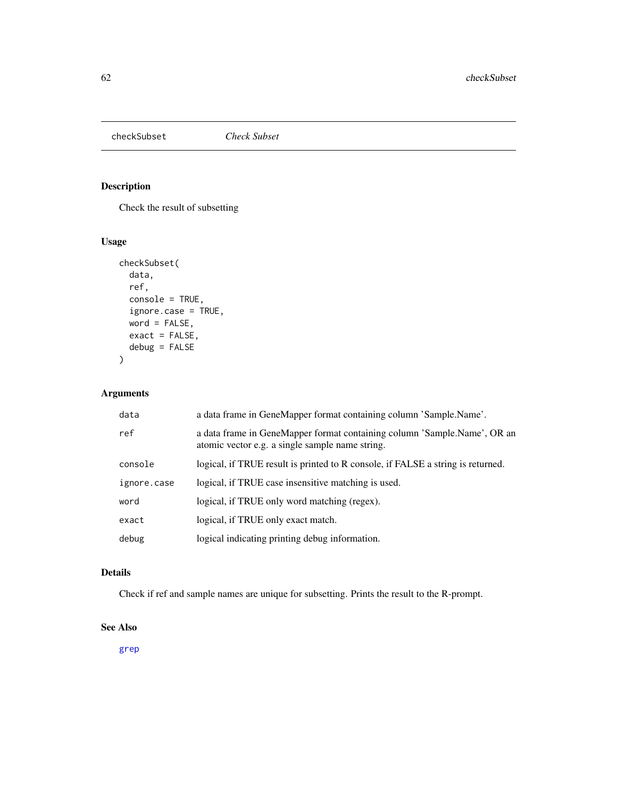<span id="page-61-0"></span>

Check the result of subsetting

# Usage

```
checkSubset(
 data,
  ref,
 console = TRUE,
  ignore.case = TRUE,
 word = FALSE,
 exact = FALSE,
 debug = FALSE
)
```
# Arguments

| data        | a data frame in GeneMapper format containing column 'Sample.Name'.                                                          |
|-------------|-----------------------------------------------------------------------------------------------------------------------------|
| ref         | a data frame in GeneMapper format containing column 'Sample.Name', OR an<br>atomic vector e.g. a single sample name string. |
| console     | logical, if TRUE result is printed to R console, if FALSE a string is returned.                                             |
| ignore.case | logical, if TRUE case insensitive matching is used.                                                                         |
| word        | logical, if TRUE only word matching (regex).                                                                                |
| exact       | logical, if TRUE only exact match.                                                                                          |
| debug       | logical indicating printing debug information.                                                                              |

# Details

Check if ref and sample names are unique for subsetting. Prints the result to the R-prompt.

## See Also

[grep](#page-0-0)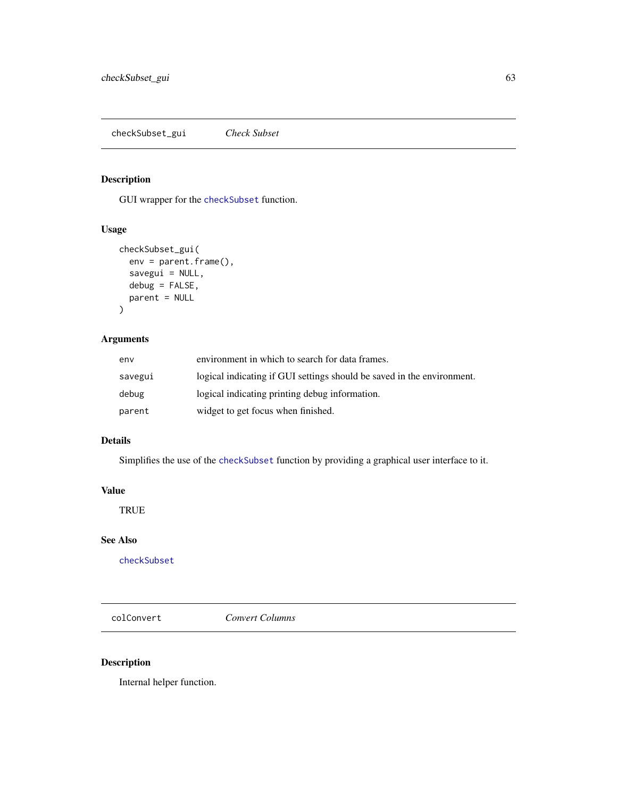checkSubset\_gui *Check Subset*

# Description

GUI wrapper for the [checkSubset](#page-61-0) function.

# Usage

```
checkSubset_gui(
  env = parent.frame(),
  savegui = NULL,
 debug = FALSE,
 parent = NULL
)
```
# Arguments

| env     | environment in which to search for data frames.                        |
|---------|------------------------------------------------------------------------|
| savegui | logical indicating if GUI settings should be saved in the environment. |
| debug   | logical indicating printing debug information.                         |
| parent  | widget to get focus when finished.                                     |

# Details

Simplifies the use of the [checkSubset](#page-61-0) function by providing a graphical user interface to it.

# Value

TRUE

## See Also

[checkSubset](#page-61-0)

colConvert *Convert Columns*

# Description

Internal helper function.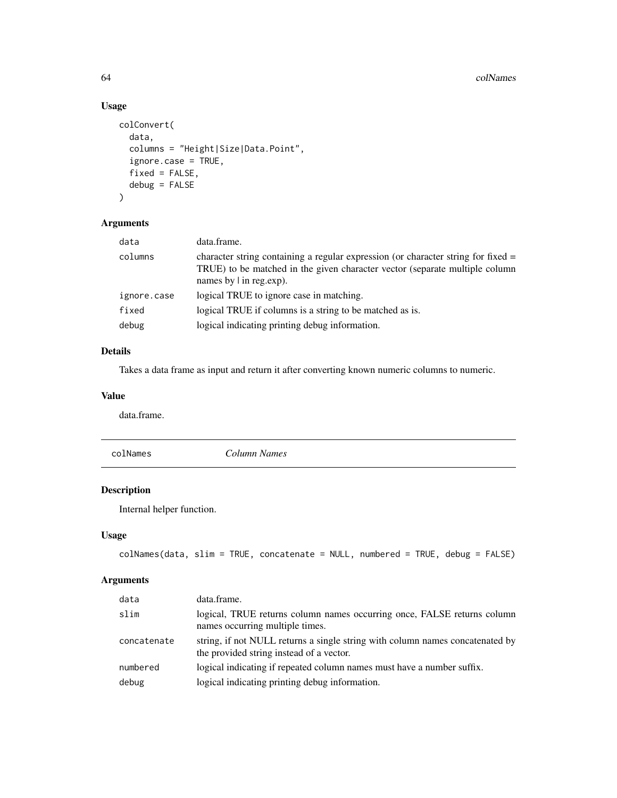# Usage

```
colConvert(
  data,
  columns = "Height|Size|Data.Point",
  ignore.case = TRUE,
  fixed = FALSE,
  debug = FALSE
)
```
# Arguments

| data        | data.frame.                                                                                                                                                                                         |
|-------------|-----------------------------------------------------------------------------------------------------------------------------------------------------------------------------------------------------|
| columns     | character string containing a regular expression (or character string for fixed $=$<br>TRUE) to be matched in the given character vector (separate multiple column<br>names by $\vert$ in reg.exp). |
| ignore.case | logical TRUE to ignore case in matching.                                                                                                                                                            |
| fixed       | logical TRUE if columns is a string to be matched as is.                                                                                                                                            |
| debug       | logical indicating printing debug information.                                                                                                                                                      |

# Details

Takes a data frame as input and return it after converting known numeric columns to numeric.

## Value

data.frame.

| Column Names |
|--------------|
|--------------|

# Description

Internal helper function.

# Usage

```
colNames(data, slim = TRUE, concatenate = NULL, numbered = TRUE, debug = FALSE)
```
# Arguments

| data        | data.frame.                                                                                                               |
|-------------|---------------------------------------------------------------------------------------------------------------------------|
| slim        | logical, TRUE returns column names occurring once, FALSE returns column<br>names occurring multiple times.                |
| concatenate | string, if not NULL returns a single string with column names concatenated by<br>the provided string instead of a vector. |
| numbered    | logical indicating if repeated column names must have a number suffix.                                                    |
| debug       | logical indicating printing debug information.                                                                            |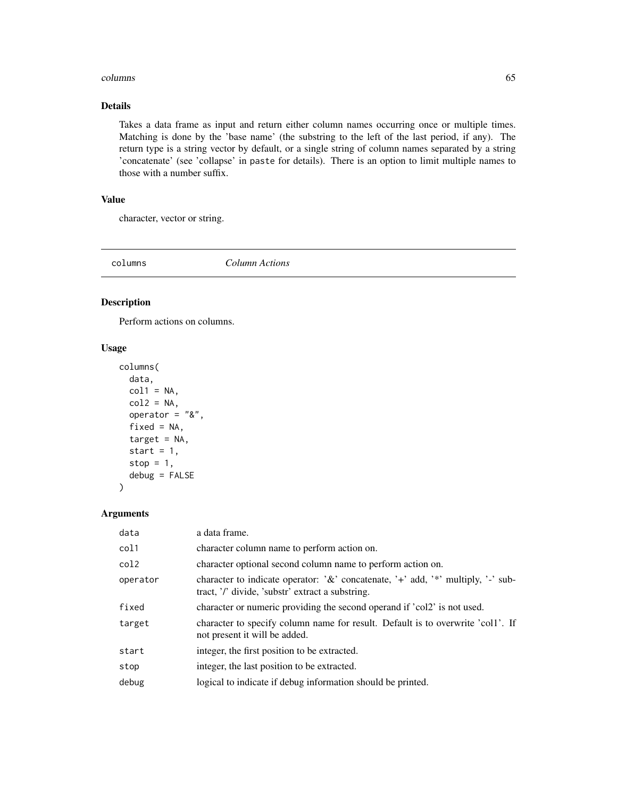#### columns 65

# Details

Takes a data frame as input and return either column names occurring once or multiple times. Matching is done by the 'base name' (the substring to the left of the last period, if any). The return type is a string vector by default, or a single string of column names separated by a string 'concatenate' (see 'collapse' in paste for details). There is an option to limit multiple names to those with a number suffix.

# Value

character, vector or string.

<span id="page-64-0"></span>

columns *Column Actions*

## Description

Perform actions on columns.

# Usage

```
columns(
  data,
  col1 = NA,
  col2 = NA,
  operator = "8",fixed = NA,
  target = NA,
  start = 1,
  stop = 1,
  debug = FALSE
)
```
## Arguments

| data     | a data frame.                                                                                                                          |
|----------|----------------------------------------------------------------------------------------------------------------------------------------|
| col1     | character column name to perform action on.                                                                                            |
| col2     | character optional second column name to perform action on.                                                                            |
| operator | character to indicate operator: $\&c$ concatenate, '+' add, '*' multiply, '-' sub-<br>tract, '/' divide, 'substr' extract a substring. |
| fixed    | character or numeric providing the second operand if 'col2' is not used.                                                               |
| target   | character to specify column name for result. Default is to overwrite 'coll'. If<br>not present it will be added.                       |
| start    | integer, the first position to be extracted.                                                                                           |
| stop     | integer, the last position to be extracted.                                                                                            |
| debug    | logical to indicate if debug information should be printed.                                                                            |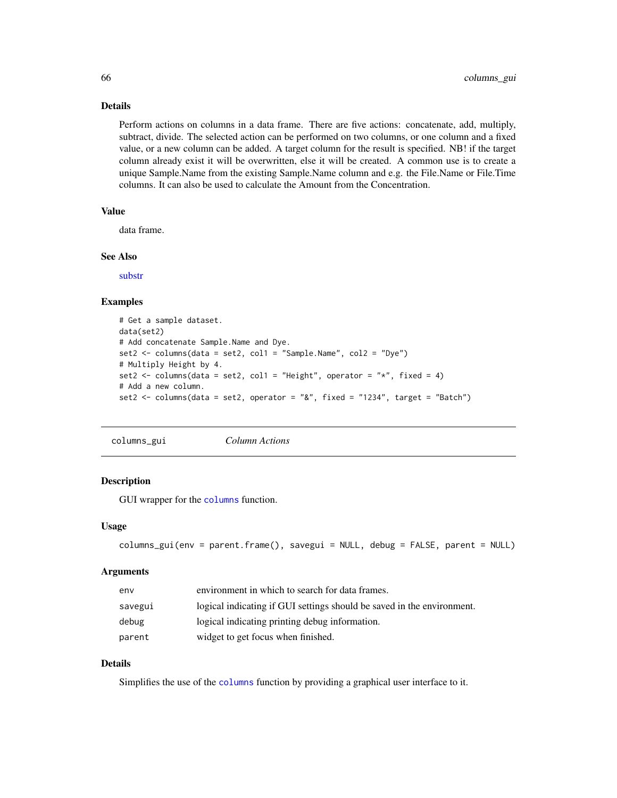# Details

Perform actions on columns in a data frame. There are five actions: concatenate, add, multiply, subtract, divide. The selected action can be performed on two columns, or one column and a fixed value, or a new column can be added. A target column for the result is specified. NB! if the target column already exist it will be overwritten, else it will be created. A common use is to create a unique Sample.Name from the existing Sample.Name column and e.g. the File.Name or File.Time columns. It can also be used to calculate the Amount from the Concentration.

# Value

data frame.

#### See Also

[substr](#page-0-0)

#### Examples

```
# Get a sample dataset.
data(set2)
# Add concatenate Sample.Name and Dye.
set2 \le columns(data = set2, col1 = "Sample.Name", col2 = "Dye")
# Multiply Height by 4.
set2 <- columns(data = set2, col1 = "Height", operator = "*", fixed = 4)
# Add a new column.
set2 <- columns(data = set2, operator = "&", fixed = "1234", target = "Batch")
```
columns\_gui *Column Actions*

#### Description

GUI wrapper for the [columns](#page-64-0) function.

#### Usage

```
columns_gui(env = parent.frame(), savegui = NULL, debug = FALSE, parent = NULL)
```
#### **Arguments**

| env     | environment in which to search for data frames.                        |
|---------|------------------------------------------------------------------------|
| savegui | logical indicating if GUI settings should be saved in the environment. |
| debug   | logical indicating printing debug information.                         |
| parent  | widget to get focus when finished.                                     |

## Details

Simplifies the use of the [columns](#page-64-0) function by providing a graphical user interface to it.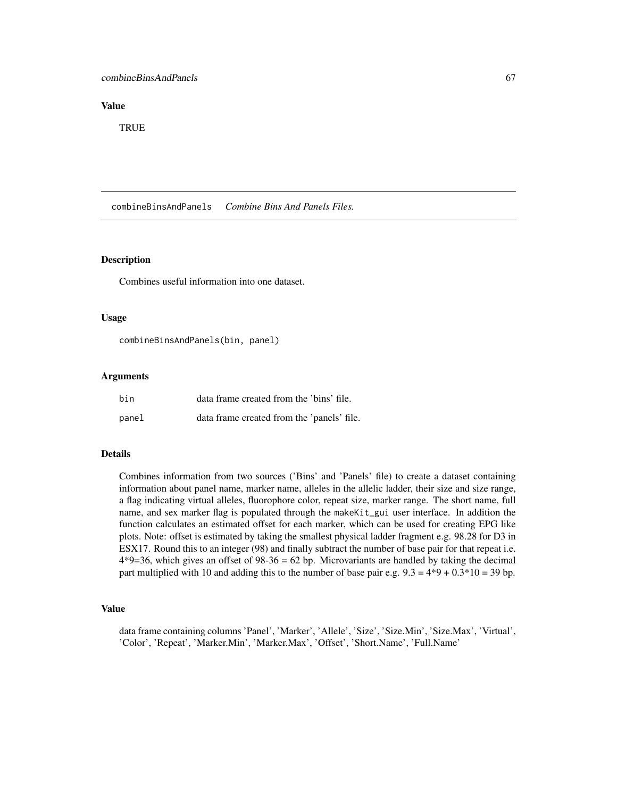## combineBinsAndPanels 67

## Value

**TRUE** 

combineBinsAndPanels *Combine Bins And Panels Files.*

# **Description**

Combines useful information into one dataset.

## Usage

combineBinsAndPanels(bin, panel)

# Arguments

| bin   | data frame created from the 'bins' file.   |
|-------|--------------------------------------------|
| panel | data frame created from the 'panels' file. |

# Details

Combines information from two sources ('Bins' and 'Panels' file) to create a dataset containing information about panel name, marker name, alleles in the allelic ladder, their size and size range, a flag indicating virtual alleles, fluorophore color, repeat size, marker range. The short name, full name, and sex marker flag is populated through the makeKit\_gui user interface. In addition the function calculates an estimated offset for each marker, which can be used for creating EPG like plots. Note: offset is estimated by taking the smallest physical ladder fragment e.g. 98.28 for D3 in ESX17. Round this to an integer (98) and finally subtract the number of base pair for that repeat i.e.  $4*9=36$ , which gives an offset of  $98-36 = 62$  bp. Microvariants are handled by taking the decimal part multiplied with 10 and adding this to the number of base pair e.g.  $9.3 = 4*9 + 0.3*10 = 39$  bp.

#### Value

data frame containing columns 'Panel', 'Marker', 'Allele', 'Size', 'Size.Min', 'Size.Max', 'Virtual', 'Color', 'Repeat', 'Marker.Min', 'Marker.Max', 'Offset', 'Short.Name', 'Full.Name'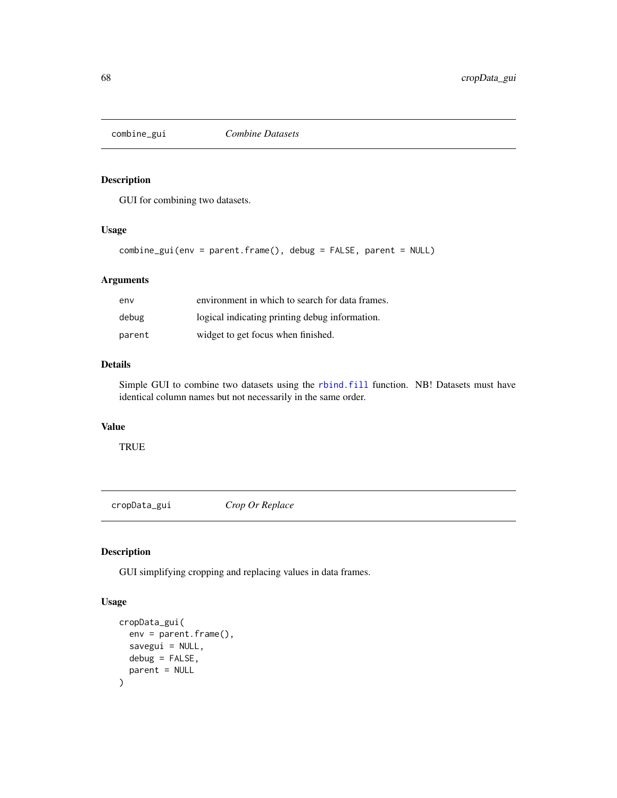<span id="page-67-0"></span>

GUI for combining two datasets.

## Usage

```
combine_gui(env = parent.frame(), debug = FALSE, parent = NULL)
```
# Arguments

| env    | environment in which to search for data frames. |
|--------|-------------------------------------------------|
| debug  | logical indicating printing debug information.  |
| parent | widget to get focus when finished.              |

## Details

Simple GUI to combine two datasets using the [rbind.fill](#page-0-0) function. NB! Datasets must have identical column names but not necessarily in the same order.

# Value

TRUE

<span id="page-67-1"></span>cropData\_gui *Crop Or Replace*

# Description

GUI simplifying cropping and replacing values in data frames.

# Usage

```
cropData_gui(
  env = parent.frame(),
  savegui = NULL,
  debug = FALSE,
  parent = NULL
\mathcal{E}
```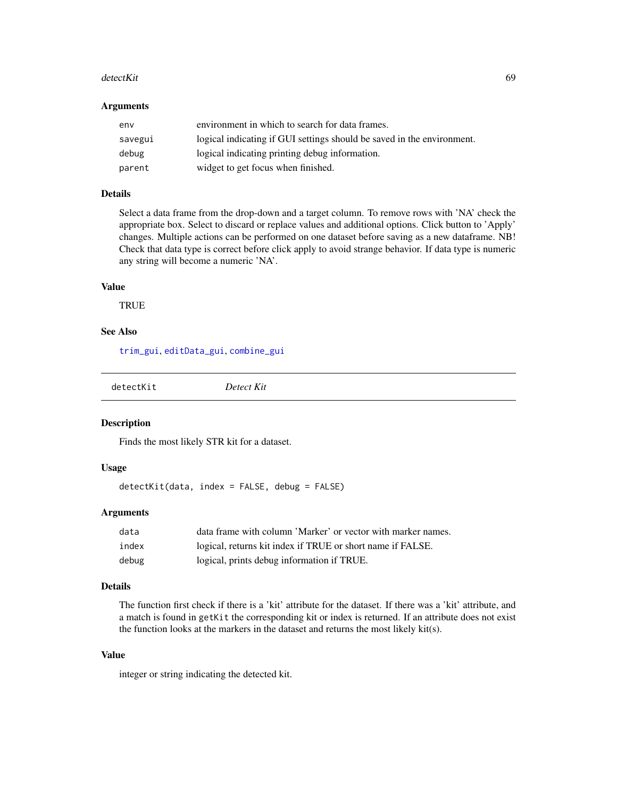#### detectKit 69 and 59 and 59 and 59 and 59 and 59 and 59 and 59 and 59 and 59 and 59 and 59 and 59 and 59 and 59

#### **Arguments**

| env     | environment in which to search for data frames.                        |
|---------|------------------------------------------------------------------------|
| savegui | logical indicating if GUI settings should be saved in the environment. |
| debug   | logical indicating printing debug information.                         |
| parent  | widget to get focus when finished.                                     |

## Details

Select a data frame from the drop-down and a target column. To remove rows with 'NA' check the appropriate box. Select to discard or replace values and additional options. Click button to 'Apply' changes. Multiple actions can be performed on one dataset before saving as a new dataframe. NB! Check that data type is correct before click apply to avoid strange behavior. If data type is numeric any string will become a numeric 'NA'.

## Value

**TRUE** 

# See Also

[trim\\_gui](#page-121-0), [editData\\_gui](#page-69-0), [combine\\_gui](#page-67-0)

detectKit *Detect Kit*

## Description

Finds the most likely STR kit for a dataset.

## Usage

detectKit(data, index = FALSE, debug = FALSE)

## Arguments

| data  | data frame with column 'Marker' or vector with marker names. |
|-------|--------------------------------------------------------------|
| index | logical, returns kit index if TRUE or short name if FALSE.   |
| debug | logical, prints debug information if TRUE.                   |

# Details

The function first check if there is a 'kit' attribute for the dataset. If there was a 'kit' attribute, and a match is found in getKit the corresponding kit or index is returned. If an attribute does not exist the function looks at the markers in the dataset and returns the most likely kit(s).

# Value

integer or string indicating the detected kit.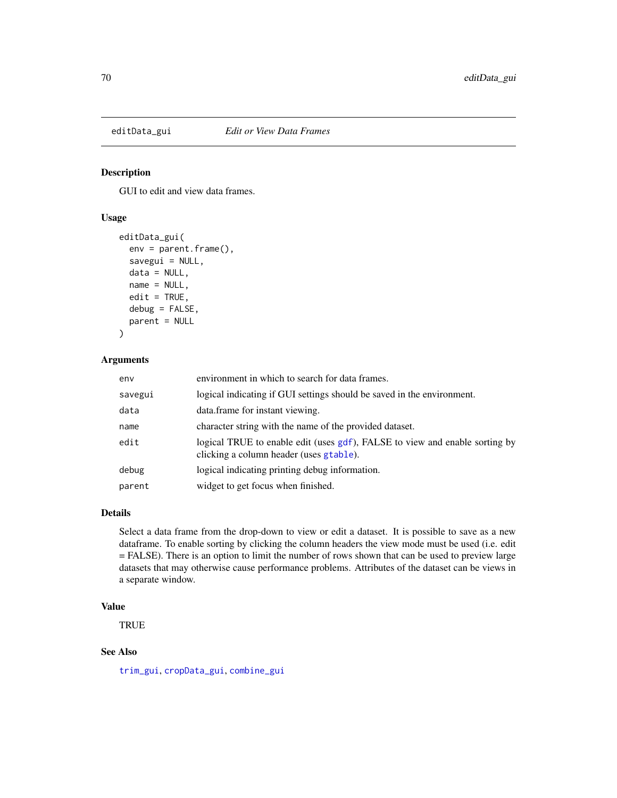<span id="page-69-0"></span>

GUI to edit and view data frames.

## Usage

```
editData_gui(
  env = parent.frame(),
  savegui = NULL,
  data = NULL,name = NULL,edit = TRUE,debug = FALSE,
  parent = NULL
\mathcal{L}
```
# Arguments

| env     | environment in which to search for data frames.                                                                        |
|---------|------------------------------------------------------------------------------------------------------------------------|
| savegui | logical indicating if GUI settings should be saved in the environment.                                                 |
| data    | data.frame for instant viewing.                                                                                        |
| name    | character string with the name of the provided dataset.                                                                |
| edit    | logical TRUE to enable edit (uses gdf), FALSE to view and enable sorting by<br>clicking a column header (uses gtable). |
| debug   | logical indicating printing debug information.                                                                         |
| parent  | widget to get focus when finished.                                                                                     |

# Details

Select a data frame from the drop-down to view or edit a dataset. It is possible to save as a new dataframe. To enable sorting by clicking the column headers the view mode must be used (i.e. edit = FALSE). There is an option to limit the number of rows shown that can be used to preview large datasets that may otherwise cause performance problems. Attributes of the dataset can be views in a separate window.

## Value

**TRUE** 

## See Also

[trim\\_gui](#page-121-0), [cropData\\_gui](#page-67-1), [combine\\_gui](#page-67-0)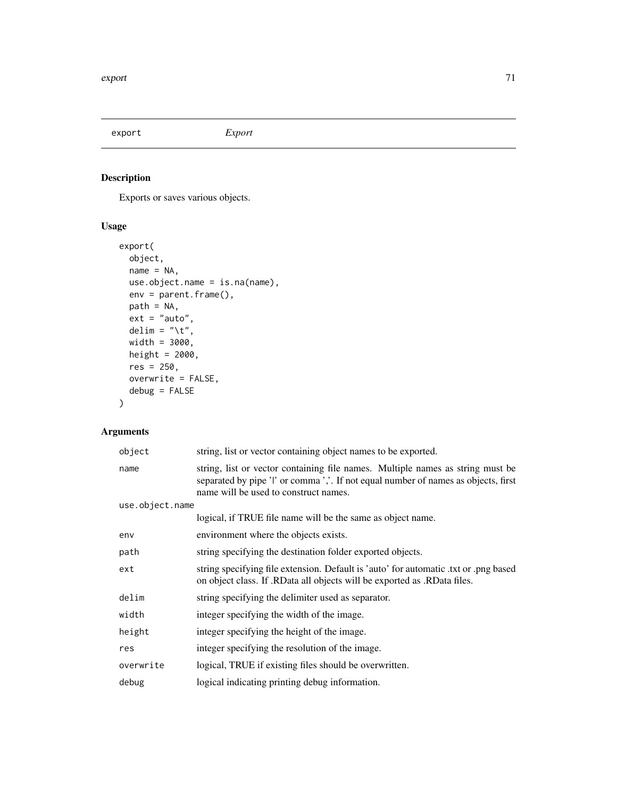<span id="page-70-0"></span>export *Export*

# Description

Exports or saves various objects.

# Usage

```
export(
 object,
 name = NA,use.object.name = is.na(name),
 env = parent.frame(),
 path = NA,
 ext = "auto",delim = "\t",
 width = 3000,
 height = 2000,
 res = 250,overwrite = FALSE,
 debug = FALSE
)
```
# Arguments

| object          | string, list or vector containing object names to be exported.                                                                                                                                                |
|-----------------|---------------------------------------------------------------------------------------------------------------------------------------------------------------------------------------------------------------|
| name            | string, list or vector containing file names. Multiple names as string must be<br>separated by pipe 'l' or comma ','. If not equal number of names as objects, first<br>name will be used to construct names. |
| use.object.name |                                                                                                                                                                                                               |
|                 | logical, if TRUE file name will be the same as object name.                                                                                                                                                   |
| env             | environment where the objects exists.                                                                                                                                                                         |
| path            | string specifying the destination folder exported objects.                                                                                                                                                    |
| ext             | string specifying file extension. Default is 'auto' for automatic txt or png based<br>on object class. If .RData all objects will be exported as .RData files.                                                |
| delim           | string specifying the delimiter used as separator.                                                                                                                                                            |
| width           | integer specifying the width of the image.                                                                                                                                                                    |
| height          | integer specifying the height of the image.                                                                                                                                                                   |
| res             | integer specifying the resolution of the image.                                                                                                                                                               |
| overwrite       | logical, TRUE if existing files should be overwritten.                                                                                                                                                        |
| debug           | logical indicating printing debug information.                                                                                                                                                                |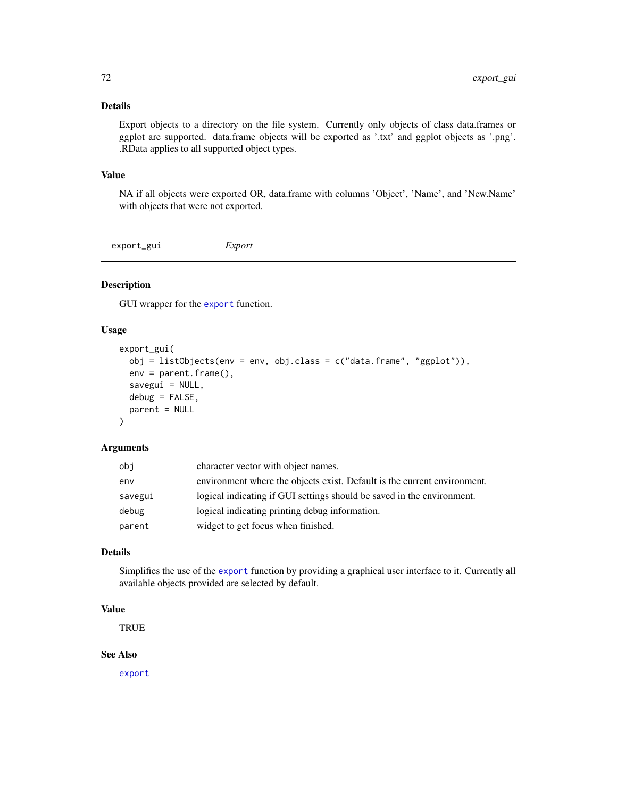# Details

Export objects to a directory on the file system. Currently only objects of class data.frames or ggplot are supported. data.frame objects will be exported as '.txt' and ggplot objects as '.png'. .RData applies to all supported object types.

#### Value

NA if all objects were exported OR, data.frame with columns 'Object', 'Name', and 'New.Name' with objects that were not exported.

export\_gui *Export*

## Description

GUI wrapper for the [export](#page-70-0) function.

#### Usage

```
export_gui(
  obj = listObjects(env = env, obj.class = c("data.frame", "ggplot")),
  env = parent.frame(),
  savegui = NULL,
  debug = FALSE,
  parent = NULL
)
```
## Arguments

| obj     | character vector with object names.                                      |
|---------|--------------------------------------------------------------------------|
| env     | environment where the objects exist. Default is the current environment. |
| savegui | logical indicating if GUI settings should be saved in the environment.   |
| debug   | logical indicating printing debug information.                           |
| parent  | widget to get focus when finished.                                       |

# Details

Simplifies the use of the [export](#page-70-0) function by providing a graphical user interface to it. Currently all available objects provided are selected by default.

# Value

**TRUE** 

## See Also

[export](#page-70-0)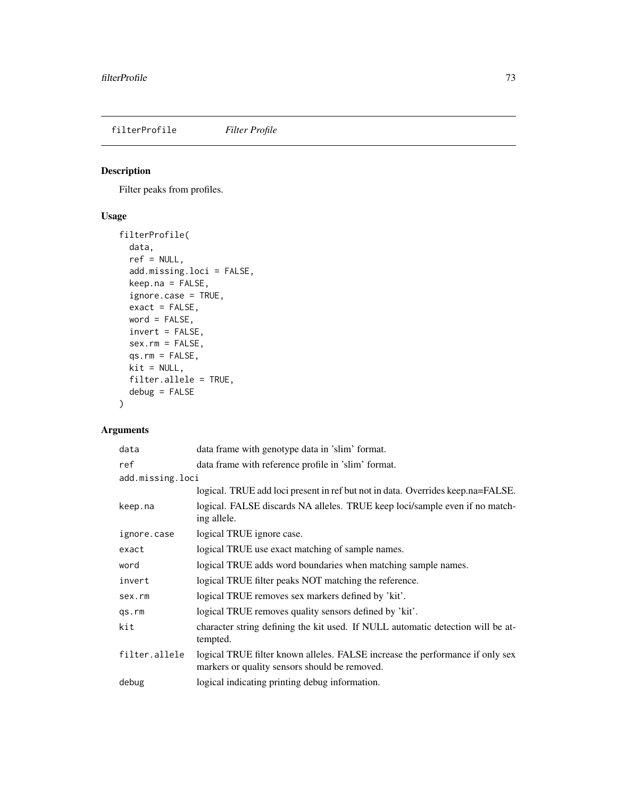<span id="page-72-0"></span>filterProfile *Filter Profile*

## Description

Filter peaks from profiles.

## Usage

```
filterProfile(
  data,
  ref = NULL,
  add.missing.loci = FALSE,
 keep.na = FALSE,
  ignore.case = TRUE,
  exact = FALSE,word = FALSE,
  invert = FALSE,
 sex.rm = FALSE,
  qs.rm = FALSE,
 kit = NULL,filter.allele = TRUE,
 debug = FALSE
)
```
## Arguments

| data             | data frame with genotype data in 'slim' format.                                                                                |
|------------------|--------------------------------------------------------------------------------------------------------------------------------|
| ref              | data frame with reference profile in 'slim' format.                                                                            |
| add.missing.loci |                                                                                                                                |
|                  | logical. TRUE add loci present in ref but not in data. Overrides keep.na=FALSE.                                                |
| keep.na          | logical. FALSE discards NA alleles. TRUE keep loci/sample even if no match-<br>ing allele.                                     |
| ignore.case      | logical TRUE ignore case.                                                                                                      |
| exact            | logical TRUE use exact matching of sample names.                                                                               |
| word             | logical TRUE adds word boundaries when matching sample names.                                                                  |
| invert           | logical TRUE filter peaks NOT matching the reference.                                                                          |
| sex.rm           | logical TRUE removes sex markers defined by 'kit'.                                                                             |
| qs.rm            | logical TRUE removes quality sensors defined by 'kit'.                                                                         |
| kit              | character string defining the kit used. If NULL automatic detection will be at-<br>tempted.                                    |
| filter.allele    | logical TRUE filter known alleles. FALSE increase the performance if only sex<br>markers or quality sensors should be removed. |
| debug            | logical indicating printing debug information.                                                                                 |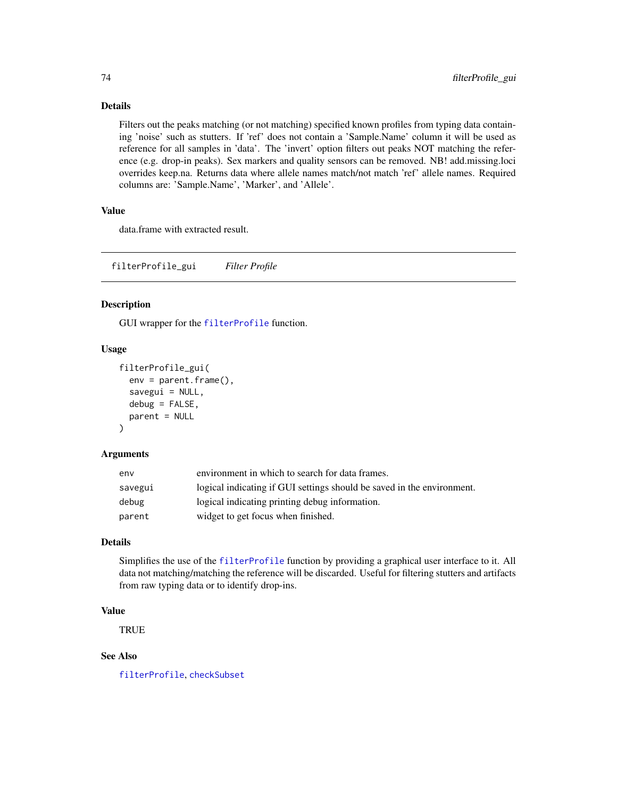## Details

Filters out the peaks matching (or not matching) specified known profiles from typing data containing 'noise' such as stutters. If 'ref' does not contain a 'Sample.Name' column it will be used as reference for all samples in 'data'. The 'invert' option filters out peaks NOT matching the reference (e.g. drop-in peaks). Sex markers and quality sensors can be removed. NB! add.missing.loci overrides keep.na. Returns data where allele names match/not match 'ref' allele names. Required columns are: 'Sample.Name', 'Marker', and 'Allele'.

## Value

data.frame with extracted result.

filterProfile\_gui *Filter Profile*

## Description

GUI wrapper for the [filterProfile](#page-72-0) function.

## Usage

```
filterProfile_gui(
  env = parent.frame(),
  savegui = NULL,
  debug = FALSE,parent = NULL
\lambda
```
#### Arguments

| env     | environment in which to search for data frames.                        |
|---------|------------------------------------------------------------------------|
| savegui | logical indicating if GUI settings should be saved in the environment. |
| debug   | logical indicating printing debug information.                         |
| parent  | widget to get focus when finished.                                     |

## Details

Simplifies the use of the [filterProfile](#page-72-0) function by providing a graphical user interface to it. All data not matching/matching the reference will be discarded. Useful for filtering stutters and artifacts from raw typing data or to identify drop-ins.

#### Value

**TRUE** 

# See Also

[filterProfile](#page-72-0), [checkSubset](#page-61-0)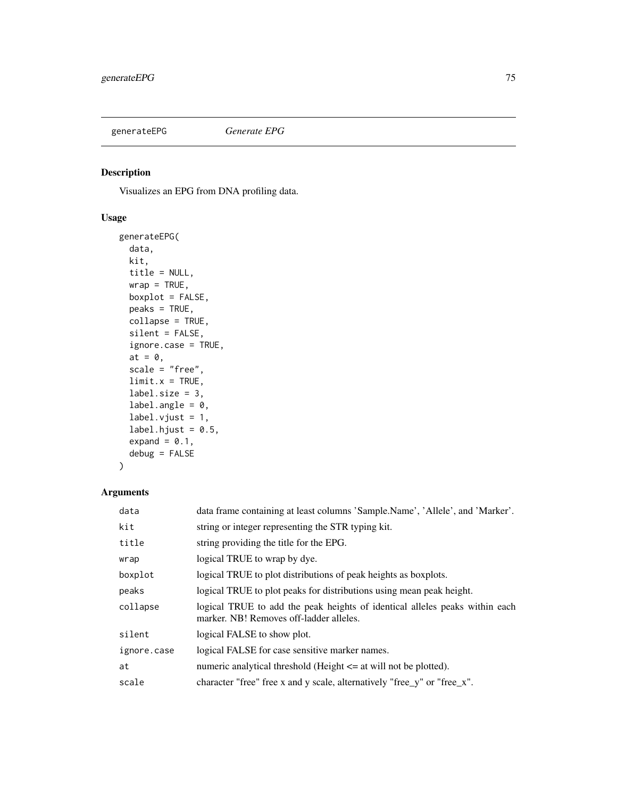<span id="page-74-0"></span>

Visualizes an EPG from DNA profiling data.

## Usage

```
generateEPG(
 data,
 kit,
 title = NULL,
 wrap = TRUE,boxplot = FALSE,
 peaks = TRUE,
 collapse = TRUE,
 silent = FALSE,
 ignore.case = TRUE,
 at = 0,scale = "free",
 limit.x = TRUE,label.size = 3,
 label.angle = 0,
 label.vjust = 1,
 label.hjust = 0.5,
 expand = 0.1,
 debug = FALSE
)
```
## Arguments

| data        | data frame containing at least columns 'Sample.Name', 'Allele', and 'Marker'.                                          |
|-------------|------------------------------------------------------------------------------------------------------------------------|
| kit         | string or integer representing the STR typing kit.                                                                     |
| title       | string providing the title for the EPG.                                                                                |
| wrap        | logical TRUE to wrap by dye.                                                                                           |
| boxplot     | logical TRUE to plot distributions of peak heights as boxplots.                                                        |
| peaks       | logical TRUE to plot peaks for distributions using mean peak height.                                                   |
| collapse    | logical TRUE to add the peak heights of identical alleles peaks within each<br>marker. NB! Removes off-ladder alleles. |
| silent      | logical FALSE to show plot.                                                                                            |
| ignore.case | logical FALSE for case sensitive marker names.                                                                         |
| at          | numeric analytical threshold (Height $\leq$ at will not be plotted).                                                   |
| scale       | character "free" free x and y scale, alternatively "free_y" or "free_x".                                               |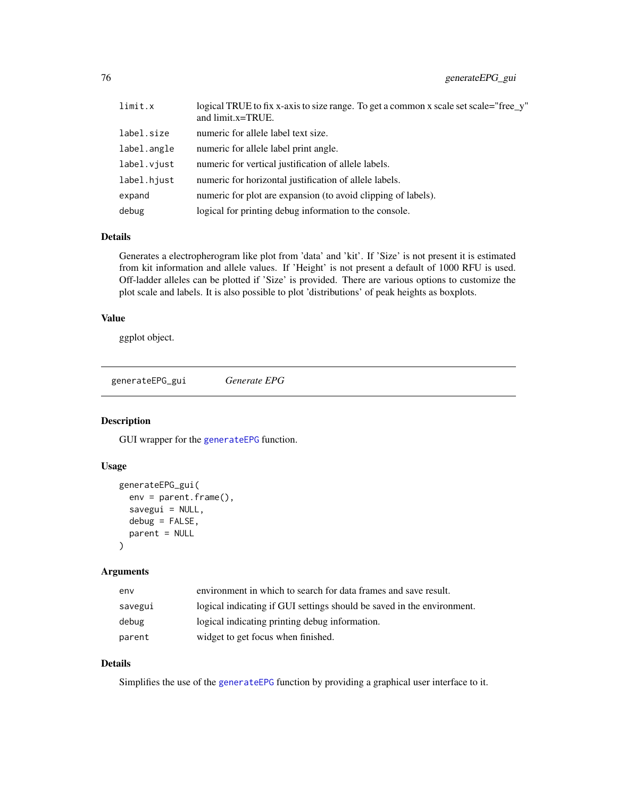| limit.x     | logical TRUE to fix x-axis to size range. To get a common x scale set scale="free_y"<br>and limit.x=TRUE. |
|-------------|-----------------------------------------------------------------------------------------------------------|
| label.size  | numeric for allele label text size.                                                                       |
| label.angle | numeric for allele label print angle.                                                                     |
| label.viust | numeric for vertical justification of allele labels.                                                      |
| label.hjust | numeric for horizontal justification of allele labels.                                                    |
| expand      | numeric for plot are expansion (to avoid clipping of labels).                                             |
| debug       | logical for printing debug information to the console.                                                    |

#### Details

Generates a electropherogram like plot from 'data' and 'kit'. If 'Size' is not present it is estimated from kit information and allele values. If 'Height' is not present a default of 1000 RFU is used. Off-ladder alleles can be plotted if 'Size' is provided. There are various options to customize the plot scale and labels. It is also possible to plot 'distributions' of peak heights as boxplots.

## Value

ggplot object.

generateEPG\_gui *Generate EPG*

# Description

GUI wrapper for the [generateEPG](#page-74-0) function.

## Usage

```
generateEPG_gui(
  env = parent.Fname(),savegui = NULL,
  debug = FALSE,
  parent = NULL
)
```
## Arguments

| env     | environment in which to search for data frames and save result.        |
|---------|------------------------------------------------------------------------|
| savegui | logical indicating if GUI settings should be saved in the environment. |
| debug   | logical indicating printing debug information.                         |
| parent  | widget to get focus when finished.                                     |

# Details

Simplifies the use of the [generateEPG](#page-74-0) function by providing a graphical user interface to it.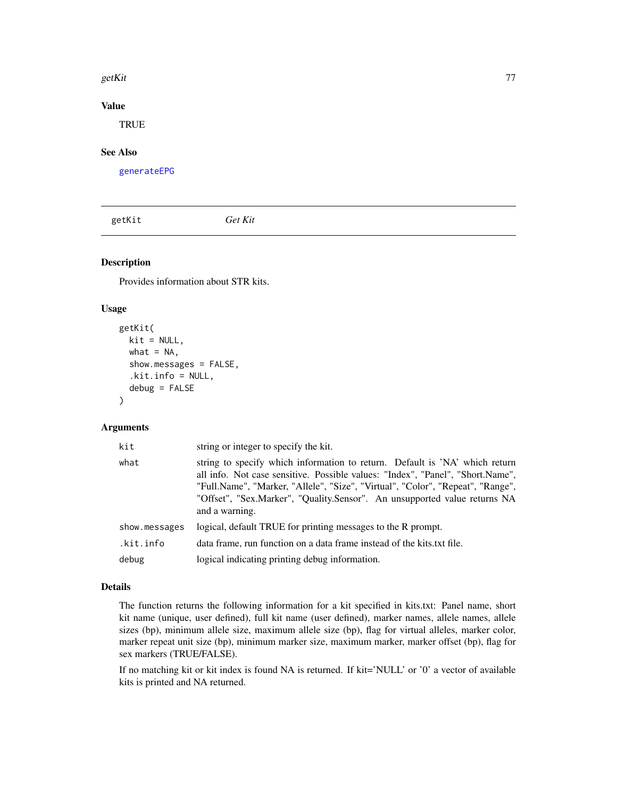#### getKit 500 mm and 200 mm and 200 mm and 200 mm and 200 mm and 200 mm and 200 mm and 200 mm and 200 mm and 200

## Value

**TRUE** 

# See Also

[generateEPG](#page-74-0)

getKit *Get Kit*

# Description

Provides information about STR kits.

#### Usage

```
getKit(
 kit = NULL,what = NA,
  show.messages = FALSE,
  .kit.info = NULL,
  debug = FALSE)
```
## Arguments

| kit           | string or integer to specify the kit.                                                                                                                                                                                                                                                                                                          |
|---------------|------------------------------------------------------------------------------------------------------------------------------------------------------------------------------------------------------------------------------------------------------------------------------------------------------------------------------------------------|
| what          | string to specify which information to return. Default is 'NA' which return<br>all info. Not case sensitive. Possible values: "Index", "Panel", "Short.Name",<br>"Full.Name", "Marker, "Allele", "Size", "Virtual", "Color", "Repeat", "Range",<br>"Offset", "Sex.Marker", "Quality.Sensor". An unsupported value returns NA<br>and a warning. |
| show.messages | logical, default TRUE for printing messages to the R prompt.                                                                                                                                                                                                                                                                                   |
| .kit.info     | data frame, run function on a data frame instead of the kits txt file.                                                                                                                                                                                                                                                                         |
| debug         | logical indicating printing debug information.                                                                                                                                                                                                                                                                                                 |

## Details

The function returns the following information for a kit specified in kits.txt: Panel name, short kit name (unique, user defined), full kit name (user defined), marker names, allele names, allele sizes (bp), minimum allele size, maximum allele size (bp), flag for virtual alleles, marker color, marker repeat unit size (bp), minimum marker size, maximum marker, marker offset (bp), flag for sex markers (TRUE/FALSE).

If no matching kit or kit index is found NA is returned. If kit='NULL' or '0' a vector of available kits is printed and NA returned.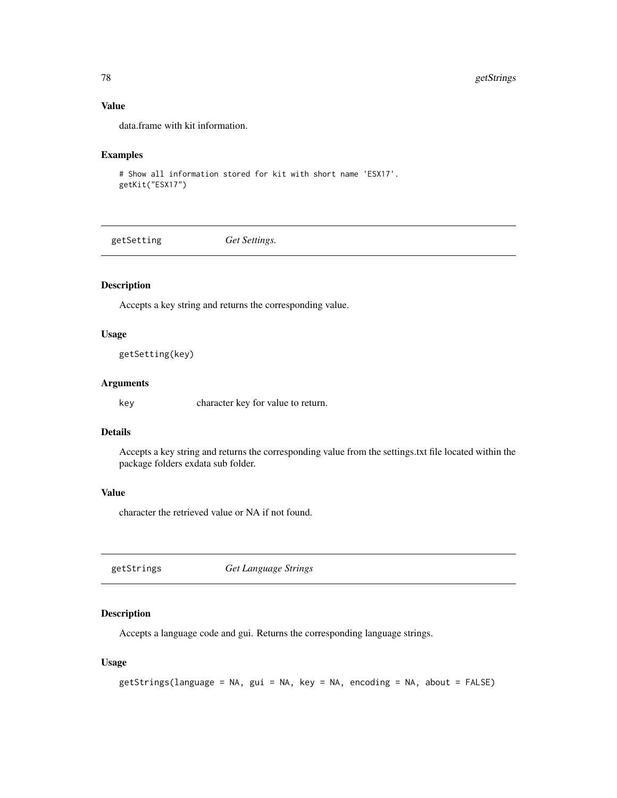## Value

data.frame with kit information.

## Examples

```
# Show all information stored for kit with short name 'ESX17'.
getKit("ESX17")
```
getSetting *Get Settings.*

## Description

Accepts a key string and returns the corresponding value.

#### Usage

```
getSetting(key)
```
## Arguments

key character key for value to return.

# Details

Accepts a key string and returns the corresponding value from the settings.txt file located within the package folders exdata sub folder.

# Value

character the retrieved value or NA if not found.

getStrings *Get Language Strings*

## Description

Accepts a language code and gui. Returns the corresponding language strings.

#### Usage

```
getStrings(language = NA, gui = NA, key = NA, encoding = NA, about = FALSE)
```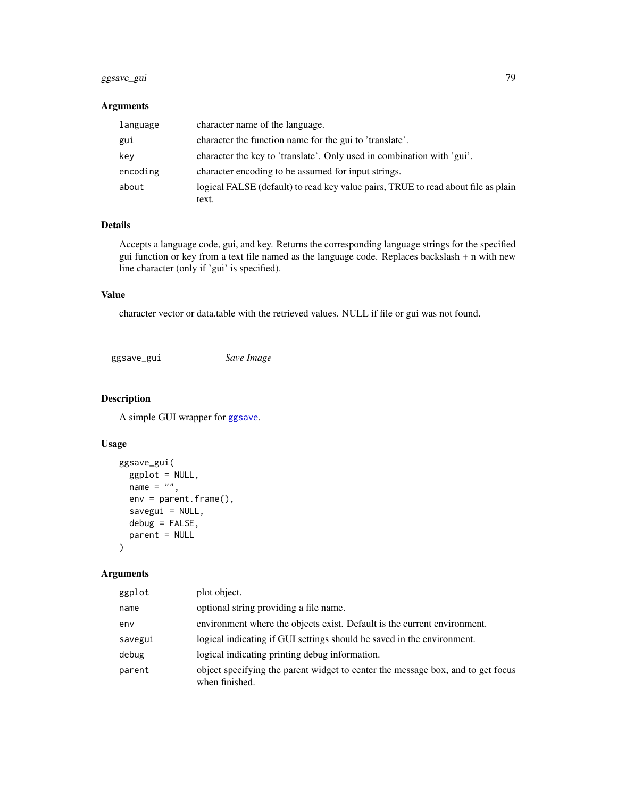## ggsave\_gui 79

## Arguments

| language | character name of the language.                                                   |
|----------|-----------------------------------------------------------------------------------|
| gui      | character the function name for the gui to 'translate'.                           |
| key      | character the key to 'translate'. Only used in combination with 'gui'.            |
| encoding | character encoding to be assumed for input strings.                               |
| about    | logical FALSE (default) to read key value pairs, TRUE to read about file as plain |
|          | text.                                                                             |

## Details

Accepts a language code, gui, and key. Returns the corresponding language strings for the specified gui function or key from a text file named as the language code. Replaces backslash + n with new line character (only if 'gui' is specified).

## Value

character vector or data.table with the retrieved values. NULL if file or gui was not found.

ggsave\_gui *Save Image*

## Description

A simple GUI wrapper for [ggsave](#page-0-0).

## Usage

```
ggsave_gui(
 ggplot = NULL,
 name = ",
 env = parent.frame(),
  savegui = NULL,
  debug = FALSE,
 parent = NULL
\mathcal{L}
```
## Arguments

| ggplot  | plot object.                                                                                      |
|---------|---------------------------------------------------------------------------------------------------|
| name    | optional string providing a file name.                                                            |
| env     | environment where the objects exist. Default is the current environment.                          |
| savegui | logical indicating if GUI settings should be saved in the environment.                            |
| debug   | logical indicating printing debug information.                                                    |
| parent  | object specifying the parent widget to center the message box, and to get focus<br>when finished. |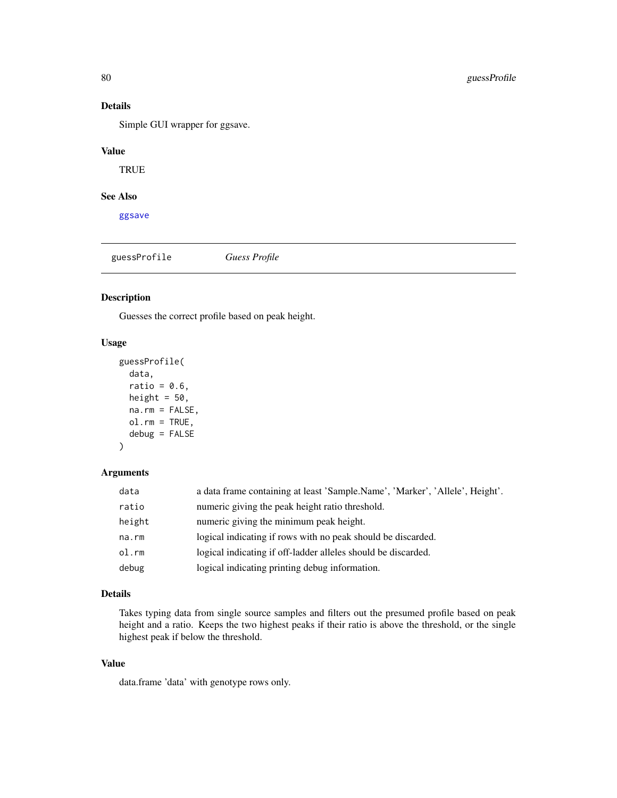## Details

Simple GUI wrapper for ggsave.

# Value

**TRUE** 

## See Also

[ggsave](#page-0-0)

<span id="page-79-0"></span>guessProfile *Guess Profile*

#### Description

Guesses the correct profile based on peak height.

## Usage

```
guessProfile(
 data,
  ratio = 0.6,
 height = 50,
 na.rm = FALSE,
 ol.rm = TRUE,
  debug = FALSE
)
```
## Arguments

| data   | a data frame containing at least 'Sample.Name', 'Marker', 'Allele', Height'. |
|--------|------------------------------------------------------------------------------|
| ratio  | numeric giving the peak height ratio threshold.                              |
| height | numeric giving the minimum peak height.                                      |
| na.rm  | logical indicating if rows with no peak should be discarded.                 |
| ol.rm  | logical indicating if off-ladder alleles should be discarded.                |
| debug  | logical indicating printing debug information.                               |

## Details

Takes typing data from single source samples and filters out the presumed profile based on peak height and a ratio. Keeps the two highest peaks if their ratio is above the threshold, or the single highest peak if below the threshold.

# Value

data.frame 'data' with genotype rows only.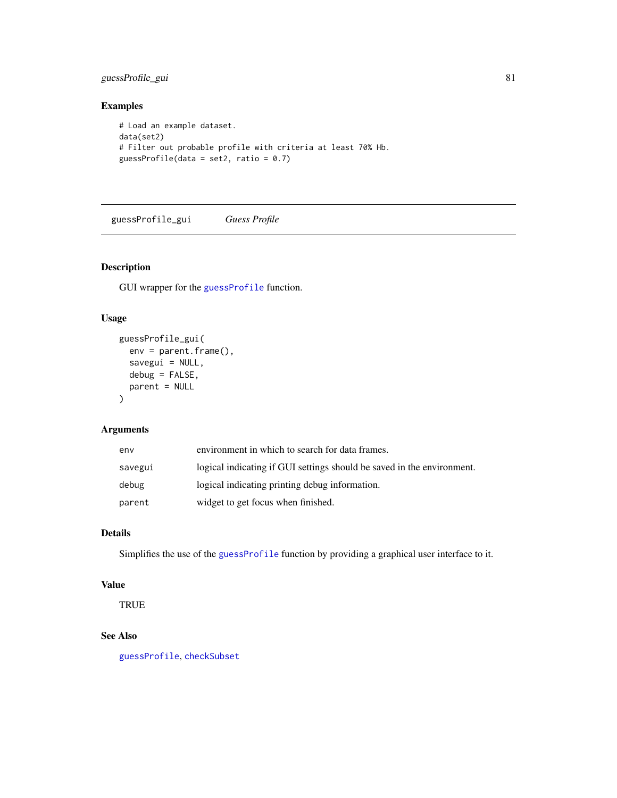## guessProfile\_gui 81

## Examples

```
# Load an example dataset.
data(set2)
# Filter out probable profile with criteria at least 70% Hb.
guessProfile(data = set2, ratio = 0.7)
```
guessProfile\_gui *Guess Profile*

# Description

GUI wrapper for the [guessProfile](#page-79-0) function.

## Usage

```
guessProfile_gui(
  env = parent.frame(),
  savegui = NULL,
  debug = FALSE,parent = NULL
\mathcal{L}
```
## Arguments

| env     | environment in which to search for data frames.                        |
|---------|------------------------------------------------------------------------|
| savegui | logical indicating if GUI settings should be saved in the environment. |
| debug   | logical indicating printing debug information.                         |
| parent  | widget to get focus when finished.                                     |

# Details

Simplifies the use of the [guessProfile](#page-79-0) function by providing a graphical user interface to it.

## Value

**TRUE** 

## See Also

[guessProfile](#page-79-0), [checkSubset](#page-61-0)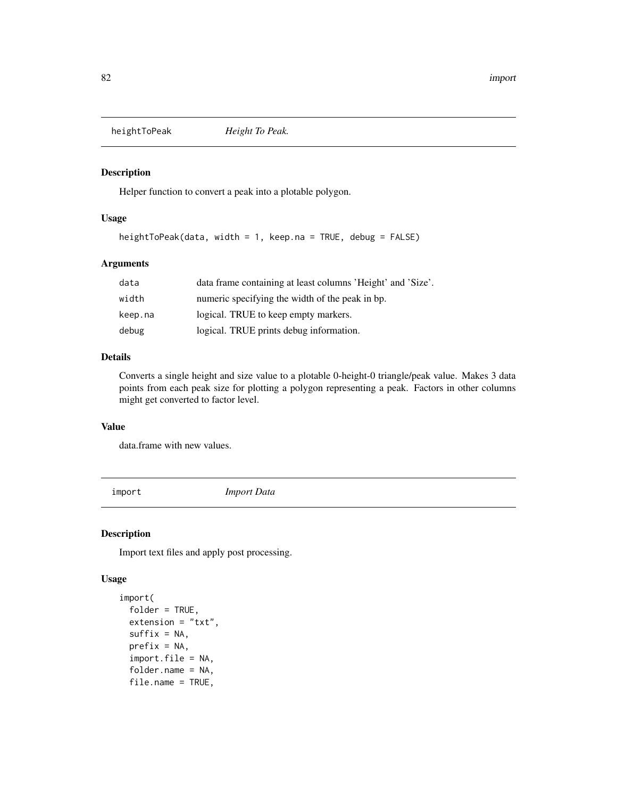Helper function to convert a peak into a plotable polygon.

#### Usage

heightToPeak(data, width = 1, keep.na = TRUE, debug = FALSE)

## Arguments

| data    | data frame containing at least columns 'Height' and 'Size'. |
|---------|-------------------------------------------------------------|
| width   | numeric specifying the width of the peak in bp.             |
| keep.na | logical. TRUE to keep empty markers.                        |
| debug   | logical. TRUE prints debug information.                     |

## Details

Converts a single height and size value to a plotable 0-height-0 triangle/peak value. Makes 3 data points from each peak size for plotting a polygon representing a peak. Factors in other columns might get converted to factor level.

# Value

data.frame with new values.

<span id="page-81-0"></span>import *Import Data*

## Description

Import text files and apply post processing.

## Usage

```
import(
  folder = TRUE,
 extension = "txt",
  suffix = NA,
 prefix = NA,
  import.file = NA,
  folder.name = NA,
  file.name = TRUE,
```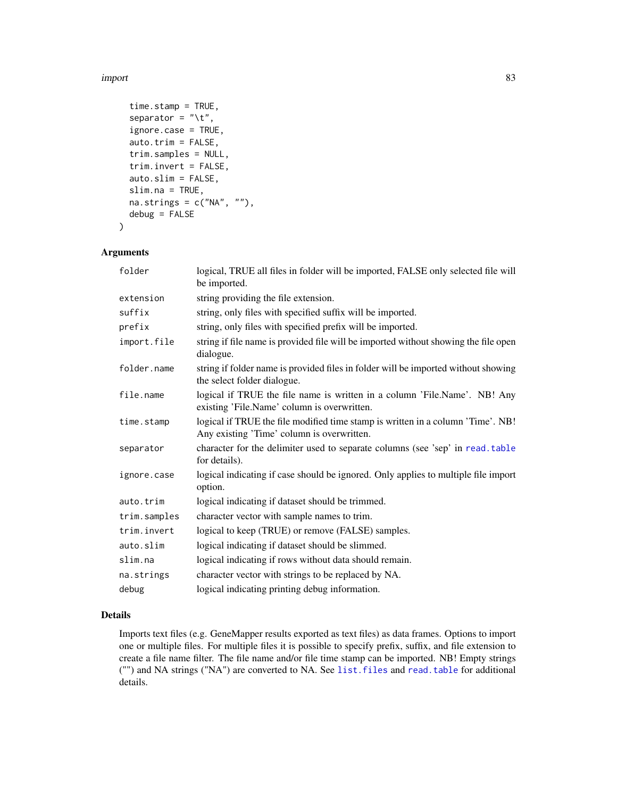#### import 83

```
time.stamp = TRUE,
  separator = "\iota.
  ignore.case = TRUE,
  auto.trim = FALSE,
  trim.samples = NULL,
  trim.invert = FALSE,
  auto.slim = FALSE,
  slim.na = TRUE,
 na.strings = c("NA", ""),
  debug = FALSE
\mathcal{L}
```
## Arguments

| folder       | logical, TRUE all files in folder will be imported, FALSE only selected file will<br>be imported.                             |
|--------------|-------------------------------------------------------------------------------------------------------------------------------|
| extension    | string providing the file extension.                                                                                          |
| suffix       | string, only files with specified suffix will be imported.                                                                    |
| prefix       | string, only files with specified prefix will be imported.                                                                    |
| import.file  | string if file name is provided file will be imported without showing the file open<br>dialogue.                              |
| folder.name  | string if folder name is provided files in folder will be imported without showing<br>the select folder dialogue.             |
| file.name    | logical if TRUE the file name is written in a column 'File.Name'. NB! Any<br>existing 'File.Name' column is overwritten.      |
| time.stamp   | logical if TRUE the file modified time stamp is written in a column 'Time'. NB!<br>Any existing 'Time' column is overwritten. |
| separator    | character for the delimiter used to separate columns (see 'sep' in read. table<br>for details).                               |
| ignore.case  | logical indicating if case should be ignored. Only applies to multiple file import<br>option.                                 |
| auto.trim    | logical indicating if dataset should be trimmed.                                                                              |
| trim.samples | character vector with sample names to trim.                                                                                   |
| trim.invert  | logical to keep (TRUE) or remove (FALSE) samples.                                                                             |
| auto.slim    | logical indicating if dataset should be slimmed.                                                                              |
| slim.na      | logical indicating if rows without data should remain.                                                                        |
| na.strings   | character vector with strings to be replaced by NA.                                                                           |
| debug        | logical indicating printing debug information.                                                                                |

# Details

Imports text files (e.g. GeneMapper results exported as text files) as data frames. Options to import one or multiple files. For multiple files it is possible to specify prefix, suffix, and file extension to create a file name filter. The file name and/or file time stamp can be imported. NB! Empty strings ("") and NA strings ("NA") are converted to NA. See [list.files](#page-0-0) and [read.table](#page-0-0) for additional details.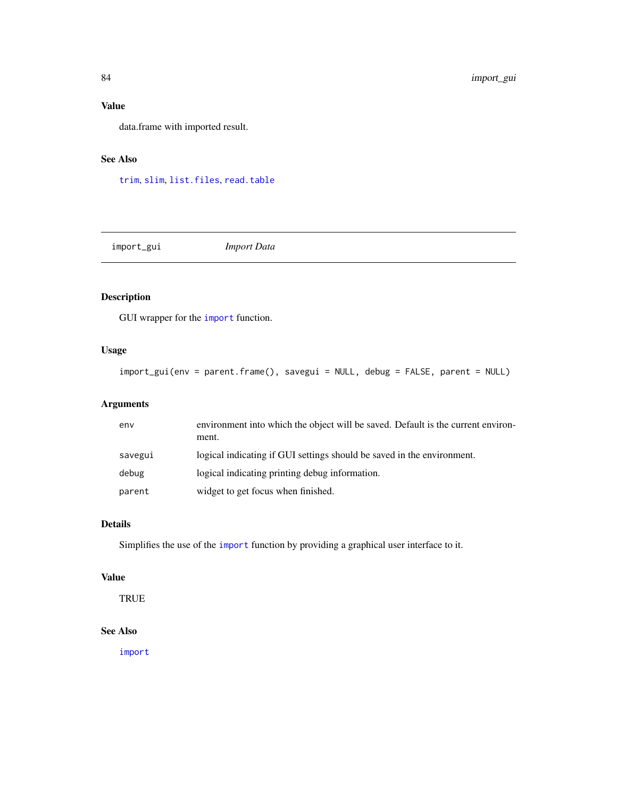# Value

data.frame with imported result.

## See Also

[trim](#page-120-0), [slim](#page-112-0), [list.files](#page-0-0), [read.table](#page-0-0)

import\_gui *Import Data*

# Description

GUI wrapper for the [import](#page-81-0) function.

# Usage

```
import_gui(env = parent.frame(), savegui = NULL, debug = FALSE, parent = NULL)
```
## Arguments

| env     | environment into which the object will be saved. Default is the current environ-<br>ment. |
|---------|-------------------------------------------------------------------------------------------|
| savegui | logical indicating if GUI settings should be saved in the environment.                    |
| debug   | logical indicating printing debug information.                                            |
| parent  | widget to get focus when finished.                                                        |

## Details

Simplifies the use of the [import](#page-81-0) function by providing a graphical user interface to it.

# Value

**TRUE** 

# See Also

[import](#page-81-0)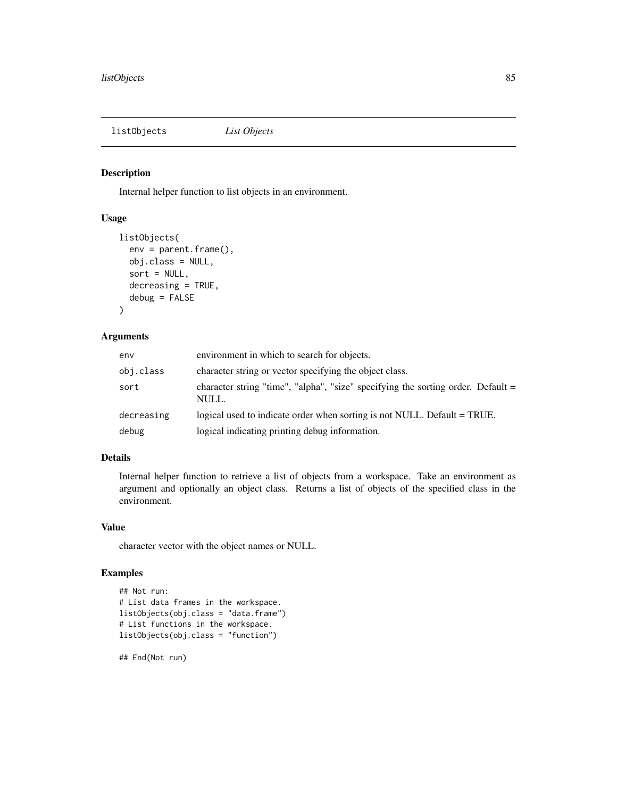listObjects *List Objects*

# Description

Internal helper function to list objects in an environment.

#### Usage

```
listObjects(
  env = parent.frame(),
  obj.class = NULL,
  sort = NULL,decreasing = TRUE,
  debug = FALSE
)
```
## Arguments

| env        | environment in which to search for objects.                                                 |
|------------|---------------------------------------------------------------------------------------------|
| obj.class  | character string or vector specifying the object class.                                     |
| sort       | character string "time", "alpha", "size" specifying the sorting order. Default $=$<br>NULL. |
| decreasing | logical used to indicate order when sorting is not NULL. Default = TRUE.                    |
| debug      | logical indicating printing debug information.                                              |

## Details

Internal helper function to retrieve a list of objects from a workspace. Take an environment as argument and optionally an object class. Returns a list of objects of the specified class in the environment.

## Value

character vector with the object names or NULL.

## Examples

```
## Not run:
# List data frames in the workspace.
listObjects(obj.class = "data.frame")
# List functions in the workspace.
listObjects(obj.class = "function")
```
## End(Not run)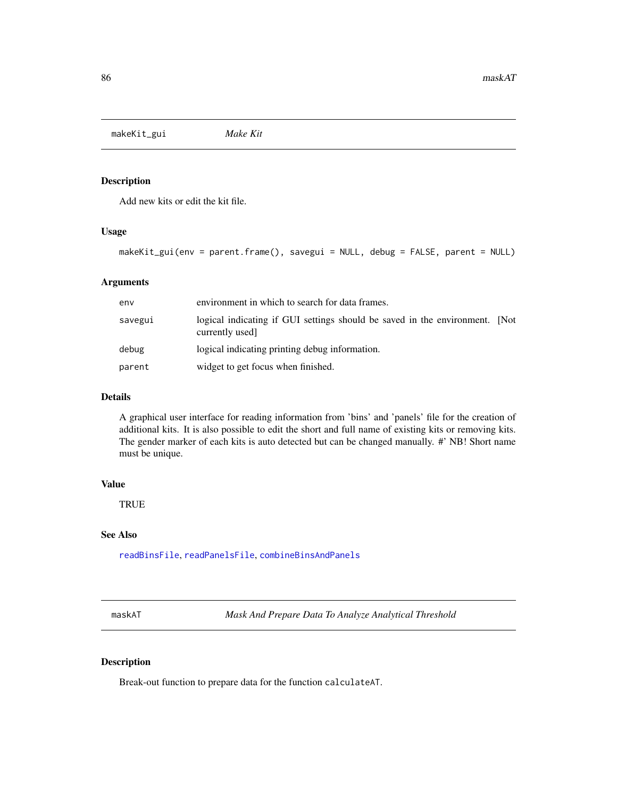makeKit\_gui *Make Kit*

#### Description

Add new kits or edit the kit file.

## Usage

makeKit\_gui(env = parent.frame(), savegui = NULL, debug = FALSE, parent = NULL)

## Arguments

| env     | environment in which to search for data frames.                                                |
|---------|------------------------------------------------------------------------------------------------|
| savegui | logical indicating if GUI settings should be saved in the environment. [Not<br>currently used] |
| debug   | logical indicating printing debug information.                                                 |
| parent  | widget to get focus when finished.                                                             |

## Details

A graphical user interface for reading information from 'bins' and 'panels' file for the creation of additional kits. It is also possible to edit the short and full name of existing kits or removing kits. The gender marker of each kits is auto detected but can be changed manually. #' NB! Short name must be unique.

#### Value

**TRUE** 

#### See Also

[readBinsFile](#page-0-0), [readPanelsFile](#page-0-0), [combineBinsAndPanels](#page-66-0)

maskAT *Mask And Prepare Data To Analyze Analytical Threshold*

#### Description

Break-out function to prepare data for the function calculateAT.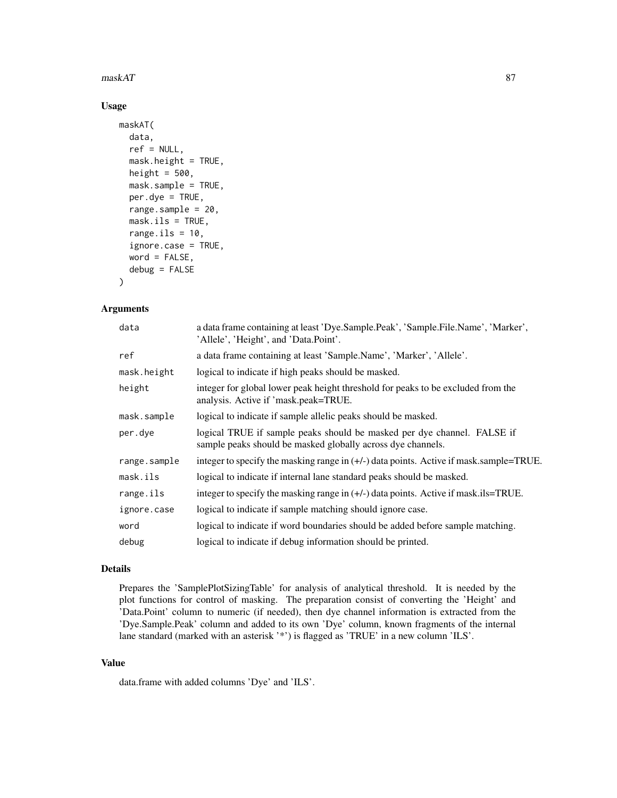#### $\text{maxkAT}$  87

## Usage

```
maskAT(
  data,
  ref = NULL,mask.height = TRUE,
  height = 500,
  mask.sample = TRUE,
  per.dye = TRUE,
  range.sample = 20,
  mask.ils = TRUE,
  range.ils = 10,
  ignore.case = TRUE,
  word = FALSE,debug = FALSE
)
```
#### Arguments

| data         | a data frame containing at least 'Dye.Sample.Peak', 'Sample.File.Name', 'Marker',<br>'Allele', 'Height', and 'Data.Point'.             |
|--------------|----------------------------------------------------------------------------------------------------------------------------------------|
| ref          | a data frame containing at least 'Sample.Name', 'Marker', 'Allele'.                                                                    |
| mask.height  | logical to indicate if high peaks should be masked.                                                                                    |
| height       | integer for global lower peak height threshold for peaks to be excluded from the<br>analysis. Active if 'mask.peak=TRUE.               |
| mask.sample  | logical to indicate if sample allelic peaks should be masked.                                                                          |
| per.dye      | logical TRUE if sample peaks should be masked per dye channel. FALSE if<br>sample peaks should be masked globally across dye channels. |
| range.sample | integer to specify the masking range in $(+/-)$ data points. Active if mask sample=TRUE.                                               |
| mask.ils     | logical to indicate if internal lane standard peaks should be masked.                                                                  |
| range.ils    | integer to specify the masking range in $(+/-)$ data points. Active if mask ils=TRUE.                                                  |
| ignore.case  | logical to indicate if sample matching should ignore case.                                                                             |
| word         | logical to indicate if word boundaries should be added before sample matching.                                                         |
| debug        | logical to indicate if debug information should be printed.                                                                            |

#### Details

Prepares the 'SamplePlotSizingTable' for analysis of analytical threshold. It is needed by the plot functions for control of masking. The preparation consist of converting the 'Height' and 'Data.Point' column to numeric (if needed), then dye channel information is extracted from the 'Dye.Sample.Peak' column and added to its own 'Dye' column, known fragments of the internal lane standard (marked with an asterisk '\*') is flagged as 'TRUE' in a new column 'ILS'.

# Value

data.frame with added columns 'Dye' and 'ILS'.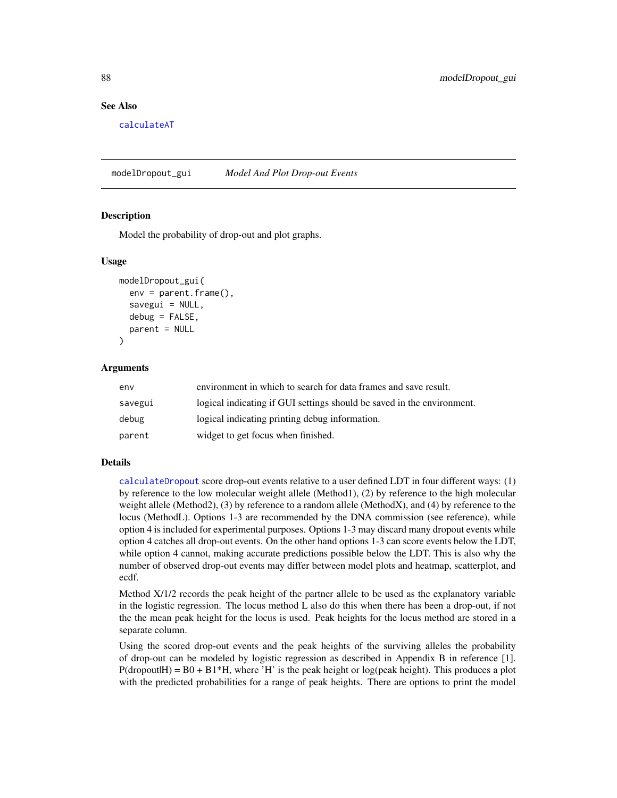#### See Also

[calculateAT](#page-18-0)

modelDropout\_gui *Model And Plot Drop-out Events*

#### Description

Model the probability of drop-out and plot graphs.

#### Usage

```
modelDropout_gui(
  env = parent.frame(),
  savegui = NULL,
  debug = FALSE,parent = NULL
)
```
#### Arguments

| env     | environment in which to search for data frames and save result.        |
|---------|------------------------------------------------------------------------|
| savegui | logical indicating if GUI settings should be saved in the environment. |
| debug   | logical indicating printing debug information.                         |
| parent  | widget to get focus when finished.                                     |

#### Details

[calculateDropout](#page-27-0) score drop-out events relative to a user defined LDT in four different ways: (1) by reference to the low molecular weight allele (Method1), (2) by reference to the high molecular weight allele (Method2), (3) by reference to a random allele (MethodX), and (4) by reference to the locus (MethodL). Options 1-3 are recommended by the DNA commission (see reference), while option 4 is included for experimental purposes. Options 1-3 may discard many dropout events while option 4 catches all drop-out events. On the other hand options 1-3 can score events below the LDT, while option 4 cannot, making accurate predictions possible below the LDT. This is also why the number of observed drop-out events may differ between model plots and heatmap, scatterplot, and ecdf.

Method X/1/2 records the peak height of the partner allele to be used as the explanatory variable in the logistic regression. The locus method L also do this when there has been a drop-out, if not the the mean peak height for the locus is used. Peak heights for the locus method are stored in a separate column.

Using the scored drop-out events and the peak heights of the surviving alleles the probability of drop-out can be modeled by logistic regression as described in Appendix B in reference [1].  $P(\text{dropoutH}) = B0 + B1*H$ , where 'H' is the peak height or log(peak height). This produces a plot with the predicted probabilities for a range of peak heights. There are options to print the model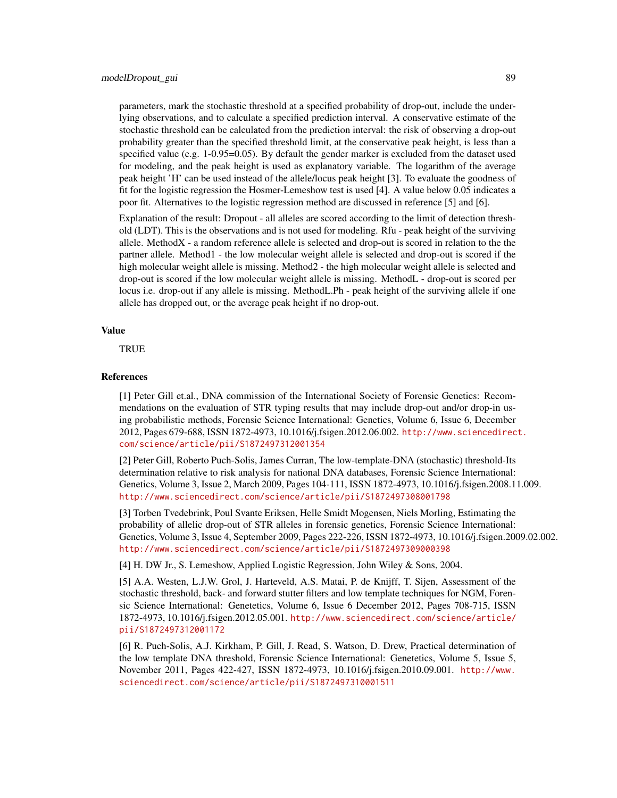parameters, mark the stochastic threshold at a specified probability of drop-out, include the underlying observations, and to calculate a specified prediction interval. A conservative estimate of the stochastic threshold can be calculated from the prediction interval: the risk of observing a drop-out probability greater than the specified threshold limit, at the conservative peak height, is less than a specified value (e.g. 1-0.95=0.05). By default the gender marker is excluded from the dataset used for modeling, and the peak height is used as explanatory variable. The logarithm of the average peak height 'H' can be used instead of the allele/locus peak height [3]. To evaluate the goodness of fit for the logistic regression the Hosmer-Lemeshow test is used [4]. A value below 0.05 indicates a poor fit. Alternatives to the logistic regression method are discussed in reference [5] and [6].

Explanation of the result: Dropout - all alleles are scored according to the limit of detection threshold (LDT). This is the observations and is not used for modeling. Rfu - peak height of the surviving allele. MethodX - a random reference allele is selected and drop-out is scored in relation to the the partner allele. Method1 - the low molecular weight allele is selected and drop-out is scored if the high molecular weight allele is missing. Method2 - the high molecular weight allele is selected and drop-out is scored if the low molecular weight allele is missing. MethodL - drop-out is scored per locus i.e. drop-out if any allele is missing. MethodL.Ph - peak height of the surviving allele if one allele has dropped out, or the average peak height if no drop-out.

#### Value

TRUE

#### References

[1] Peter Gill et.al., DNA commission of the International Society of Forensic Genetics: Recommendations on the evaluation of STR typing results that may include drop-out and/or drop-in using probabilistic methods, Forensic Science International: Genetics, Volume 6, Issue 6, December 2012, Pages 679-688, ISSN 1872-4973, 10.1016/j.fsigen.2012.06.002. [http://www.sciencedirec](http://www.sciencedirect.com/science/article/pii/S1872497312001354)t. [com/science/article/pii/S1872497312001354](http://www.sciencedirect.com/science/article/pii/S1872497312001354)

[2] Peter Gill, Roberto Puch-Solis, James Curran, The low-template-DNA (stochastic) threshold-Its determination relative to risk analysis for national DNA databases, Forensic Science International: Genetics, Volume 3, Issue 2, March 2009, Pages 104-111, ISSN 1872-4973, 10.1016/j.fsigen.2008.11.009. <http://www.sciencedirect.com/science/article/pii/S1872497308001798>

[3] Torben Tvedebrink, Poul Svante Eriksen, Helle Smidt Mogensen, Niels Morling, Estimating the probability of allelic drop-out of STR alleles in forensic genetics, Forensic Science International: Genetics, Volume 3, Issue 4, September 2009, Pages 222-226, ISSN 1872-4973, 10.1016/j.fsigen.2009.02.002. <http://www.sciencedirect.com/science/article/pii/S1872497309000398>

[4] H. DW Jr., S. Lemeshow, Applied Logistic Regression, John Wiley & Sons, 2004.

[5] A.A. Westen, L.J.W. Grol, J. Harteveld, A.S. Matai, P. de Knijff, T. Sijen, Assessment of the stochastic threshold, back- and forward stutter filters and low template techniques for NGM, Forensic Science International: Genetetics, Volume 6, Issue 6 December 2012, Pages 708-715, ISSN 1872-4973, 10.1016/j.fsigen.2012.05.001. [http://www.sciencedirect.com/science/article/](http://www.sciencedirect.com/science/article/pii/S1872497312001172) [pii/S1872497312001172](http://www.sciencedirect.com/science/article/pii/S1872497312001172)

[6] R. Puch-Solis, A.J. Kirkham, P. Gill, J. Read, S. Watson, D. Drew, Practical determination of the low template DNA threshold, Forensic Science International: Genetetics, Volume 5, Issue 5, November 2011, Pages 422-427, ISSN 1872-4973, 10.1016/j.fsigen.2010.09.001. [http://www.](http://www.sciencedirect.com/science/article/pii/S1872497310001511) [sciencedirect.com/science/article/pii/S1872497310001511](http://www.sciencedirect.com/science/article/pii/S1872497310001511)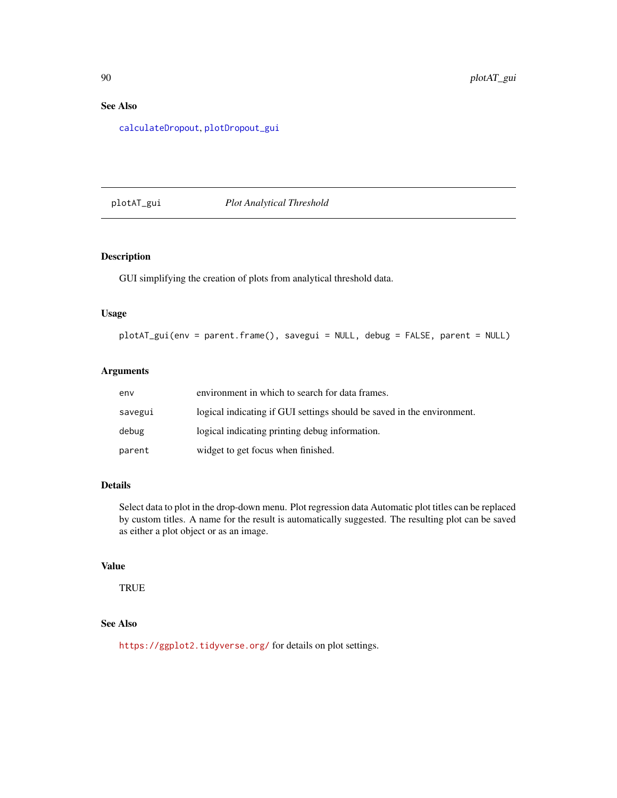# See Also

[calculateDropout](#page-27-0), [plotDropout\\_gui](#page-94-0)

## plotAT\_gui *Plot Analytical Threshold*

## Description

GUI simplifying the creation of plots from analytical threshold data.

#### Usage

```
plotAT_gui(env = parent.frame(), savegui = NULL, debug = FALSE, parent = NULL)
```
## Arguments

| env     | environment in which to search for data frames.                        |
|---------|------------------------------------------------------------------------|
| savegui | logical indicating if GUI settings should be saved in the environment. |
| debug   | logical indicating printing debug information.                         |
| parent  | widget to get focus when finished.                                     |

## Details

Select data to plot in the drop-down menu. Plot regression data Automatic plot titles can be replaced by custom titles. A name for the result is automatically suggested. The resulting plot can be saved as either a plot object or as an image.

## Value

**TRUE** 

## See Also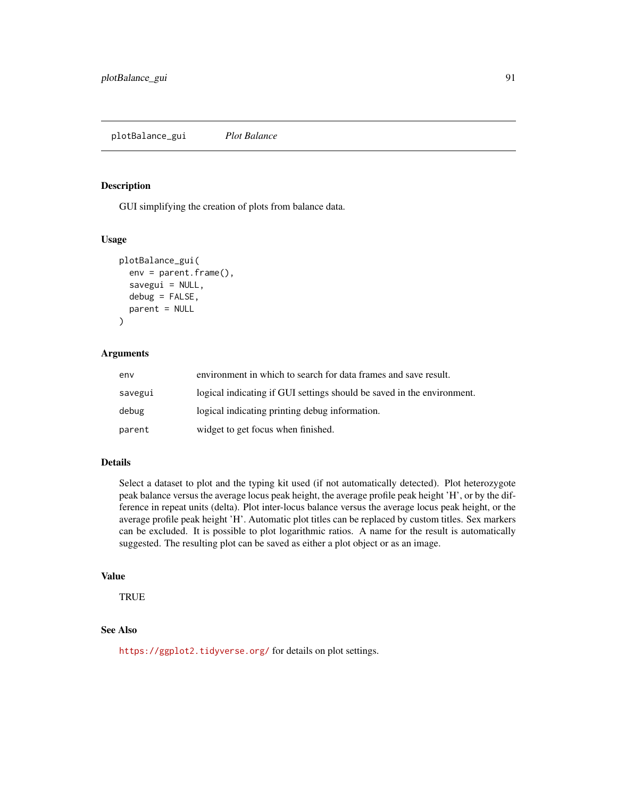GUI simplifying the creation of plots from balance data.

#### Usage

```
plotBalance_gui(
  env = parent.frame(),
  savegui = NULL,
  debug = FALSE,parent = NULL
)
```
#### Arguments

| env     | environment in which to search for data frames and save result.        |
|---------|------------------------------------------------------------------------|
| savegui | logical indicating if GUI settings should be saved in the environment. |
| debug   | logical indicating printing debug information.                         |
| parent  | widget to get focus when finished.                                     |

#### Details

Select a dataset to plot and the typing kit used (if not automatically detected). Plot heterozygote peak balance versus the average locus peak height, the average profile peak height 'H', or by the difference in repeat units (delta). Plot inter-locus balance versus the average locus peak height, or the average profile peak height 'H'. Automatic plot titles can be replaced by custom titles. Sex markers can be excluded. It is possible to plot logarithmic ratios. A name for the result is automatically suggested. The resulting plot can be saved as either a plot object or as an image.

## Value

TRUE

#### See Also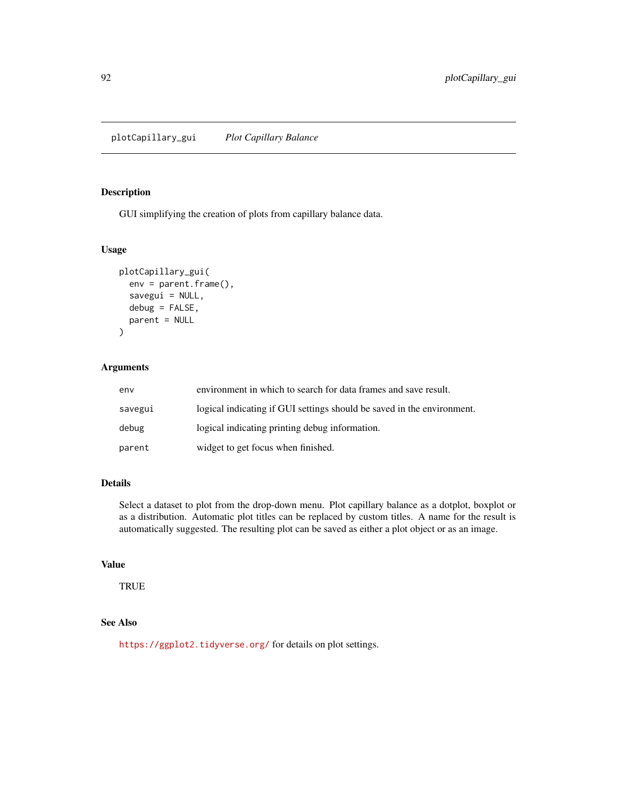plotCapillary\_gui *Plot Capillary Balance*

## Description

GUI simplifying the creation of plots from capillary balance data.

## Usage

```
plotCapillary_gui(
  env = parent.frame(),
  savegui = NULL,
  debug = FALSE,
  parent = NULL
\mathcal{L}
```
## Arguments

| env     | environment in which to search for data frames and save result.        |
|---------|------------------------------------------------------------------------|
| savegui | logical indicating if GUI settings should be saved in the environment. |
| debug   | logical indicating printing debug information.                         |
| parent  | widget to get focus when finished.                                     |

## Details

Select a dataset to plot from the drop-down menu. Plot capillary balance as a dotplot, boxplot or as a distribution. Automatic plot titles can be replaced by custom titles. A name for the result is automatically suggested. The resulting plot can be saved as either a plot object or as an image.

# Value

**TRUE** 

# See Also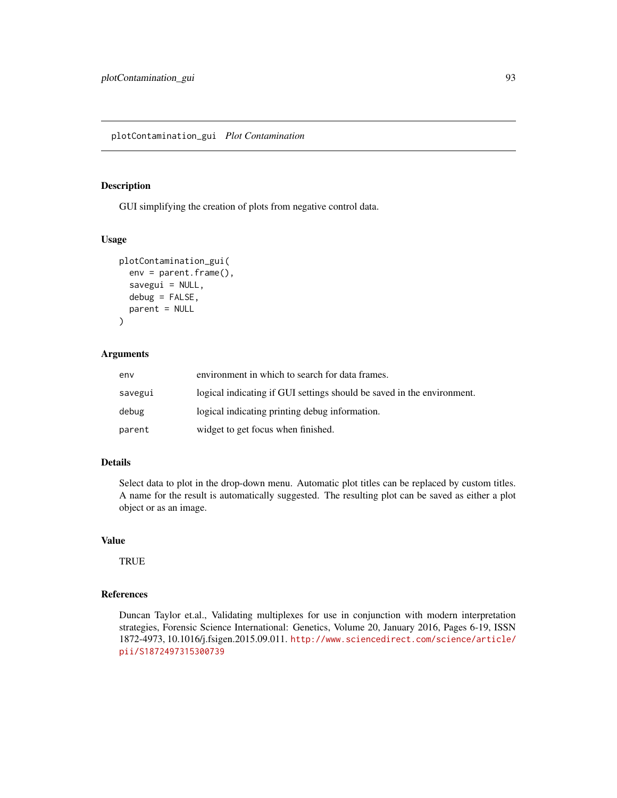GUI simplifying the creation of plots from negative control data.

## Usage

```
plotContamination_gui(
  env = parent.frame(),
  savegui = NULL,
  debug = FALSE,
  parent = NULL
)
```
#### Arguments

| env     | environment in which to search for data frames.                        |
|---------|------------------------------------------------------------------------|
| savegui | logical indicating if GUI settings should be saved in the environment. |
| debug   | logical indicating printing debug information.                         |
| parent  | widget to get focus when finished.                                     |

#### Details

Select data to plot in the drop-down menu. Automatic plot titles can be replaced by custom titles. A name for the result is automatically suggested. The resulting plot can be saved as either a plot object or as an image.

#### Value

**TRUE** 

## References

Duncan Taylor et.al., Validating multiplexes for use in conjunction with modern interpretation strategies, Forensic Science International: Genetics, Volume 20, January 2016, Pages 6-19, ISSN 1872-4973, 10.1016/j.fsigen.2015.09.011. [http://www.sciencedirect.com/science/article/](http://www.sciencedirect.com/science/article/pii/S1872497315300739) [pii/S1872497315300739](http://www.sciencedirect.com/science/article/pii/S1872497315300739)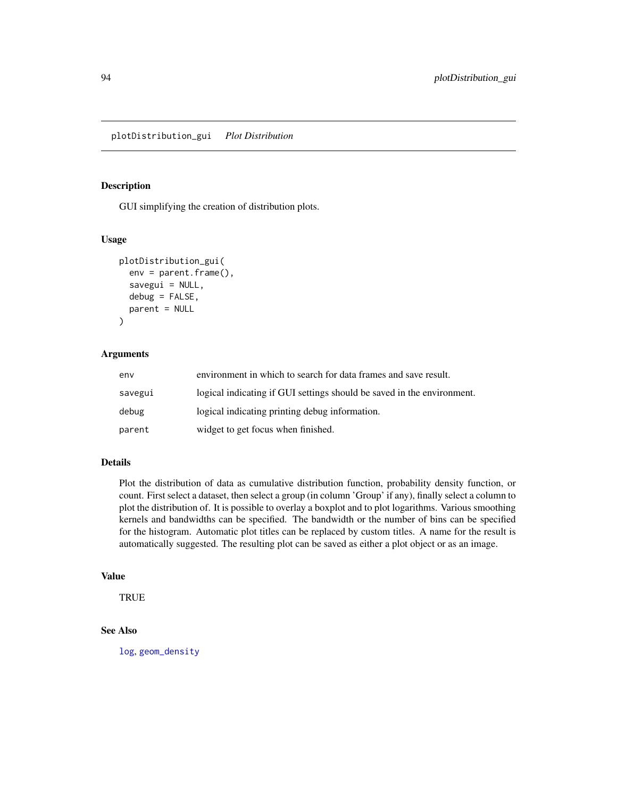GUI simplifying the creation of distribution plots.

#### Usage

```
plotDistribution_gui(
  env = parent.frame(),
  savegui = NULL,
  debug = FALSE,parent = NULL
)
```
#### Arguments

| env     | environment in which to search for data frames and save result.        |
|---------|------------------------------------------------------------------------|
| savegui | logical indicating if GUI settings should be saved in the environment. |
| debug   | logical indicating printing debug information.                         |
| parent  | widget to get focus when finished.                                     |

#### Details

Plot the distribution of data as cumulative distribution function, probability density function, or count. First select a dataset, then select a group (in column 'Group' if any), finally select a column to plot the distribution of. It is possible to overlay a boxplot and to plot logarithms. Various smoothing kernels and bandwidths can be specified. The bandwidth or the number of bins can be specified for the histogram. Automatic plot titles can be replaced by custom titles. A name for the result is automatically suggested. The resulting plot can be saved as either a plot object or as an image.

# Value

TRUE

# See Also

[log](#page-0-0), [geom\\_density](#page-0-0)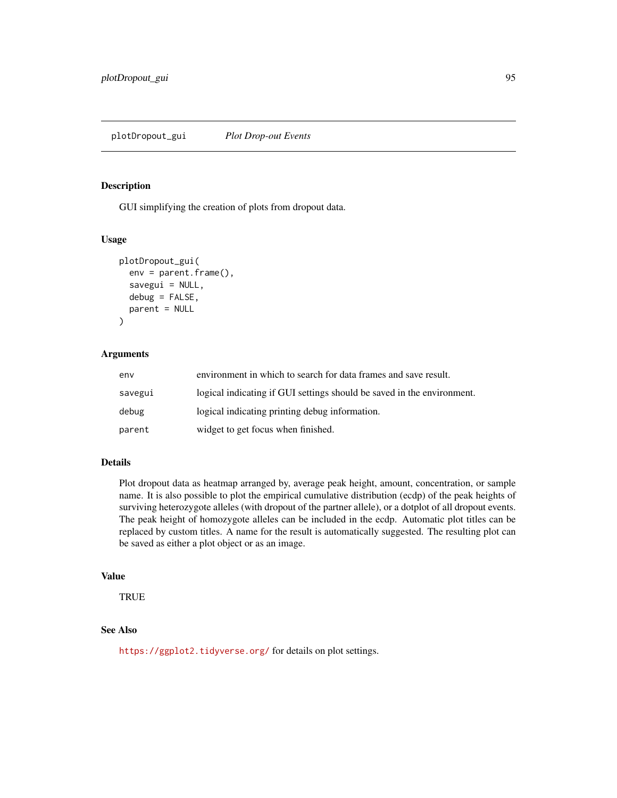<span id="page-94-0"></span>GUI simplifying the creation of plots from dropout data.

#### Usage

```
plotDropout_gui(
  env = parent.frame(),
  savegui = NULL,
  debug = FALSE,parent = NULL
)
```
#### Arguments

| env     | environment in which to search for data frames and save result.        |
|---------|------------------------------------------------------------------------|
| savegui | logical indicating if GUI settings should be saved in the environment. |
| debug   | logical indicating printing debug information.                         |
| parent  | widget to get focus when finished.                                     |

#### Details

Plot dropout data as heatmap arranged by, average peak height, amount, concentration, or sample name. It is also possible to plot the empirical cumulative distribution (ecdp) of the peak heights of surviving heterozygote alleles (with dropout of the partner allele), or a dotplot of all dropout events. The peak height of homozygote alleles can be included in the ecdp. Automatic plot titles can be replaced by custom titles. A name for the result is automatically suggested. The resulting plot can be saved as either a plot object or as an image.

# Value

TRUE

## See Also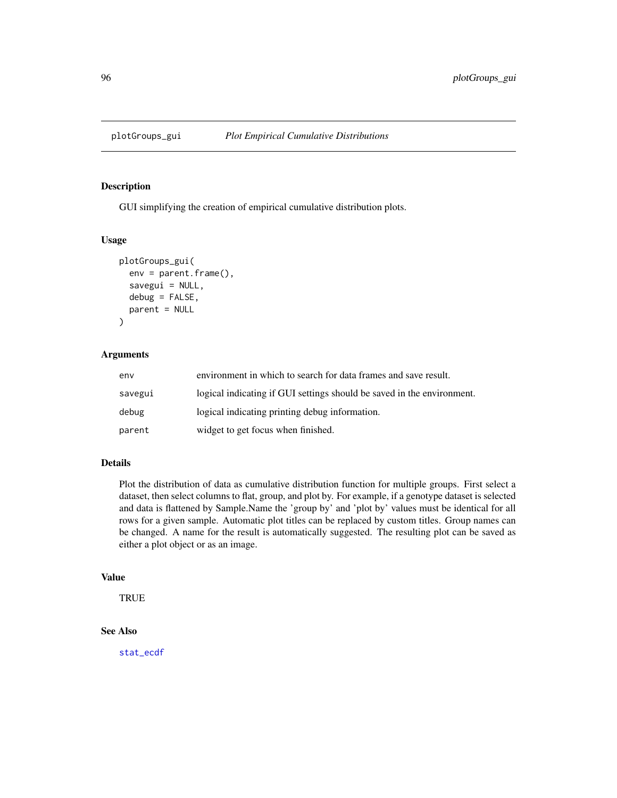GUI simplifying the creation of empirical cumulative distribution plots.

## Usage

```
plotGroups_gui(
 env = parent.Fname(),savegui = NULL,
  debug = FALSE,parent = NULL
)
```
## Arguments

| env     | environment in which to search for data frames and save result.        |
|---------|------------------------------------------------------------------------|
| savegui | logical indicating if GUI settings should be saved in the environment. |
| debug   | logical indicating printing debug information.                         |
| parent  | widget to get focus when finished.                                     |

#### Details

Plot the distribution of data as cumulative distribution function for multiple groups. First select a dataset, then select columns to flat, group, and plot by. For example, if a genotype dataset is selected and data is flattened by Sample.Name the 'group by' and 'plot by' values must be identical for all rows for a given sample. Automatic plot titles can be replaced by custom titles. Group names can be changed. A name for the result is automatically suggested. The resulting plot can be saved as either a plot object or as an image.

#### Value

**TRUE** 

## See Also

[stat\\_ecdf](#page-0-0)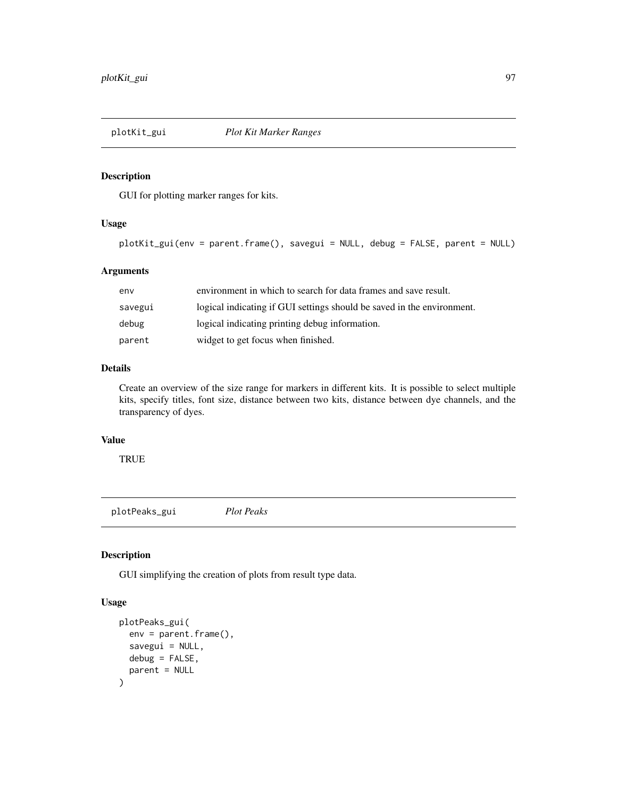GUI for plotting marker ranges for kits.

## Usage

```
plotKit_gui(env = parent.frame(), savegui = NULL, debug = FALSE, parent = NULL)
```
## Arguments

| env     | environment in which to search for data frames and save result.        |  |
|---------|------------------------------------------------------------------------|--|
| savegui | logical indicating if GUI settings should be saved in the environment. |  |
| debug   | logical indicating printing debug information.                         |  |
| parent  | widget to get focus when finished.                                     |  |

# Details

Create an overview of the size range for markers in different kits. It is possible to select multiple kits, specify titles, font size, distance between two kits, distance between dye channels, and the transparency of dyes.

## Value

**TRUE** 

plotPeaks\_gui *Plot Peaks*

## Description

GUI simplifying the creation of plots from result type data.

## Usage

```
plotPeaks_gui(
  env = parent.frame(),
  savegui = NULL,
  debug = FALSE,
  parent = NULL
\mathcal{E}
```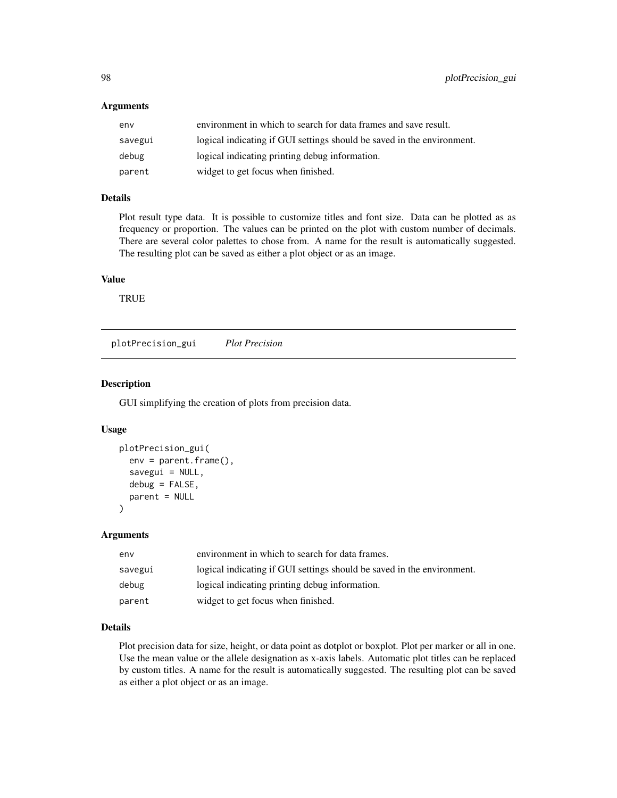#### Arguments

| env     | environment in which to search for data frames and save result.        |  |
|---------|------------------------------------------------------------------------|--|
| savegui | logical indicating if GUI settings should be saved in the environment. |  |
| debug   | logical indicating printing debug information.                         |  |
| parent  | widget to get focus when finished.                                     |  |

## Details

Plot result type data. It is possible to customize titles and font size. Data can be plotted as as frequency or proportion. The values can be printed on the plot with custom number of decimals. There are several color palettes to chose from. A name for the result is automatically suggested. The resulting plot can be saved as either a plot object or as an image.

#### Value

**TRUE** 

plotPrecision\_gui *Plot Precision*

## Description

GUI simplifying the creation of plots from precision data.

#### Usage

```
plotPrecision_gui(
  env = parent.frame(),
  savegui = NULL,
  debug = FALSE,
  parent = NULL
\lambda
```
#### Arguments

| env     | environment in which to search for data frames.                        |
|---------|------------------------------------------------------------------------|
| savegui | logical indicating if GUI settings should be saved in the environment. |
| debug   | logical indicating printing debug information.                         |
| parent  | widget to get focus when finished.                                     |

## Details

Plot precision data for size, height, or data point as dotplot or boxplot. Plot per marker or all in one. Use the mean value or the allele designation as x-axis labels. Automatic plot titles can be replaced by custom titles. A name for the result is automatically suggested. The resulting plot can be saved as either a plot object or as an image.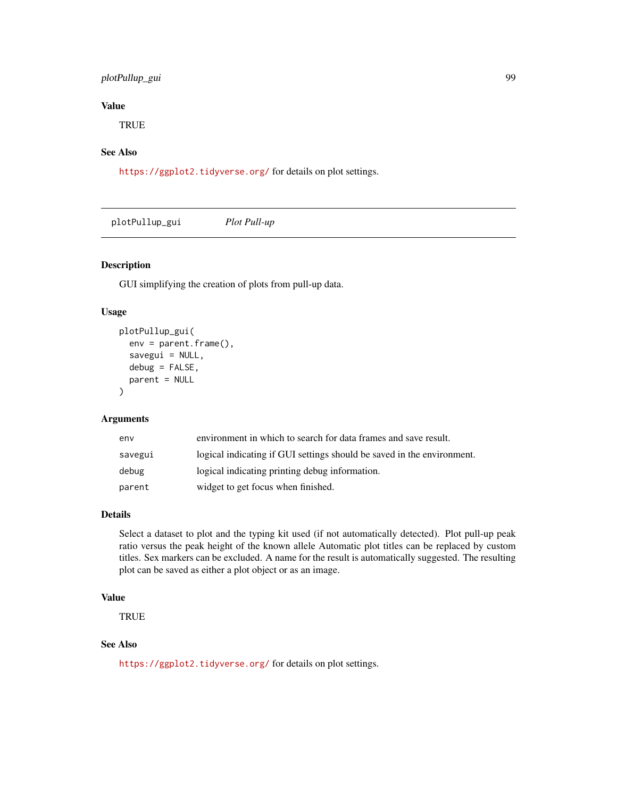## plotPullup\_gui 99

# Value

**TRUE** 

# See Also

<https://ggplot2.tidyverse.org/> for details on plot settings.

plotPullup\_gui *Plot Pull-up*

## Description

GUI simplifying the creation of plots from pull-up data.

# Usage

```
plotPullup_gui(
  env = parent.frame(),
  savegui = NULL,
  debug = FALSE,
  parent = NULL
\lambda
```
#### Arguments

| env     | environment in which to search for data frames and save result.        |  |
|---------|------------------------------------------------------------------------|--|
| savegui | logical indicating if GUI settings should be saved in the environment. |  |
| debug   | logical indicating printing debug information.                         |  |
| parent  | widget to get focus when finished.                                     |  |

## Details

Select a dataset to plot and the typing kit used (if not automatically detected). Plot pull-up peak ratio versus the peak height of the known allele Automatic plot titles can be replaced by custom titles. Sex markers can be excluded. A name for the result is automatically suggested. The resulting plot can be saved as either a plot object or as an image.

## Value

**TRUE** 

## See Also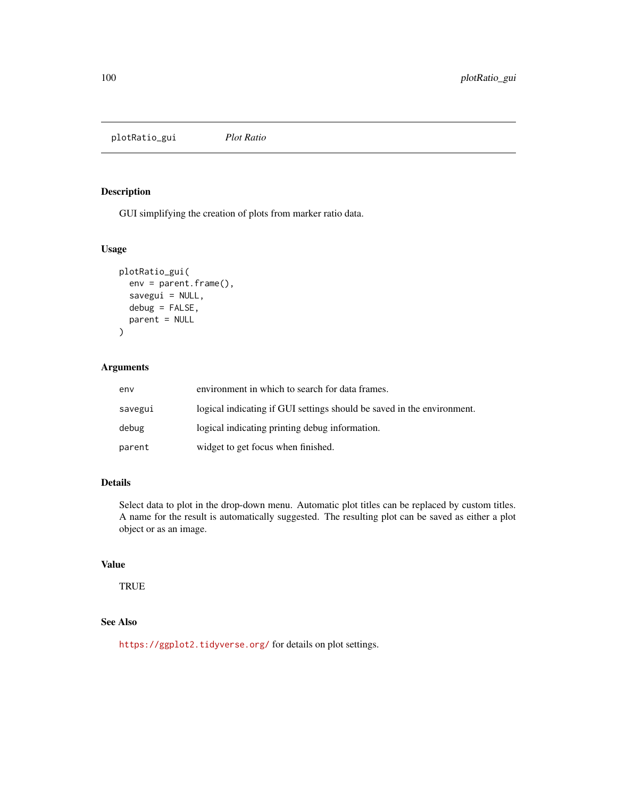plotRatio\_gui *Plot Ratio*

## Description

GUI simplifying the creation of plots from marker ratio data.

## Usage

```
plotRatio_gui(
  env = parent.Fname(),savegui = NULL,
  debug = FALSE,
  parent = NULL
\mathcal{L}
```
## Arguments

| env     | environment in which to search for data frames.                        |  |
|---------|------------------------------------------------------------------------|--|
| savegui | logical indicating if GUI settings should be saved in the environment. |  |
| debug   | logical indicating printing debug information.                         |  |
| parent  | widget to get focus when finished.                                     |  |

# Details

Select data to plot in the drop-down menu. Automatic plot titles can be replaced by custom titles. A name for the result is automatically suggested. The resulting plot can be saved as either a plot object or as an image.

# Value

TRUE

# See Also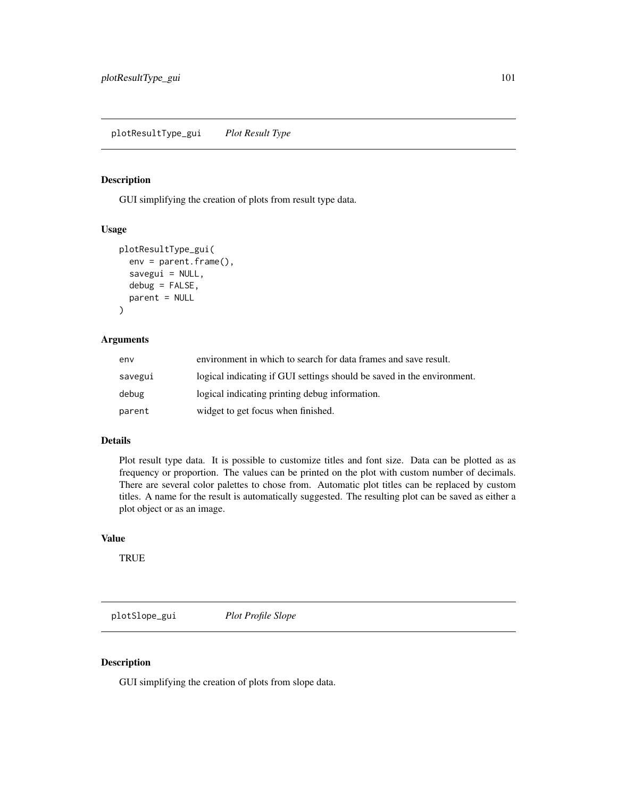GUI simplifying the creation of plots from result type data.

#### Usage

```
plotResultType_gui(
  env = parent.frame(),
  savegui = NULL,
  debug = FALSE,
  parent = NULL
\mathcal{E}
```
## Arguments

| env     | environment in which to search for data frames and save result.        |  |
|---------|------------------------------------------------------------------------|--|
| savegui | logical indicating if GUI settings should be saved in the environment. |  |
| debug   | logical indicating printing debug information.                         |  |
| parent  | widget to get focus when finished.                                     |  |

## Details

Plot result type data. It is possible to customize titles and font size. Data can be plotted as as frequency or proportion. The values can be printed on the plot with custom number of decimals. There are several color palettes to chose from. Automatic plot titles can be replaced by custom titles. A name for the result is automatically suggested. The resulting plot can be saved as either a plot object or as an image.

# Value

**TRUE** 

plotSlope\_gui *Plot Profile Slope*

## Description

GUI simplifying the creation of plots from slope data.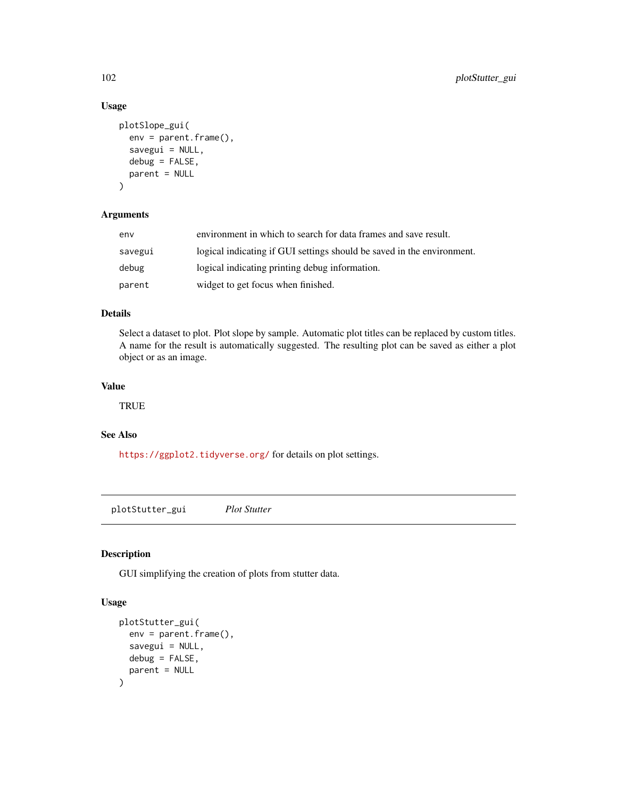## Usage

```
plotSlope_gui(
  env = parent.Fname(),savegui = NULL,
 debug = FALSE,parent = NULL
\lambda
```
## Arguments

| env     | environment in which to search for data frames and save result.        |  |
|---------|------------------------------------------------------------------------|--|
| savegui | logical indicating if GUI settings should be saved in the environment. |  |
| debug   | logical indicating printing debug information.                         |  |
| parent  | widget to get focus when finished.                                     |  |

#### Details

Select a dataset to plot. Plot slope by sample. Automatic plot titles can be replaced by custom titles. A name for the result is automatically suggested. The resulting plot can be saved as either a plot object or as an image.

## Value

**TRUE** 

# See Also

<https://ggplot2.tidyverse.org/> for details on plot settings.

plotStutter\_gui *Plot Stutter*

# Description

GUI simplifying the creation of plots from stutter data.

# Usage

```
plotStutter_gui(
  env = parent.frame(),
  savegui = NULL,
  debug = FALSE,
  parent = NULL
\mathcal{E}
```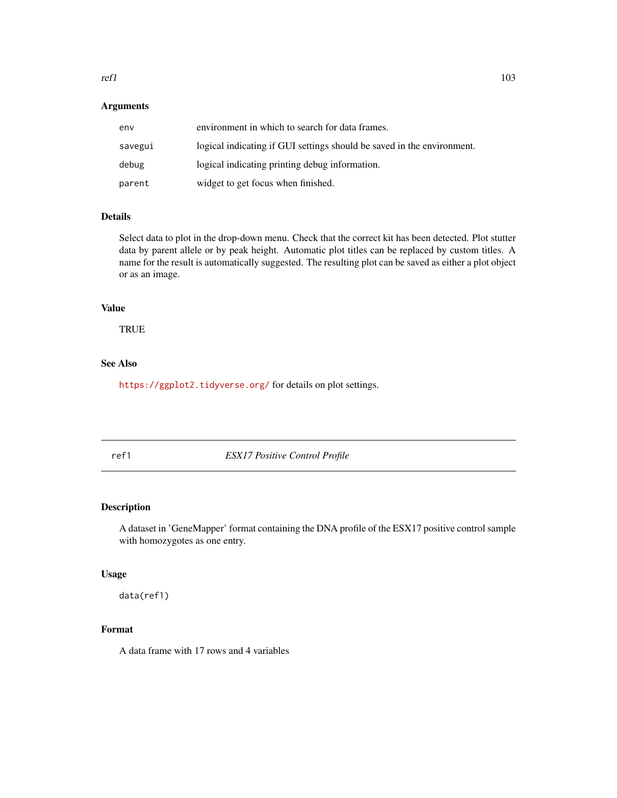#### $refl$  103

# Arguments

| env     | environment in which to search for data frames.                        |  |
|---------|------------------------------------------------------------------------|--|
| savegui | logical indicating if GUI settings should be saved in the environment. |  |
| debug   | logical indicating printing debug information.                         |  |
| parent  | widget to get focus when finished.                                     |  |

# Details

Select data to plot in the drop-down menu. Check that the correct kit has been detected. Plot stutter data by parent allele or by peak height. Automatic plot titles can be replaced by custom titles. A name for the result is automatically suggested. The resulting plot can be saved as either a plot object or as an image.

#### Value

**TRUE** 

# See Also

<https://ggplot2.tidyverse.org/> for details on plot settings.

ref1 *ESX17 Positive Control Profile*

## Description

A dataset in 'GeneMapper' format containing the DNA profile of the ESX17 positive control sample with homozygotes as one entry.

#### Usage

data(ref1)

## Format

A data frame with 17 rows and 4 variables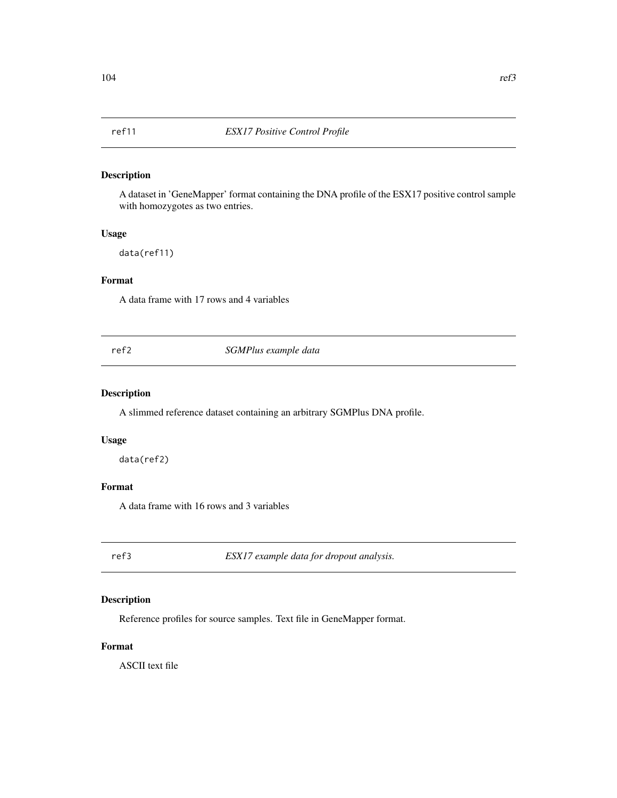A dataset in 'GeneMapper' format containing the DNA profile of the ESX17 positive control sample with homozygotes as two entries.

## Usage

data(ref11)

## Format

A data frame with 17 rows and 4 variables

ref2 *SGMPlus example data*

## Description

A slimmed reference dataset containing an arbitrary SGMPlus DNA profile.

#### Usage

data(ref2)

## Format

A data frame with 16 rows and 3 variables

ref3 *ESX17 example data for dropout analysis.*

# Description

Reference profiles for source samples. Text file in GeneMapper format.

## Format

ASCII text file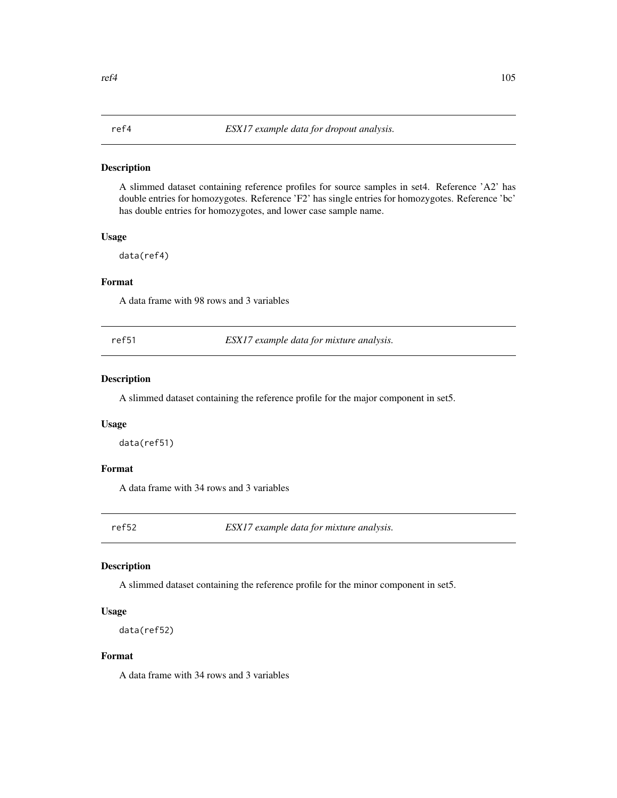A slimmed dataset containing reference profiles for source samples in set4. Reference 'A2' has double entries for homozygotes. Reference 'F2' has single entries for homozygotes. Reference 'bc' has double entries for homozygotes, and lower case sample name.

#### Usage

data(ref4)

## Format

A data frame with 98 rows and 3 variables

ref51 *ESX17 example data for mixture analysis.*

#### Description

A slimmed dataset containing the reference profile for the major component in set5.

#### Usage

data(ref51)

## Format

A data frame with 34 rows and 3 variables

ref52 *ESX17 example data for mixture analysis.*

#### Description

A slimmed dataset containing the reference profile for the minor component in set5.

#### Usage

```
data(ref52)
```
#### Format

A data frame with 34 rows and 3 variables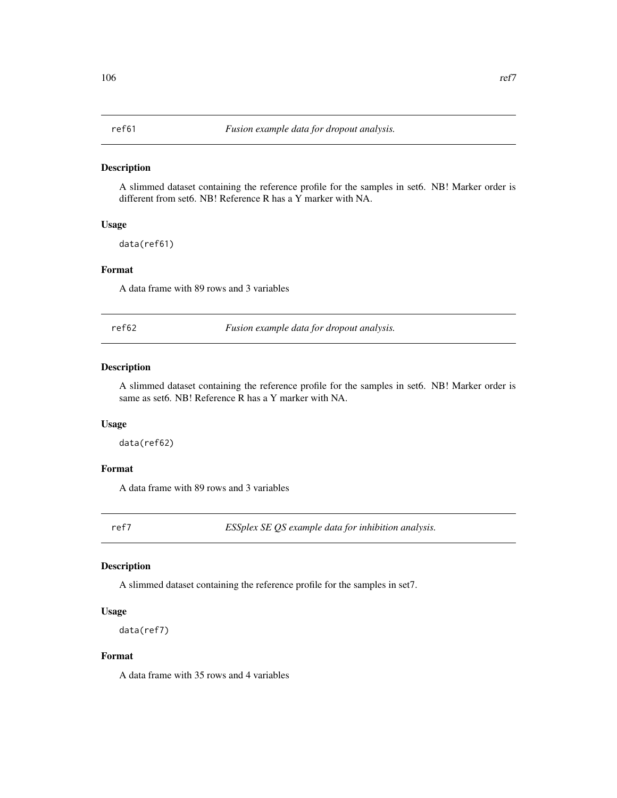A slimmed dataset containing the reference profile for the samples in set6. NB! Marker order is different from set6. NB! Reference R has a Y marker with NA.

#### Usage

data(ref61)

#### Format

A data frame with 89 rows and 3 variables

ref62 *Fusion example data for dropout analysis.*

### Description

A slimmed dataset containing the reference profile for the samples in set6. NB! Marker order is same as set6. NB! Reference R has a Y marker with NA.

## Usage

data(ref62)

## Format

A data frame with 89 rows and 3 variables

ref7 *ESSplex SE QS example data for inhibition analysis.*

#### Description

A slimmed dataset containing the reference profile for the samples in set7.

#### Usage

```
data(ref7)
```
#### Format

A data frame with 35 rows and 4 variables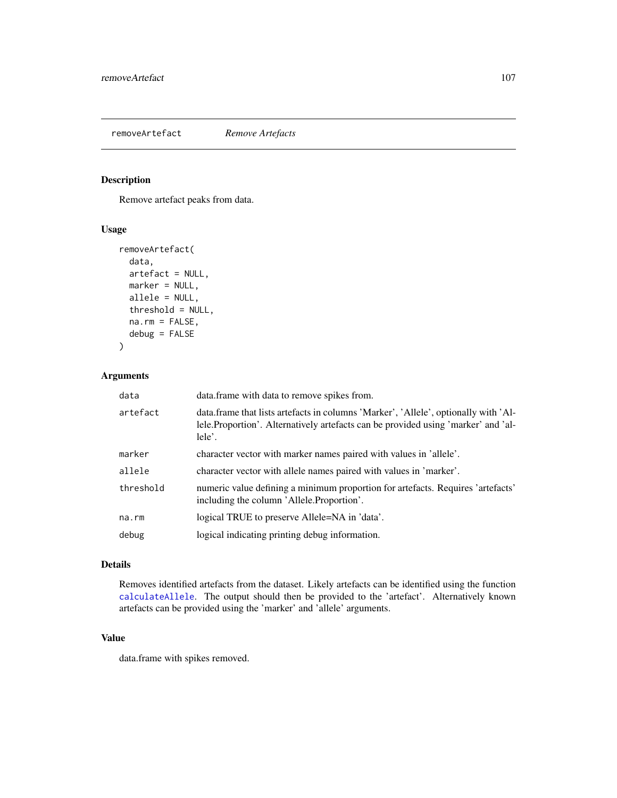<span id="page-106-0"></span>removeArtefact *Remove Artefacts*

## Description

Remove artefact peaks from data.

## Usage

```
removeArtefact(
 data,
 artefact = NULL,
 marker = NULL,
 allele = NULL,
  threshold = NULL,
 na.rm = FALSE,
  debug = FALSE
)
```
# Arguments

| data      | data.frame with data to remove spikes from.                                                                                                                                         |  |
|-----------|-------------------------------------------------------------------------------------------------------------------------------------------------------------------------------------|--|
| artefact  | data.frame that lists artefacts in columns 'Marker', 'Allele', optionally with 'Al-<br>lele. Proportion'. Alternatively artefacts can be provided using 'marker' and 'al-<br>lele'. |  |
| marker    | character vector with marker names paired with values in 'allele'.                                                                                                                  |  |
| allele    | character vector with allele names paired with values in 'marker'.                                                                                                                  |  |
| threshold | numeric value defining a minimum proportion for artefacts. Requires 'artefacts'<br>including the column 'Allele. Proportion'.                                                       |  |
| na.rm     | logical TRUE to preserve Allele=NA in 'data'.                                                                                                                                       |  |
| debug     | logical indicating printing debug information.                                                                                                                                      |  |

## Details

Removes identified artefacts from the dataset. Likely artefacts can be identified using the function [calculateAllele](#page-14-0). The output should then be provided to the 'artefact'. Alternatively known artefacts can be provided using the 'marker' and 'allele' arguments.

## Value

data.frame with spikes removed.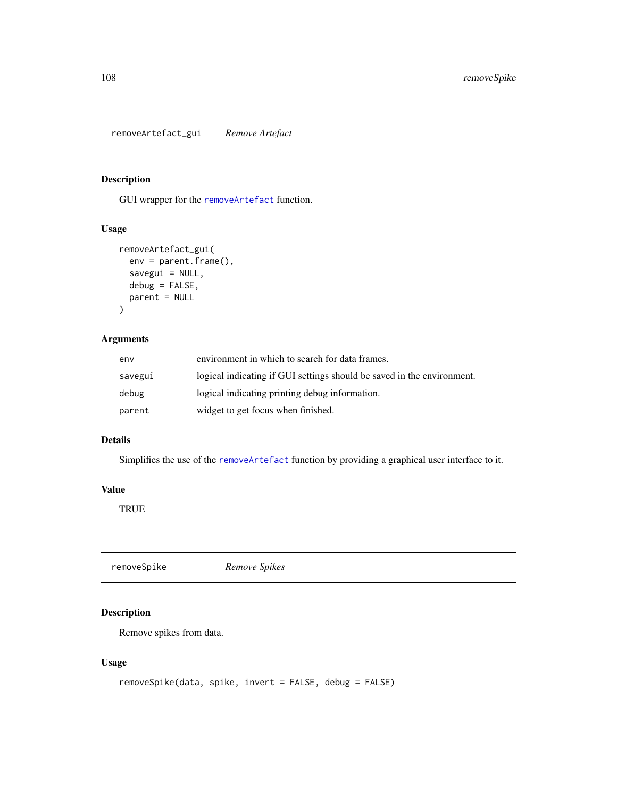removeArtefact\_gui *Remove Artefact*

# Description

GUI wrapper for the [removeArtefact](#page-106-0) function.

## Usage

```
removeArtefact_gui(
 env = parent.frame(),
 savegui = NULL,debug = FALSE,
 parent = NULL
)
```
## Arguments

| env     | environment in which to search for data frames.                        |  |
|---------|------------------------------------------------------------------------|--|
| savegui | logical indicating if GUI settings should be saved in the environment. |  |
| debug   | logical indicating printing debug information.                         |  |
| parent  | widget to get focus when finished.                                     |  |

## Details

Simplifies the use of the [removeArtefact](#page-106-0) function by providing a graphical user interface to it.

#### Value

TRUE

| removeSpike | Remove Spikes |  |
|-------------|---------------|--|
|             |               |  |

## Description

Remove spikes from data.

## Usage

```
removeSpike(data, spike, invert = FALSE, debug = FALSE)
```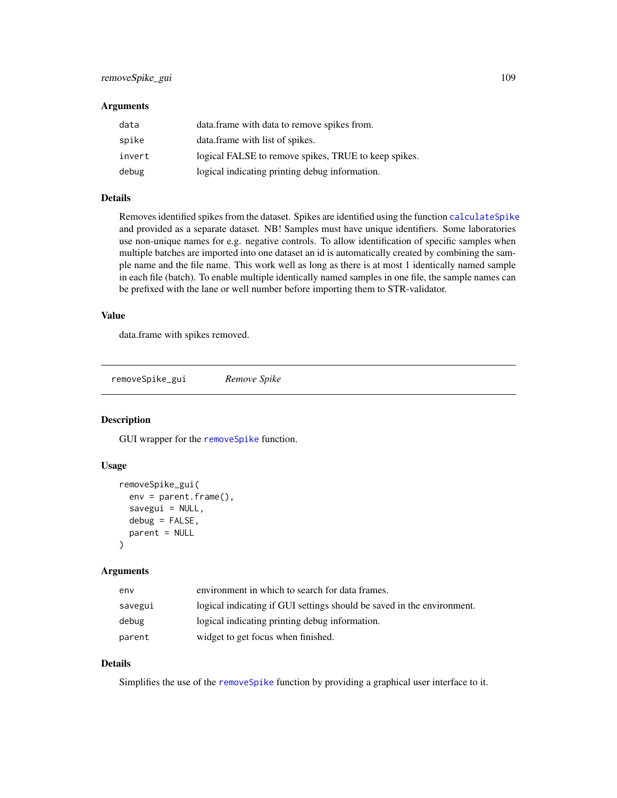# <span id="page-108-0"></span>removeSpike\_gui 109

#### **Arguments**

| data   | data.frame with data to remove spikes from.          |
|--------|------------------------------------------------------|
| spike  | data frame with list of spikes.                      |
| invert | logical FALSE to remove spikes, TRUE to keep spikes. |
| debug  | logical indicating printing debug information.       |

# Details

Removes identified spikes from the dataset. Spikes are identified using the function [calculateSpike](#page-52-0) and provided as a separate dataset. NB! Samples must have unique identifiers. Some laboratories use non-unique names for e.g. negative controls. To allow identification of specific samples when multiple batches are imported into one dataset an id is automatically created by combining the sample name and the file name. This work well as long as there is at most 1 identically named sample in each file (batch). To enable multiple identically named samples in one file, the sample names can be prefixed with the lane or well number before importing them to STR-validator.

# Value

data.frame with spikes removed.

removeSpike\_gui *Remove Spike*

#### Description

GUI wrapper for the [removeSpike](#page-107-0) function.

#### Usage

```
removeSpike_gui(
  env = parent.frame(),
  savegui = NULL,
  debug = FALSE,
  parent = NULL
\lambda
```
#### Arguments

| env     | environment in which to search for data frames.                        |
|---------|------------------------------------------------------------------------|
| savegui | logical indicating if GUI settings should be saved in the environment. |
| debug   | logical indicating printing debug information.                         |
| parent  | widget to get focus when finished.                                     |

# Details

Simplifies the use of the [removeSpike](#page-107-0) function by providing a graphical user interface to it.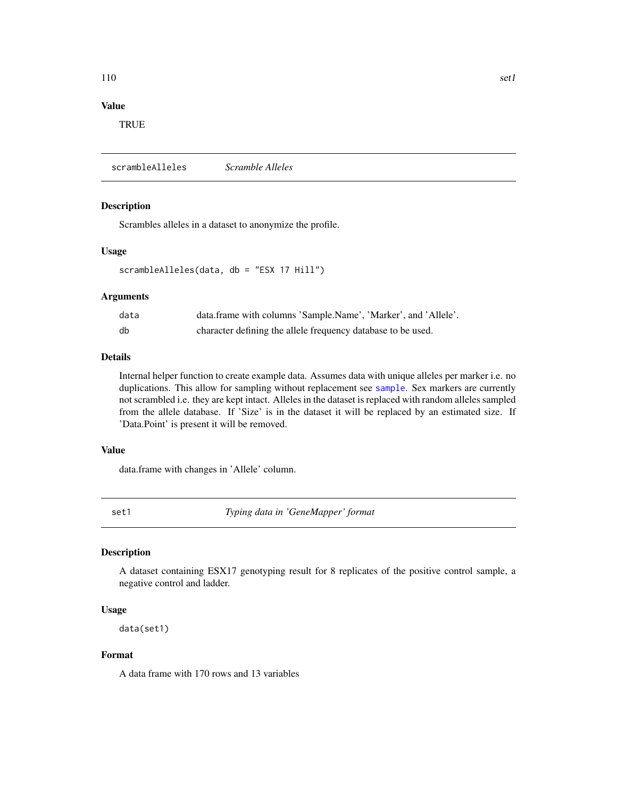# Value

**TRUE** 

scrambleAlleles *Scramble Alleles*

#### Description

Scrambles alleles in a dataset to anonymize the profile.

#### Usage

scrambleAlleles(data, db = "ESX 17 Hill")

#### Arguments

| data | data.frame with columns 'Sample.Name', 'Marker', and 'Allele'. |
|------|----------------------------------------------------------------|
| db   | character defining the allele frequency database to be used.   |

#### Details

Internal helper function to create example data. Assumes data with unique alleles per marker i.e. no duplications. This allow for sampling without replacement see [sample](#page-0-0). Sex markers are currently not scrambled i.e. they are kept intact. Alleles in the dataset is replaced with random alleles sampled from the allele database. If 'Size' is in the dataset it will be replaced by an estimated size. If 'Data.Point' is present it will be removed.

#### Value

data.frame with changes in 'Allele' column.

set1 *Typing data in 'GeneMapper' format*

#### Description

A dataset containing ESX17 genotyping result for 8 replicates of the positive control sample, a negative control and ladder.

#### Usage

data(set1)

#### Format

A data frame with 170 rows and 13 variables

<span id="page-109-0"></span>110 set1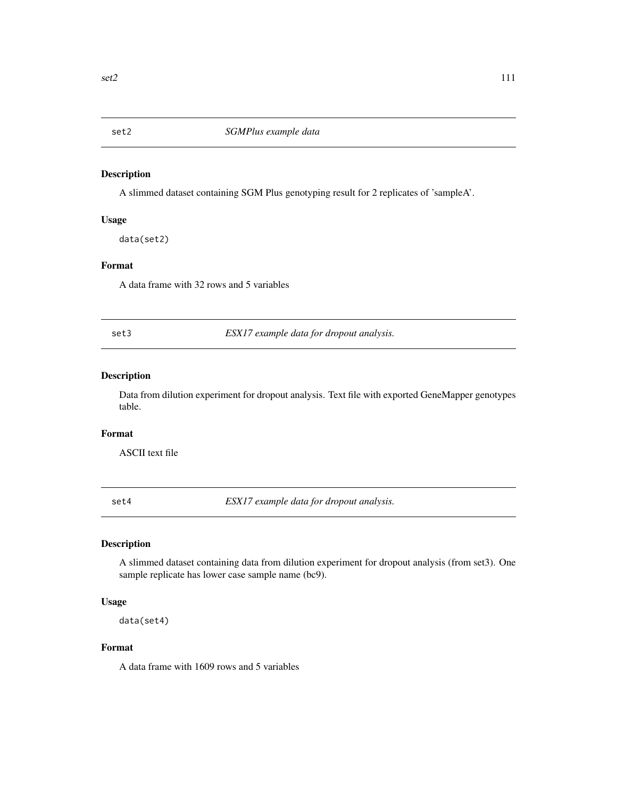<span id="page-110-0"></span>

A slimmed dataset containing SGM Plus genotyping result for 2 replicates of 'sampleA'.

#### Usage

data(set2)

### Format

A data frame with 32 rows and 5 variables

set3 *ESX17 example data for dropout analysis.*

# Description

Data from dilution experiment for dropout analysis. Text file with exported GeneMapper genotypes table.

#### Format

ASCII text file

set4 *ESX17 example data for dropout analysis.*

# Description

A slimmed dataset containing data from dilution experiment for dropout analysis (from set3). One sample replicate has lower case sample name (bc9).

# Usage

data(set4)

# Format

A data frame with 1609 rows and 5 variables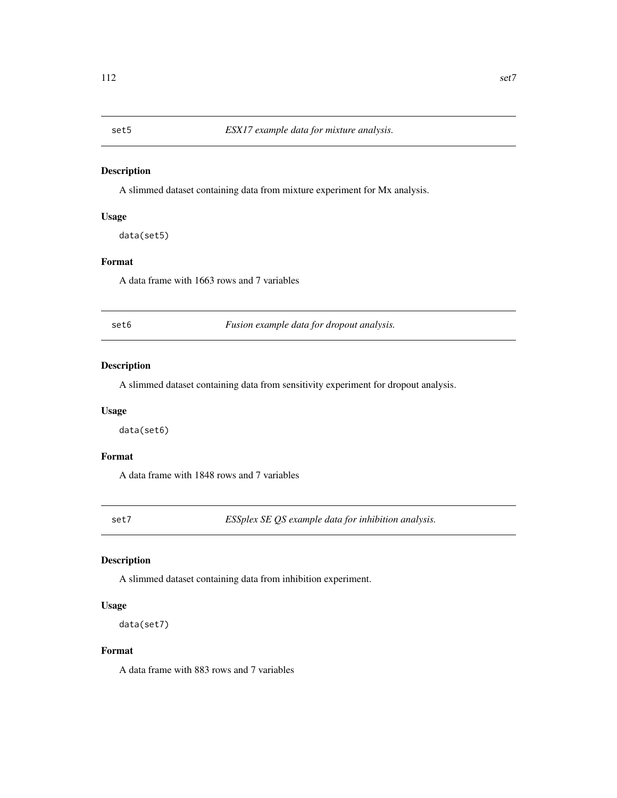<span id="page-111-0"></span>

A slimmed dataset containing data from mixture experiment for Mx analysis.

# Usage

data(set5)

# Format

A data frame with 1663 rows and 7 variables

set6 *Fusion example data for dropout analysis.*

# **Description**

A slimmed dataset containing data from sensitivity experiment for dropout analysis.

# Usage

data(set6)

# Format

A data frame with 1848 rows and 7 variables

set7 *ESSplex SE QS example data for inhibition analysis.*

# Description

A slimmed dataset containing data from inhibition experiment.

# Usage

data(set7)

#### Format

A data frame with 883 rows and 7 variables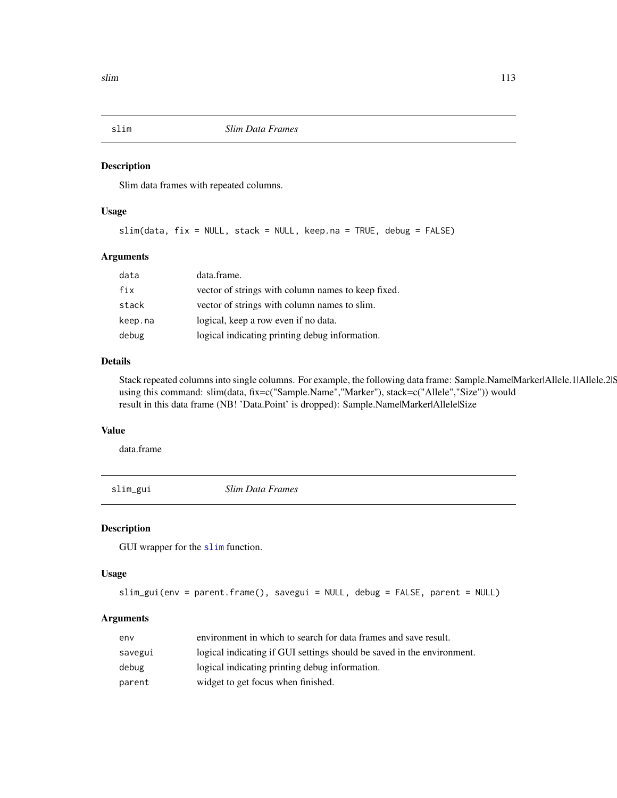<span id="page-112-1"></span><span id="page-112-0"></span>

Slim data frames with repeated columns.

# Usage

slim(data, fix = NULL, stack = NULL, keep.na = TRUE, debug = FALSE)

#### Arguments

| data    | data.frame.                                        |
|---------|----------------------------------------------------|
| fix     | vector of strings with column names to keep fixed. |
| stack   | vector of strings with column names to slim.       |
| keep.na | logical, keep a row even if no data.               |
| debug   | logical indicating printing debug information.     |

# Details

Stack repeated columns into single columns. For example, the following data frame: Sample.Name|Marker|Allele.1|Allele.2|S using this command: slim(data, fix=c("Sample.Name","Marker"), stack=c("Allele","Size")) would result in this data frame (NB! 'Data.Point' is dropped): Sample.Name|Marker|Allele|Size

#### Value

data.frame

slim\_gui *Slim Data Frames*

#### Description

GUI wrapper for the [slim](#page-112-0) function.

#### Usage

```
slim_gui(env = parent.frame(), savegui = NULL, debug = FALSE, parent = NULL)
```
#### Arguments

| env     | environment in which to search for data frames and save result.        |
|---------|------------------------------------------------------------------------|
| savegui | logical indicating if GUI settings should be saved in the environment. |
| debug   | logical indicating printing debug information.                         |
| parent  | widget to get focus when finished.                                     |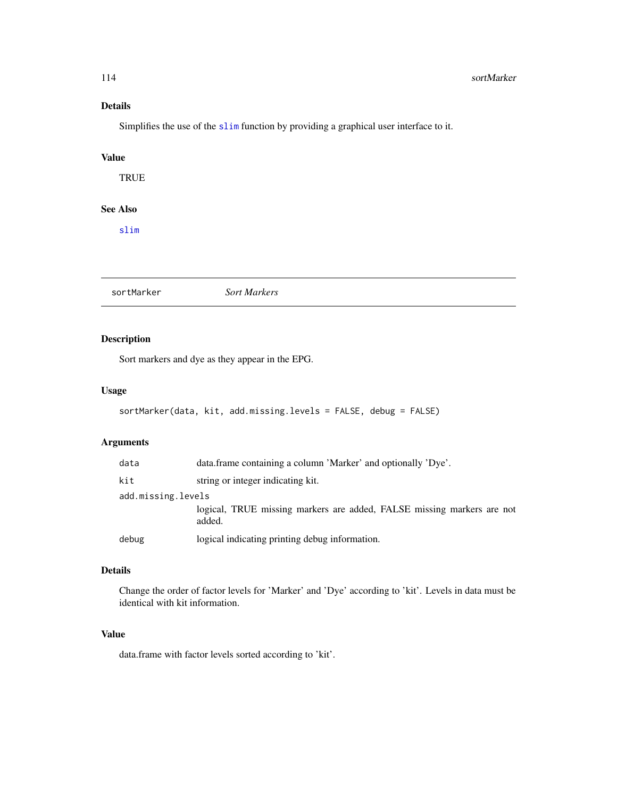# <span id="page-113-0"></span>Details

Simplifies the use of the [slim](#page-112-0) function by providing a graphical user interface to it.

# Value

**TRUE** 

# See Also

[slim](#page-112-0)

sortMarker *Sort Markers*

# Description

Sort markers and dye as they appear in the EPG.

### Usage

```
sortMarker(data, kit, add.missing.levels = FALSE, debug = FALSE)
```
# Arguments

| data               | data.frame containing a column 'Marker' and optionally 'Dye'.                    |  |
|--------------------|----------------------------------------------------------------------------------|--|
| kit                | string or integer indicating kit.                                                |  |
| add.missing.levels |                                                                                  |  |
|                    | logical, TRUE missing markers are added, FALSE missing markers are not<br>added. |  |
| debug              | logical indicating printing debug information.                                   |  |

# Details

Change the order of factor levels for 'Marker' and 'Dye' according to 'kit'. Levels in data must be identical with kit information.

### Value

data.frame with factor levels sorted according to 'kit'.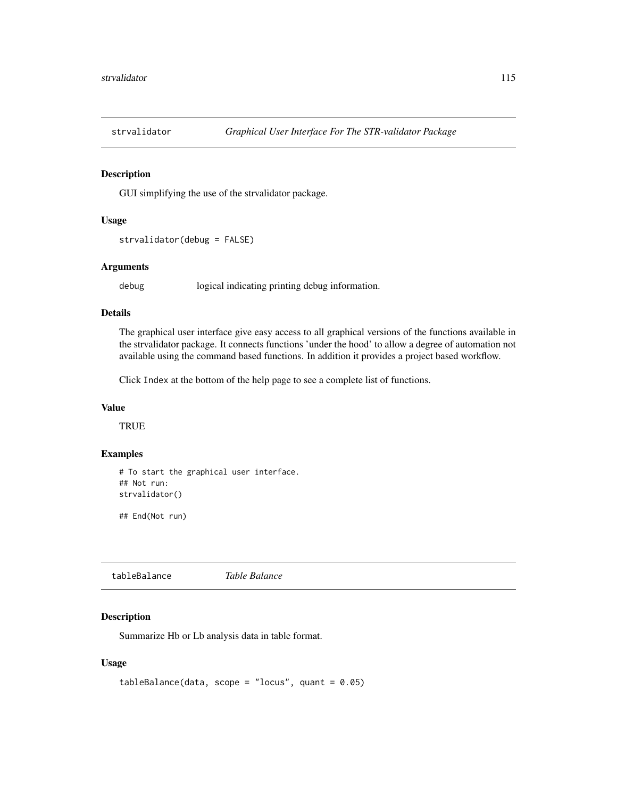<span id="page-114-1"></span>

GUI simplifying the use of the strvalidator package.

#### Usage

```
strvalidator(debug = FALSE)
```
# Arguments

debug logical indicating printing debug information.

#### Details

The graphical user interface give easy access to all graphical versions of the functions available in the strvalidator package. It connects functions 'under the hood' to allow a degree of automation not available using the command based functions. In addition it provides a project based workflow.

Click Index at the bottom of the help page to see a complete list of functions.

### Value

**TRUE** 

# Examples

# To start the graphical user interface. ## Not run: strvalidator()

## End(Not run)

<span id="page-114-0"></span>tableBalance *Table Balance*

#### Description

Summarize Hb or Lb analysis data in table format.

```
tableBalance(data, scope = "locus", quant = 0.05)
```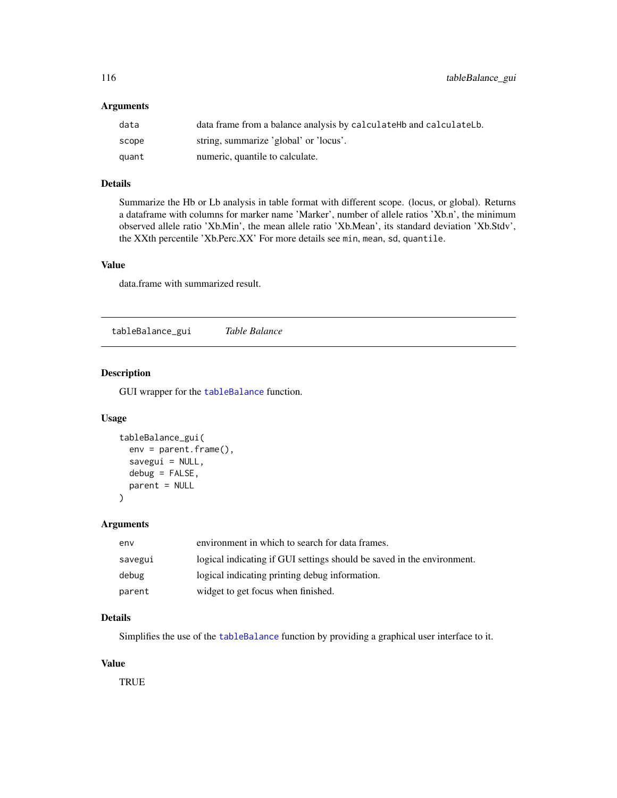# <span id="page-115-0"></span>Arguments

| data  | data frame from a balance analysis by calculate Hb and calculate Lb. |
|-------|----------------------------------------------------------------------|
| scope | string, summarize 'global' or 'locus'.                               |
| quant | numeric, quantile to calculate.                                      |

# Details

Summarize the Hb or Lb analysis in table format with different scope. (locus, or global). Returns a dataframe with columns for marker name 'Marker', number of allele ratios 'Xb.n', the minimum observed allele ratio 'Xb.Min', the mean allele ratio 'Xb.Mean', its standard deviation 'Xb.Stdv', the XXth percentile 'Xb.Perc.XX' For more details see min, mean, sd, quantile.

### Value

data.frame with summarized result.

tableBalance\_gui *Table Balance*

# Description

GUI wrapper for the [tableBalance](#page-114-0) function.

#### Usage

```
tableBalance_gui(
  env = parent.frame(),
  savegui = NULL,
  debug = FALSE,
  parent = NULL
)
```
#### Arguments

| env     | environment in which to search for data frames.                        |
|---------|------------------------------------------------------------------------|
| savegui | logical indicating if GUI settings should be saved in the environment. |
| debug   | logical indicating printing debug information.                         |
| parent  | widget to get focus when finished.                                     |

# Details

Simplifies the use of the [tableBalance](#page-114-0) function by providing a graphical user interface to it.

# Value

**TRUE**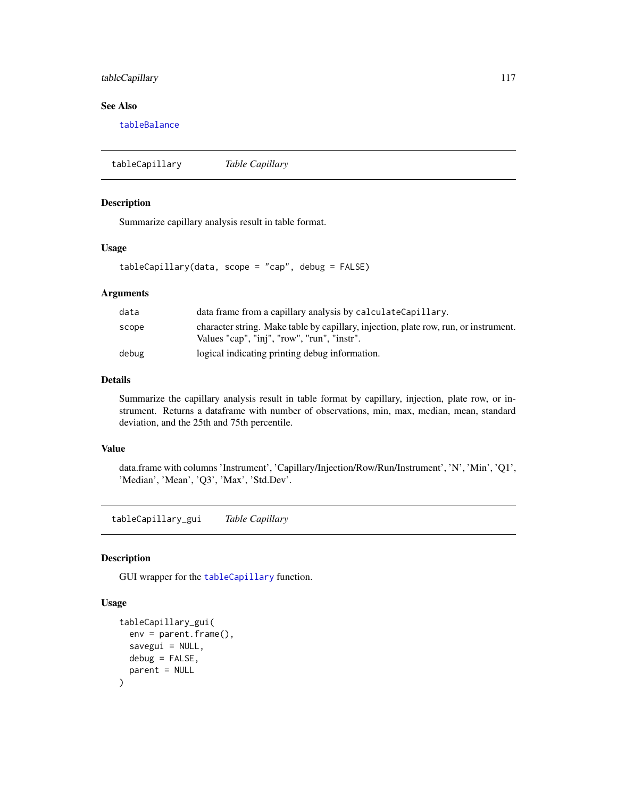# <span id="page-116-1"></span>tableCapillary 117

# See Also

[tableBalance](#page-114-0)

<span id="page-116-0"></span>tableCapillary *Table Capillary*

# Description

Summarize capillary analysis result in table format.

# Usage

```
tableCapillary(data, scope = "cap", debug = FALSE)
```
# Arguments

| data  | data frame from a capillary analysis by calculateCapillary.                                                                         |
|-------|-------------------------------------------------------------------------------------------------------------------------------------|
| scope | character string. Make table by capillary, injection, plate row, run, or instrument.<br>Values "cap", "inj", "row", "run", "instr". |
| debug | logical indicating printing debug information.                                                                                      |

#### Details

Summarize the capillary analysis result in table format by capillary, injection, plate row, or instrument. Returns a dataframe with number of observations, min, max, median, mean, standard deviation, and the 25th and 75th percentile.

# Value

data.frame with columns 'Instrument', 'Capillary/Injection/Row/Run/Instrument', 'N', 'Min', 'Q1', 'Median', 'Mean', 'Q3', 'Max', 'Std.Dev'.

tableCapillary\_gui *Table Capillary*

#### Description

GUI wrapper for the [tableCapillary](#page-116-0) function.

```
tableCapillary_gui(
  env = parent.frame(),
  savegui = NULL,
  debug = FALSE,
  parent = NULL
\mathcal{E}
```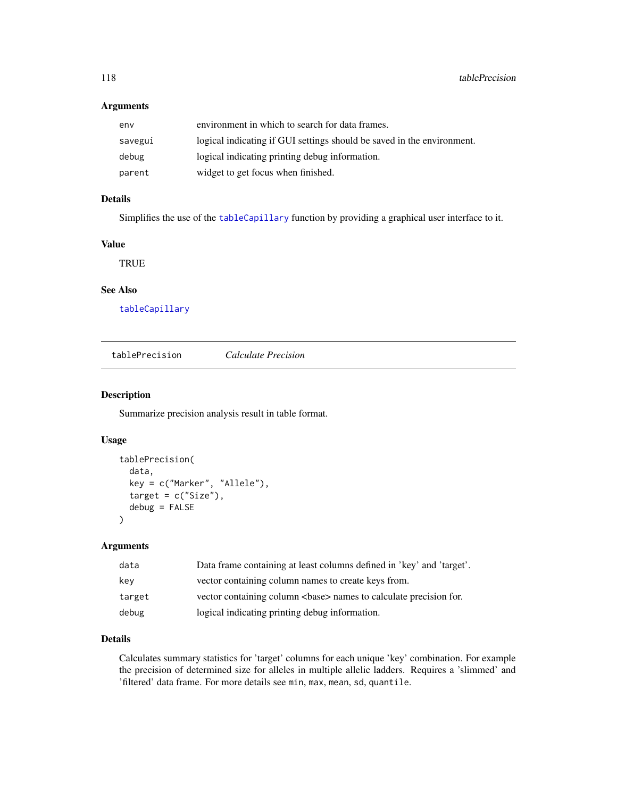# <span id="page-117-1"></span>Arguments

| env     | environment in which to search for data frames.                        |
|---------|------------------------------------------------------------------------|
| savegui | logical indicating if GUI settings should be saved in the environment. |
| debug   | logical indicating printing debug information.                         |
| parent  | widget to get focus when finished.                                     |

# Details

Simplifies the use of the [tableCapillary](#page-116-0) function by providing a graphical user interface to it.

# Value

**TRUE** 

# See Also

[tableCapillary](#page-116-0)

<span id="page-117-0"></span>tablePrecision *Calculate Precision*

#### Description

Summarize precision analysis result in table format.

#### Usage

```
tablePrecision(
  data,
  key = c("Marker", "Allele"),
  target = c("Size"),debug = FALSE
)
```
# Arguments

| data   | Data frame containing at least columns defined in 'key' and 'target'. |
|--------|-----------------------------------------------------------------------|
| kev    | vector containing column names to create keys from.                   |
| target | vector containing column<br>base> names to calculate precision for.   |
| debug  | logical indicating printing debug information.                        |

# Details

Calculates summary statistics for 'target' columns for each unique 'key' combination. For example the precision of determined size for alleles in multiple allelic ladders. Requires a 'slimmed' and 'filtered' data frame. For more details see min, max, mean, sd, quantile.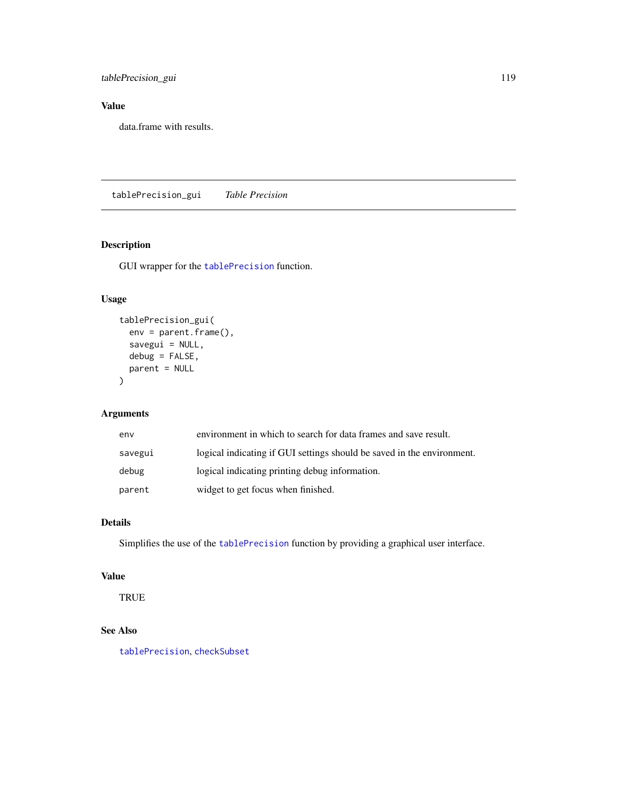<span id="page-118-0"></span>tablePrecision\_gui 119

# Value

data.frame with results.

tablePrecision\_gui *Table Precision*

# Description

GUI wrapper for the [tablePrecision](#page-117-0) function.

# Usage

```
tablePrecision_gui(
  env = parent.frame(),
  savegui = NULL,
  debug = FALSE,
  parent = NULL
\mathcal{L}
```
# Arguments

| env     | environment in which to search for data frames and save result.        |
|---------|------------------------------------------------------------------------|
| savegui | logical indicating if GUI settings should be saved in the environment. |
| debug   | logical indicating printing debug information.                         |
| parent  | widget to get focus when finished.                                     |

# Details

Simplifies the use of the [tablePrecision](#page-117-0) function by providing a graphical user interface.

# Value

TRUE

# See Also

[tablePrecision](#page-117-0), [checkSubset](#page-61-0)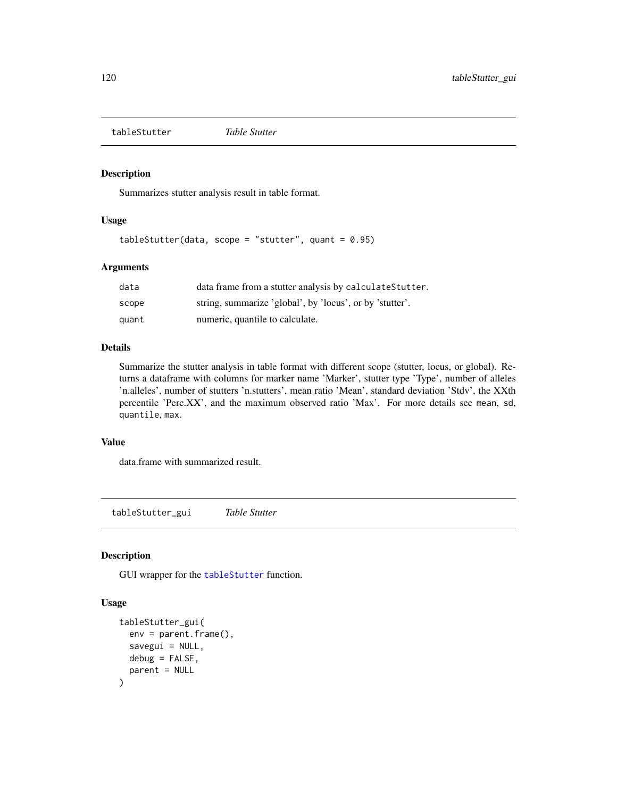<span id="page-119-1"></span><span id="page-119-0"></span>tableStutter *Table Stutter*

#### Description

Summarizes stutter analysis result in table format.

#### Usage

tableStutter(data, scope = "stutter", quant =  $0.95$ )

#### Arguments

| data  | data frame from a stutter analysis by calculate Stutter. |
|-------|----------------------------------------------------------|
| scope | string, summarize 'global', by 'locus', or by 'stutter'. |
| quant | numeric, quantile to calculate.                          |

#### Details

Summarize the stutter analysis in table format with different scope (stutter, locus, or global). Returns a dataframe with columns for marker name 'Marker', stutter type 'Type', number of alleles 'n.alleles', number of stutters 'n.stutters', mean ratio 'Mean', standard deviation 'Stdv', the XXth percentile 'Perc.XX', and the maximum observed ratio 'Max'. For more details see mean, sd, quantile, max.

#### Value

data.frame with summarized result.

tableStutter\_gui *Table Stutter*

# Description

GUI wrapper for the [tableStutter](#page-119-0) function.

```
tableStutter_gui(
  env = parent.frame(),
  savegui = NULL,
 debug = FALSE,
 parent = NULL
)
```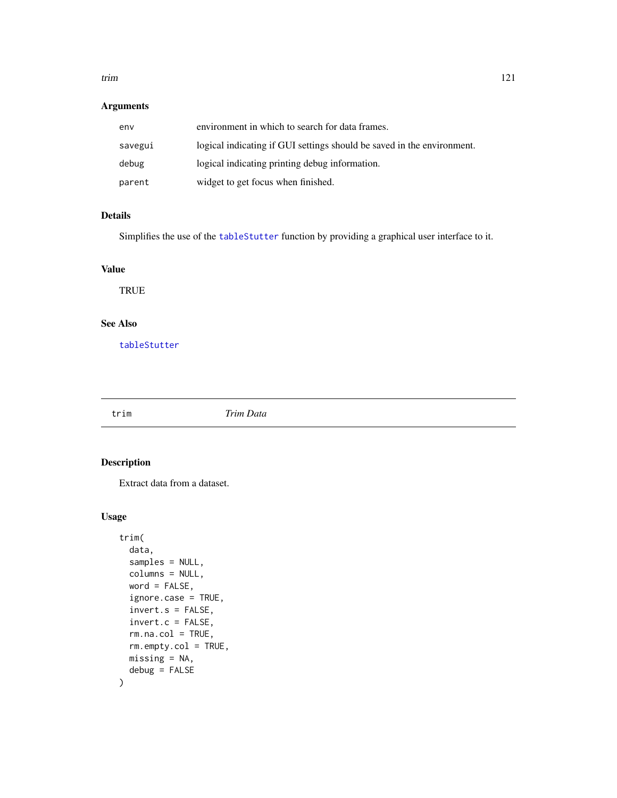#### <span id="page-120-1"></span>trim 121

# Arguments

| env     | environment in which to search for data frames.                        |
|---------|------------------------------------------------------------------------|
| savegui | logical indicating if GUI settings should be saved in the environment. |
| debug   | logical indicating printing debug information.                         |
| parent  | widget to get focus when finished.                                     |

### Details

Simplifies the use of the [tableStutter](#page-119-0) function by providing a graphical user interface to it.

# Value

**TRUE** 

# See Also

[tableStutter](#page-119-0)

<span id="page-120-0"></span>

trim *Trim Data*

# Description

Extract data from a dataset.

```
trim(
  data,
  samples = NULL,
  columns = NULL,
 word = FALSE,ignore.case = TRUE,
  invert.s = FALSE,
  invert.c = FALSE,
  rm.na.col = TRUE,
  rm.empty.col = TRUE,
 missing = NA,
  debug = FALSE
\mathcal{L}
```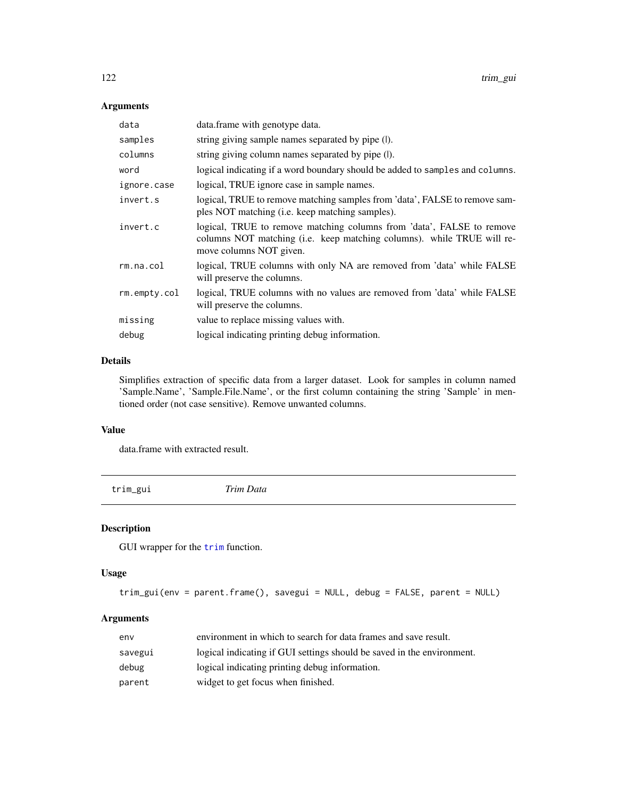# <span id="page-121-0"></span>Arguments

| data         | data.frame with genotype data.                                                                                                                                             |
|--------------|----------------------------------------------------------------------------------------------------------------------------------------------------------------------------|
| samples      | string giving sample names separated by pipe (I).                                                                                                                          |
| columns      | string giving column names separated by pipe (I).                                                                                                                          |
| word         | logical indicating if a word boundary should be added to samples and columns.                                                                                              |
| ignore.case  | logical, TRUE ignore case in sample names.                                                                                                                                 |
| invert.s     | logical, TRUE to remove matching samples from 'data', FALSE to remove sam-<br>ples NOT matching (i.e. keep matching samples).                                              |
| invert.c     | logical, TRUE to remove matching columns from 'data', FALSE to remove<br>columns NOT matching (i.e. keep matching columns). while TRUE will re-<br>move columns NOT given. |
| rm.na.col    | logical, TRUE columns with only NA are removed from 'data' while FALSE<br>will preserve the columns.                                                                       |
| rm.empty.col | logical, TRUE columns with no values are removed from 'data' while FALSE<br>will preserve the columns.                                                                     |
| missing      | value to replace missing values with.                                                                                                                                      |
| debug        | logical indicating printing debug information.                                                                                                                             |

# Details

Simplifies extraction of specific data from a larger dataset. Look for samples in column named 'Sample.Name', 'Sample.File.Name', or the first column containing the string 'Sample' in mentioned order (not case sensitive). Remove unwanted columns.

#### Value

data.frame with extracted result.

trim\_gui *Trim Data*

# Description

GUI wrapper for the [trim](#page-120-0) function.

#### Usage

```
trim_gui(env = parent.frame(), savegui = NULL, debug = FALSE, parent = NULL)
```
# Arguments

| env     | environment in which to search for data frames and save result.        |
|---------|------------------------------------------------------------------------|
| savegui | logical indicating if GUI settings should be saved in the environment. |
| debug   | logical indicating printing debug information.                         |
| parent  | widget to get focus when finished.                                     |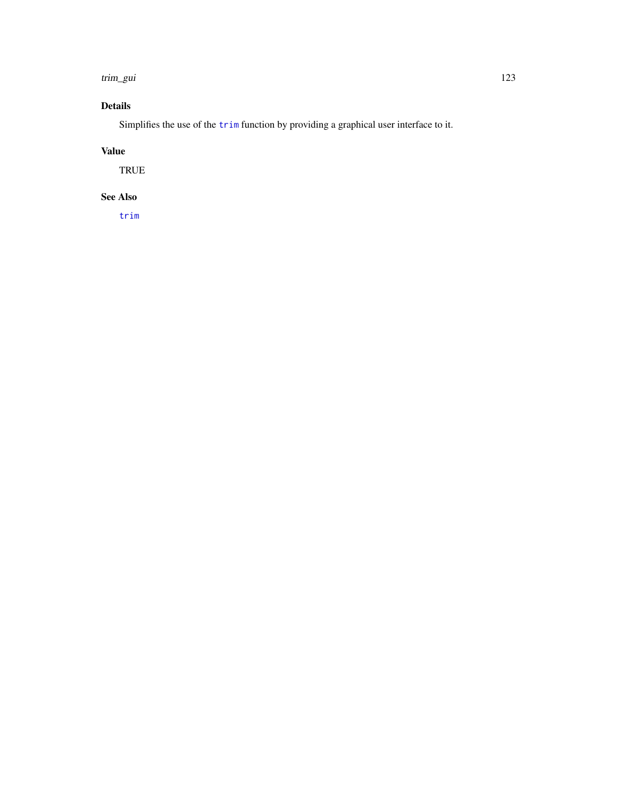#### <span id="page-122-0"></span>trim\_gui 123

# Details

Simplifies the use of the [trim](#page-120-0) function by providing a graphical user interface to it.

# Value

TRUE

# See Also

[trim](#page-120-0)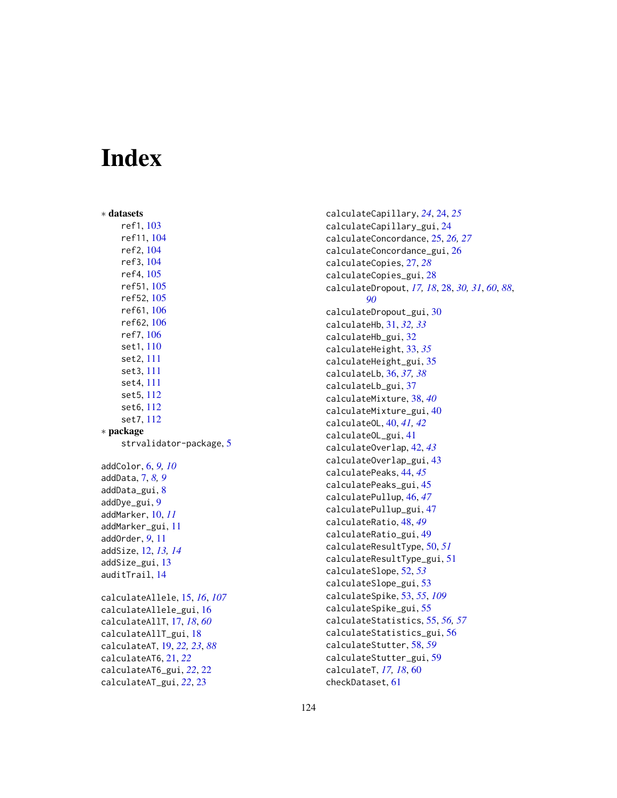# **Index**

∗ datasets ref1 , [103](#page-102-0) ref11 , [104](#page-103-0) ref2 , [104](#page-103-0) ref3 , [104](#page-103-0) ref4 , [105](#page-104-0) ref51 , [105](#page-104-0) ref52 , [105](#page-104-0) ref61 , [106](#page-105-0) ref62 , [106](#page-105-0) ref7 , [106](#page-105-0) set1 , [110](#page-109-0) set2 , [111](#page-110-0) set3 , [111](#page-110-0) set4 , [111](#page-110-0) set5 , [112](#page-111-0) set6 , [112](#page-111-0) set7 , [112](#page-111-0) ∗ package strvalidator-package, [5](#page-4-0) addColor , [6](#page-5-0) , *[9](#page-8-0) , [10](#page-9-0)* addData, [7](#page-6-0), [8](#page-7-0), [9](#page-8-0) addData\_gui , [8](#page-7-0) addDye\_gui , [9](#page-8-0) addMarker , [10](#page-9-0) , *[11](#page-10-0)* addMarker\_gui , [11](#page-10-0) addOrder , *[9](#page-8-0)* , [11](#page-10-0) addSize , [12](#page-11-0) , *[13](#page-12-0) , [14](#page-13-0)* addSize\_gui , [13](#page-12-0) auditTrail , [14](#page-13-0) calculateAllele , [15](#page-14-0) , *[16](#page-15-0)* , *[107](#page-106-0)* calculateAllele\_gui , [16](#page-15-0) calculateAllT , [17](#page-16-0) , *[18](#page-17-0)* , *[60](#page-59-0)* calculateAllT\_gui , [18](#page-17-0) calculateAT , [19](#page-18-0) , *[22](#page-21-0) , [23](#page-22-0)* , *[88](#page-87-0)* calculateAT6 , [21](#page-20-0) , *[22](#page-21-0)* calculateAT6\_gui , *[22](#page-21-0)* , [22](#page-21-0) calculateAT\_gui , *[22](#page-21-0)* , [23](#page-22-0)

calculateCapillary , *[24](#page-23-0)* , [24](#page-23-0) , *[25](#page-24-0)* calculateCapillary\_gui , [24](#page-23-0) calculateConcordance , [25](#page-24-0) , *[26,](#page-25-0) [27](#page-26-0)* calculateConcordance\_gui , [26](#page-25-0) calculateCopies , [27](#page-26-0) , *[28](#page-27-0)* calculateCopies\_gui , [28](#page-27-0) calculateDropout, [17,](#page-16-0) [18](#page-17-0), [28](#page-27-0), [30](#page-29-0), [31](#page-30-0), [60](#page-59-0), [88](#page-87-0), *[90](#page-89-0)* calculateDropout\_gui , [30](#page-29-0) calculateHb , [31](#page-30-0) , *[32](#page-31-0) , [33](#page-32-0)* calculateHb\_gui , [32](#page-31-0) calculateHeight , [33](#page-32-0) , *[35](#page-34-0)* calculateHeight\_gui , [35](#page-34-0) calculateLb , [36](#page-35-0) , *[37,](#page-36-0) [38](#page-37-0)* calculateLb\_gui , [37](#page-36-0) calculateMixture , [38](#page-37-0) , *[40](#page-39-0)* calculateMixture\_gui , [40](#page-39-0) calculateOL , [40](#page-39-0) , *[41](#page-40-0) , [42](#page-41-0)* calculateOL\_gui , [41](#page-40-0) calculateOverlap , [42](#page-41-0) , *[43](#page-42-0)* calculateOverlap\_gui , [43](#page-42-0) calculatePeaks , [44](#page-43-0) , *[45](#page-44-0)* calculatePeaks\_gui , [45](#page-44-0) calculatePullup , [46](#page-45-0) , *[47](#page-46-0)* calculatePullup\_gui , [47](#page-46-0) calculateRatio , [48](#page-47-0) , *[49](#page-48-0)* calculateRatio\_gui , [49](#page-48-0) calculateResultType , [50](#page-49-0) , *[51](#page-50-0)* calculateResultType\_gui , [51](#page-50-0) calculateSlope , [52](#page-51-0) , *[53](#page-52-1)* calculateSlope\_gui , [53](#page-52-1) calculateSpike , [53](#page-52-1) , *[55](#page-54-0)* , *[109](#page-108-0)* calculateSpike\_gui , [55](#page-54-0) calculateStatistics , [55](#page-54-0) , *[56,](#page-55-0) [57](#page-56-0)* calculateStatistics\_gui , [56](#page-55-0) calculateStutter , [58](#page-57-0) , *[59](#page-58-0)* calculateStutter\_gui , [59](#page-58-0) calculateT , *[17,](#page-16-0) [18](#page-17-0)* , [60](#page-59-0) checkDataset , [61](#page-60-0)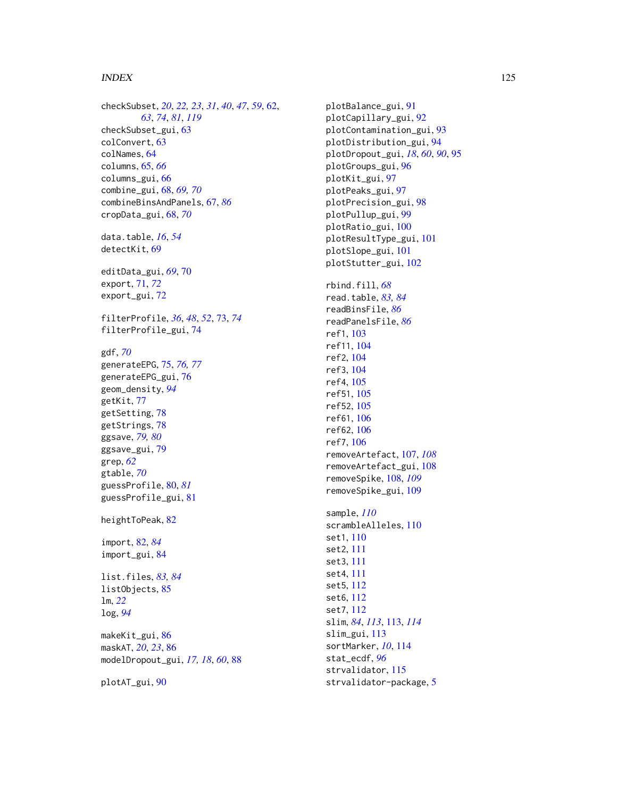#### INDEX 125

checkSubset , *[20](#page-19-0)* , *[22](#page-21-0) , [23](#page-22-0)* , *[31](#page-30-0)* , *[40](#page-39-0)* , *[47](#page-46-0)* , *[59](#page-58-0)* , [62](#page-61-1) , *[63](#page-62-0)* , *[74](#page-73-0)* , *[81](#page-80-0)* , *[119](#page-118-0)* checkSubset\_gui , [63](#page-62-0) colConvert , [63](#page-62-0) colNames , [64](#page-63-0) columns , [65](#page-64-0) , *[66](#page-65-0)* columns\_gui , [66](#page-65-0) combine\_gui , [68](#page-67-0) , *[69](#page-68-0) , [70](#page-69-0)* combineBinsAndPanels , [67](#page-66-0) , *[86](#page-85-0)* cropData\_gui , [68](#page-67-0) , *[70](#page-69-0)* data.table , *[16](#page-15-0)* , *[54](#page-53-0)* detectKit , [69](#page-68-0) editData\_gui , *[69](#page-68-0)* , [70](#page-69-0) export , [71](#page-70-0) , *[72](#page-71-0)* export\_gui , [72](#page-71-0) filterProfile , *[36](#page-35-0)* , *[48](#page-47-0)* , *[52](#page-51-0)* , [73](#page-72-0) , *[74](#page-73-0)* filterProfile\_gui , [74](#page-73-0) gdf , *[70](#page-69-0)* generateEPG , [75](#page-74-0) , *[76,](#page-75-0) [77](#page-76-0)* generateEPG\_gui , [76](#page-75-0) geom\_density , *[94](#page-93-0)* getKit , [77](#page-76-0) getSetting, [78](#page-77-0) getStrings, [78](#page-77-0) ggsave , *[79](#page-78-0) , [80](#page-79-0)* ggsave\_gui , [79](#page-78-0) grep , *[62](#page-61-1)* gtable , *[70](#page-69-0)* guessProfile , [80](#page-79-0) , *[81](#page-80-0)* guessProfile\_gui , [81](#page-80-0) heightToPeak, [82](#page-81-0) import , [82](#page-81-0) , *[84](#page-83-0)* import\_gui , [84](#page-83-0) list.files , *[83](#page-82-0) , [84](#page-83-0)* listObjects , [85](#page-84-0) lm , *[22](#page-21-0)* log , *[94](#page-93-0)* makeKit\_gui, [86](#page-85-0) maskAT , *[20](#page-19-0)* , *[23](#page-22-0)* , [86](#page-85-0) modelDropout\_gui , *[17,](#page-16-0) [18](#page-17-0)* , *[60](#page-59-0)* , [88](#page-87-0)

plotAT\_gui , [90](#page-89-0)

plotBalance\_gui , [91](#page-90-0) plotCapillary\_gui , [92](#page-91-0) plotContamination\_gui , [93](#page-92-0) plotDistribution\_gui , [94](#page-93-0) plotDropout\_gui , *[18](#page-17-0)* , *[60](#page-59-0)* , *[90](#page-89-0)* , [95](#page-94-0) plotGroups\_gui , [96](#page-95-0) plotKit\_gui , [97](#page-96-0) plotPeaks\_gui , [97](#page-96-0) plotPrecision\_gui , [98](#page-97-0) plotPullup\_gui , [99](#page-98-0) plotRatio\_gui , [100](#page-99-0) plotResultType\_gui , [101](#page-100-0) plotSlope\_gui , [101](#page-100-0) plotStutter\_gui , [102](#page-101-0) rbind.fill , *[68](#page-67-0)* read.table , *[83](#page-82-0) , [84](#page-83-0)* readBinsFile , *[86](#page-85-0)* readPanelsFile , *[86](#page-85-0)* ref1 , [103](#page-102-0) ref11 , [104](#page-103-0) ref2 , [104](#page-103-0) ref3 , [104](#page-103-0) ref4 , [105](#page-104-0) ref51 , [105](#page-104-0) ref52 , [105](#page-104-0) ref61 , [106](#page-105-0) ref62 , [106](#page-105-0) ref7 , [106](#page-105-0) removeArtefact , [107](#page-106-0) , *[108](#page-107-1)* removeArtefact\_gui , [108](#page-107-1) removeSpike , [108](#page-107-1) , *[109](#page-108-0)* removeSpike\_gui , [109](#page-108-0) sample , *[110](#page-109-0)* scrambleAlleles, [110](#page-109-0) set1 , [110](#page-109-0) set2 , [111](#page-110-0) set3 , [111](#page-110-0) set4 , [111](#page-110-0) set5 , [112](#page-111-0) set6 , [112](#page-111-0) set7 , [112](#page-111-0) slim , *[84](#page-83-0)* , *[113](#page-112-1)* , [113](#page-112-1) , *[114](#page-113-0)* slim\_gui , [113](#page-112-1) sortMarker , *[10](#page-9-0)* , [114](#page-113-0) stat\_ecdf , *[96](#page-95-0)* strvalidator , [115](#page-114-1)

strvalidator-package, [5](#page-4-0)